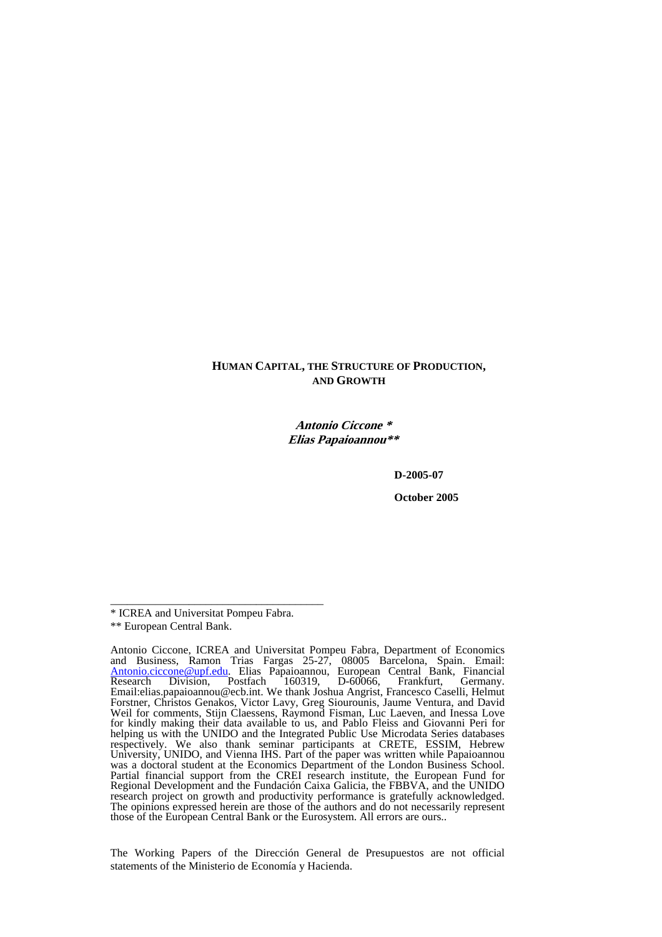#### **HUMAN CAPITAL, THE STRUCTURE OF PRODUCTION, AND GROWTH**

**Antonio Ciccone \* Elias Papaioannou\*\*** 

 **D-2005-07** 

 **October 2005** 

\_\_\_\_\_\_\_\_\_\_\_\_\_\_\_\_\_\_\_\_\_\_\_\_\_\_\_\_\_\_\_\_\_\_\_\_\_\_

The Working Papers of the Dirección General de Presupuestos are not official statements of the Ministerio de Economía y Hacienda.

<sup>\*</sup> ICREA and Universitat Pompeu Fabra.

<sup>\*\*</sup> European Central Bank.

Antonio Ciccone, ICREA and Universitat Pompeu Fabra, Department of Economics and Business, Ramon Trias Fargas 25-27, 08005 Barcelona, Spain. Email: Antonio.ciccone@upf.edu. Elias Papaioannou, European Central Bank, Financial Research Division, Postfach 160319, D-60066, Frankfurt, Germany. Email:elias.papaioannou@ecb.int. We thank Joshua Angrist, Francesco Caselli, Helmut Forstner, Christos Genakos, Victor Lavy, Greg Siourounis, Jaume Ventura, and David Weil for comments, Stijn Claessens, Raymond Fisman, Luc Laeven, and Inessa Love for kindly making their data available to us, and Pablo Fleiss and Giovanni Peri for helping us with the UNIDO and the Integrated Public Use Microdata Series databases respectively. We also thank seminar participants at CRETE, ESSIM, Hebrew University, UNIDO, and Vienna IHS. Part of the paper was written while Papaioannou was a doctoral student at the Economics Department of the London Business School. Partial financial support from the CREI research institute, the European Fund for Regional Development and the Fundación Caixa Galicia, the FBBVA, and the UNIDO research project on growth and productivity performance is gratefully acknowledged. The opinions expressed herein are those of the authors and do not necessarily represent those of the European Central Bank or the Eurosystem. All errors are ours..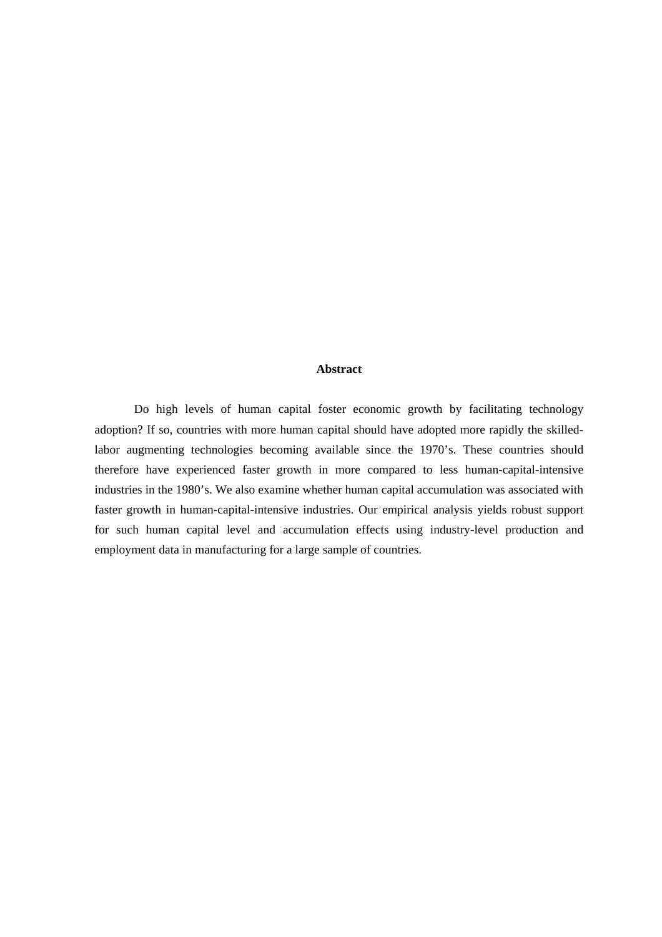#### **Abstract**

 Do high levels of human capital foster economic growth by facilitating technology adoption? If so, countries with more human capital should have adopted more rapidly the skilledlabor augmenting technologies becoming available since the 1970's. These countries should therefore have experienced faster growth in more compared to less human-capital-intensive industries in the 1980's. We also examine whether human capital accumulation was associated with faster growth in human-capital-intensive industries. Our empirical analysis yields robust support for such human capital level and accumulation effects using industry-level production and employment data in manufacturing for a large sample of countries.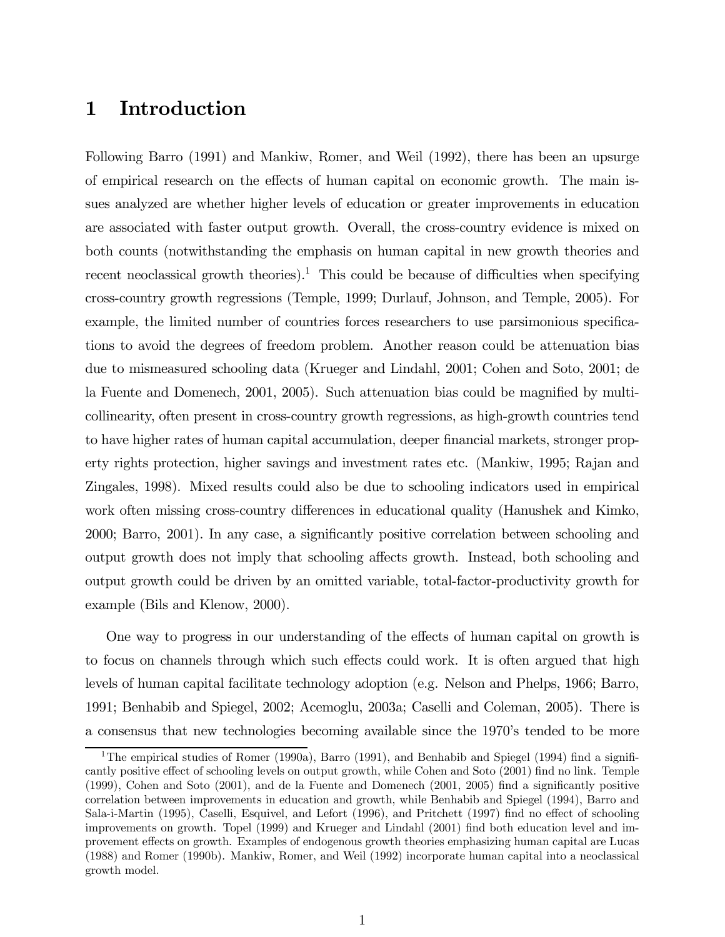# 1 Introduction

Following Barro (1991) and Mankiw, Romer, and Weil (1992), there has been an upsurge of empirical research on the effects of human capital on economic growth. The main issues analyzed are whether higher levels of education or greater improvements in education are associated with faster output growth. Overall, the cross-country evidence is mixed on both counts (notwithstanding the emphasis on human capital in new growth theories and recent neoclassical growth theories).<sup>1</sup> This could be because of difficulties when specifying cross-country growth regressions (Temple, 1999; Durlauf, Johnson, and Temple, 2005). For example, the limited number of countries forces researchers to use parsimonious specifications to avoid the degrees of freedom problem. Another reason could be attenuation bias due to mismeasured schooling data (Krueger and Lindahl, 2001; Cohen and Soto, 2001; de la Fuente and Domenech, 2001, 2005). Such attenuation bias could be magnified by multicollinearity, often present in cross-country growth regressions, as high-growth countries tend to have higher rates of human capital accumulation, deeper financial markets, stronger property rights protection, higher savings and investment rates etc. (Mankiw, 1995; Rajan and Zingales, 1998). Mixed results could also be due to schooling indicators used in empirical work often missing cross-country differences in educational quality (Hanushek and Kimko, 2000; Barro, 2001). In any case, a significantly positive correlation between schooling and output growth does not imply that schooling affects growth. Instead, both schooling and output growth could be driven by an omitted variable, total-factor-productivity growth for example (Bils and Klenow, 2000).

One way to progress in our understanding of the effects of human capital on growth is to focus on channels through which such effects could work. It is often argued that high levels of human capital facilitate technology adoption (e.g. Nelson and Phelps, 1966; Barro, 1991; Benhabib and Spiegel, 2002; Acemoglu, 2003a; Caselli and Coleman, 2005). There is a consensus that new technologies becoming available since the 1970's tended to be more

<sup>&</sup>lt;sup>1</sup>The empirical studies of Romer (1990a), Barro (1991), and Benhabib and Spiegel (1994) find a significantly positive effect of schooling levels on output growth, while Cohen and Soto (2001) find no link. Temple (1999), Cohen and Soto (2001), and de la Fuente and Domenech (2001, 2005) find a significantly positive correlation between improvements in education and growth, while Benhabib and Spiegel (1994), Barro and Sala-i-Martin (1995), Caselli, Esquivel, and Lefort (1996), and Pritchett (1997) find no effect of schooling improvements on growth. Topel (1999) and Krueger and Lindahl (2001) find both education level and improvement effects on growth. Examples of endogenous growth theories emphasizing human capital are Lucas (1988) and Romer (1990b). Mankiw, Romer, and Weil (1992) incorporate human capital into a neoclassical growth model.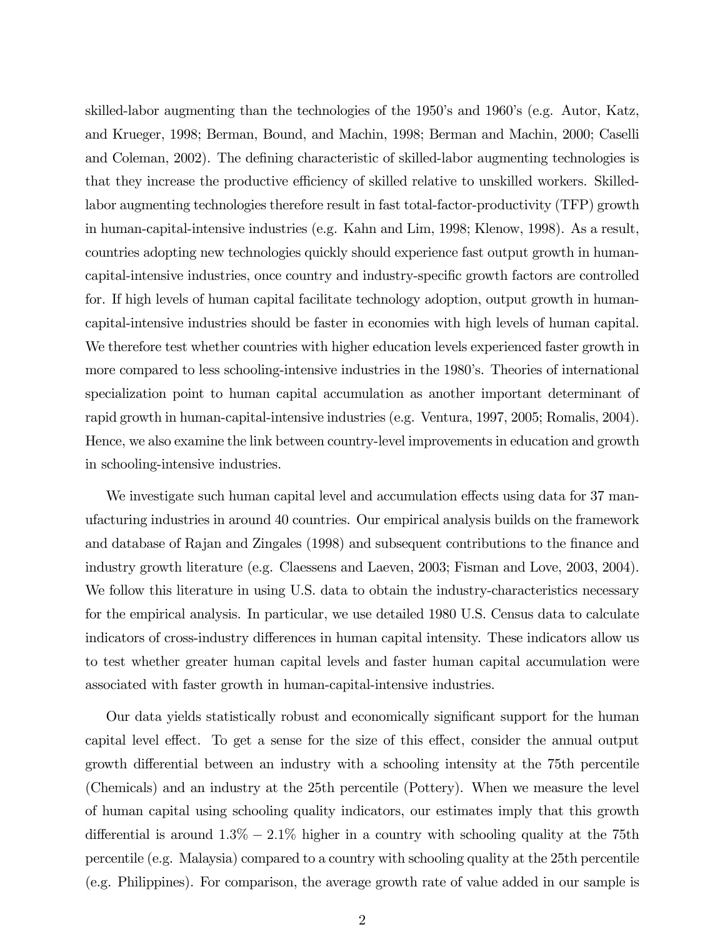skilled-labor augmenting than the technologies of the 1950's and 1960's (e.g. Autor, Katz, and Krueger, 1998; Berman, Bound, and Machin, 1998; Berman and Machin, 2000; Caselli and Coleman, 2002). The defining characteristic of skilled-labor augmenting technologies is that they increase the productive efficiency of skilled relative to unskilled workers. Skilledlabor augmenting technologies therefore result in fast total-factor-productivity (TFP) growth in human-capital-intensive industries (e.g. Kahn and Lim, 1998; Klenow, 1998). As a result, countries adopting new technologies quickly should experience fast output growth in humancapital-intensive industries, once country and industry-specific growth factors are controlled for. If high levels of human capital facilitate technology adoption, output growth in humancapital-intensive industries should be faster in economies with high levels of human capital. We therefore test whether countries with higher education levels experienced faster growth in more compared to less schooling-intensive industries in the 1980's. Theories of international specialization point to human capital accumulation as another important determinant of rapid growth in human-capital-intensive industries (e.g. Ventura, 1997, 2005; Romalis, 2004). Hence, we also examine the link between country-level improvements in education and growth in schooling-intensive industries.

We investigate such human capital level and accumulation effects using data for 37 manufacturing industries in around 40 countries. Our empirical analysis builds on the framework and database of Rajan and Zingales (1998) and subsequent contributions to the finance and industry growth literature (e.g. Claessens and Laeven, 2003; Fisman and Love, 2003, 2004). We follow this literature in using U.S. data to obtain the industry-characteristics necessary for the empirical analysis. In particular, we use detailed 1980 U.S. Census data to calculate indicators of cross-industry differences in human capital intensity. These indicators allow us to test whether greater human capital levels and faster human capital accumulation were associated with faster growth in human-capital-intensive industries.

Our data yields statistically robust and economically significant support for the human capital level effect. To get a sense for the size of this effect, consider the annual output growth differential between an industry with a schooling intensity at the 75th percentile (Chemicals) and an industry at the 25th percentile (Pottery). When we measure the level of human capital using schooling quality indicators, our estimates imply that this growth differential is around  $1.3\% - 2.1\%$  higher in a country with schooling quality at the 75th percentile (e.g. Malaysia) compared to a country with schooling quality at the 25th percentile (e.g. Philippines). For comparison, the average growth rate of value added in our sample is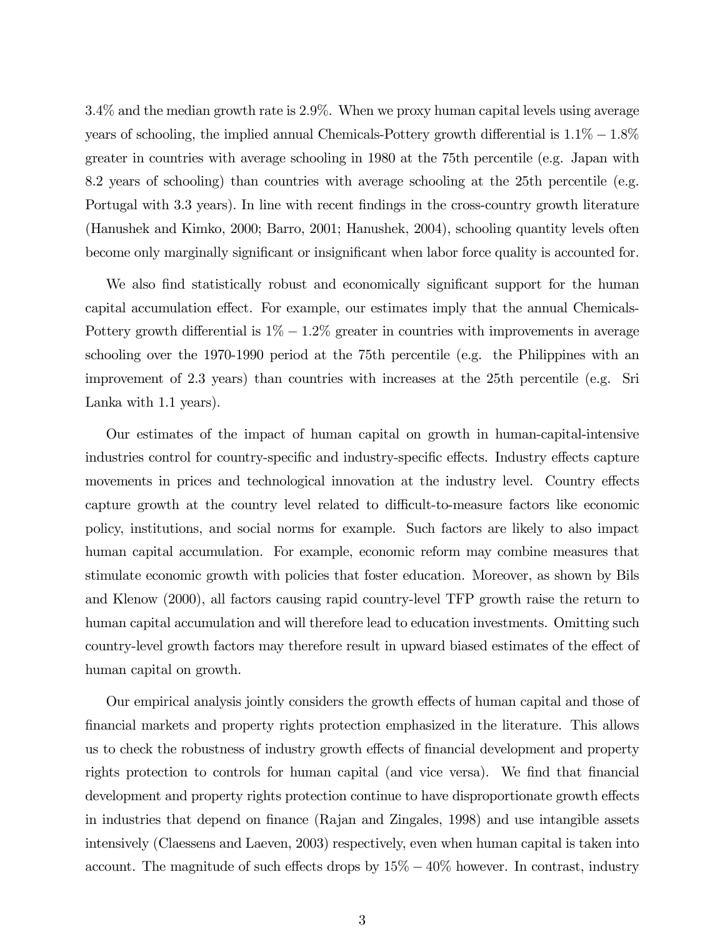3.4% and the median growth rate is 2.9%. When we proxy human capital levels using average years of schooling, the implied annual Chemicals-Pottery growth differential is 1.1% − 1.8% greater in countries with average schooling in 1980 at the 75th percentile (e.g. Japan with 8.2 years of schooling) than countries with average schooling at the 25th percentile (e.g. Portugal with 3.3 years). In line with recent findings in the cross-country growth literature (Hanushek and Kimko, 2000; Barro, 2001; Hanushek, 2004), schooling quantity levels often become only marginally significant or insignificant when labor force quality is accounted for.

We also find statistically robust and economically significant support for the human capital accumulation effect. For example, our estimates imply that the annual Chemicals-Pottery growth differential is  $1\% - 1.2\%$  greater in countries with improvements in average schooling over the 1970-1990 period at the 75th percentile (e.g. the Philippines with an improvement of 2.3 years) than countries with increases at the 25th percentile (e.g. Sri Lanka with 1.1 years).

Our estimates of the impact of human capital on growth in human-capital-intensive industries control for country-specific and industry-specific effects. Industry effects capture movements in prices and technological innovation at the industry level. Country effects capture growth at the country level related to difficult-to-measure factors like economic policy, institutions, and social norms for example. Such factors are likely to also impact human capital accumulation. For example, economic reform may combine measures that stimulate economic growth with policies that foster education. Moreover, as shown by Bils and Klenow (2000), all factors causing rapid country-level TFP growth raise the return to human capital accumulation and will therefore lead to education investments. Omitting such country-level growth factors may therefore result in upward biased estimates of the effect of human capital on growth.

Our empirical analysis jointly considers the growth effects of human capital and those of financial markets and property rights protection emphasized in the literature. This allows us to check the robustness of industry growth effects of financial development and property rights protection to controls for human capital (and vice versa). We find that financial development and property rights protection continue to have disproportionate growth effects in industries that depend on finance (Rajan and Zingales, 1998) and use intangible assets intensively (Claessens and Laeven, 2003) respectively, even when human capital is taken into account. The magnitude of such effects drops by  $15\% - 40\%$  however. In contrast, industry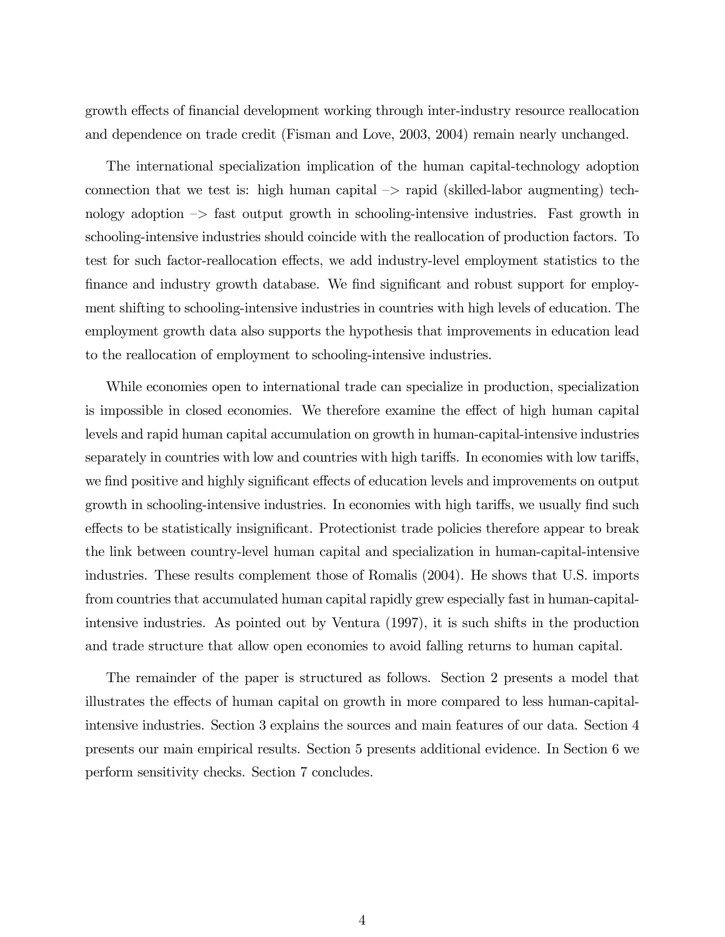growth effects of financial development working through inter-industry resource reallocation and dependence on trade credit (Fisman and Love, 2003, 2004) remain nearly unchanged.

The international specialization implication of the human capital-technology adoption connection that we test is: high human capital  $\rightarrow$  rapid (skilled-labor augmenting) technology adoption  $\Rightarrow$  fast output growth in schooling-intensive industries. Fast growth in schooling-intensive industries should coincide with the reallocation of production factors. To test for such factor-reallocation effects, we add industry-level employment statistics to the finance and industry growth database. We find significant and robust support for employment shifting to schooling-intensive industries in countries with high levels of education. The employment growth data also supports the hypothesis that improvements in education lead to the reallocation of employment to schooling-intensive industries.

While economies open to international trade can specialize in production, specialization is impossible in closed economies. We therefore examine the effect of high human capital levels and rapid human capital accumulation on growth in human-capital-intensive industries separately in countries with low and countries with high tariffs. In economies with low tariffs, we find positive and highly significant effects of education levels and improvements on output growth in schooling-intensive industries. In economies with high tariffs, we usually find such effects to be statistically insignificant. Protectionist trade policies therefore appear to break the link between country-level human capital and specialization in human-capital-intensive industries. These results complement those of Romalis (2004). He shows that U.S. imports from countries that accumulated human capital rapidly grew especially fast in human-capitalintensive industries. As pointed out by Ventura (1997), it is such shifts in the production and trade structure that allow open economies to avoid falling returns to human capital.

The remainder of the paper is structured as follows. Section 2 presents a model that illustrates the effects of human capital on growth in more compared to less human-capitalintensive industries. Section 3 explains the sources and main features of our data. Section 4 presents our main empirical results. Section 5 presents additional evidence. In Section 6 we perform sensitivity checks. Section 7 concludes.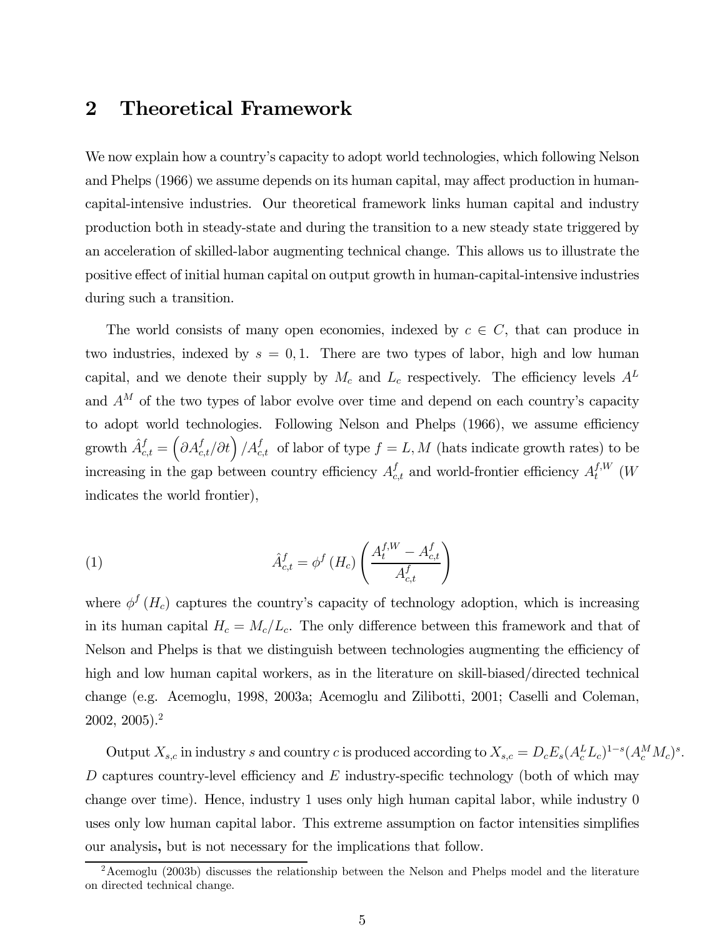# 2 Theoretical Framework

We now explain how a country's capacity to adopt world technologies, which following Nelson and Phelps (1966) we assume depends on its human capital, may affect production in humancapital-intensive industries. Our theoretical framework links human capital and industry production both in steady-state and during the transition to a new steady state triggered by an acceleration of skilled-labor augmenting technical change. This allows us to illustrate the positive effect of initial human capital on output growth in human-capital-intensive industries during such a transition.

The world consists of many open economies, indexed by  $c \in C$ , that can produce in two industries, indexed by  $s = 0, 1$ . There are two types of labor, high and low human capital, and we denote their supply by  $M_c$  and  $L_c$  respectively. The efficiency levels  $A<sup>L</sup>$ and  $A^M$  of the two types of labor evolve over time and depend on each country's capacity to adopt world technologies. Following Nelson and Phelps (1966), we assume efficiency growth  $\hat{A}^f_{c,t} = \left(\partial A^f_{c,t}/\partial t\right)/A^f_{c,t}$  of labor of type  $f = L, M$  (hats indicate growth rates) to be increasing in the gap between country efficiency  $A_{c,t}^f$  and world-frontier efficiency  $A_t^{f,W}$  (W indicates the world frontier),

(1) 
$$
\hat{A}_{c,t}^f = \phi^f(H_c) \left( \frac{A_t^{f,W} - A_{c,t}^f}{A_{c,t}^f} \right)
$$

where  $\phi^f(H_c)$  captures the country's capacity of technology adoption, which is increasing in its human capital  $H_c = M_c/L_c$ . The only difference between this framework and that of Nelson and Phelps is that we distinguish between technologies augmenting the efficiency of high and low human capital workers, as in the literature on skill-biased/directed technical change (e.g. Acemoglu, 1998, 2003a; Acemoglu and Zilibotti, 2001; Caselli and Coleman, 2002, 2005).2

Output  $X_{s,c}$  in industry s and country c is produced according to  $X_{s,c} = D_c E_s (A_c^L L_c)^{1-s} (A_c^M M_c)^s$ . D captures country-level efficiency and  $E$  industry-specific technology (both of which may change over time). Hence, industry 1 uses only high human capital labor, while industry 0 uses only low human capital labor. This extreme assumption on factor intensities simplifies our analysis, but is not necessary for the implications that follow.

<sup>&</sup>lt;sup>2</sup> Acemoglu (2003b) discusses the relationship between the Nelson and Phelps model and the literature on directed technical change.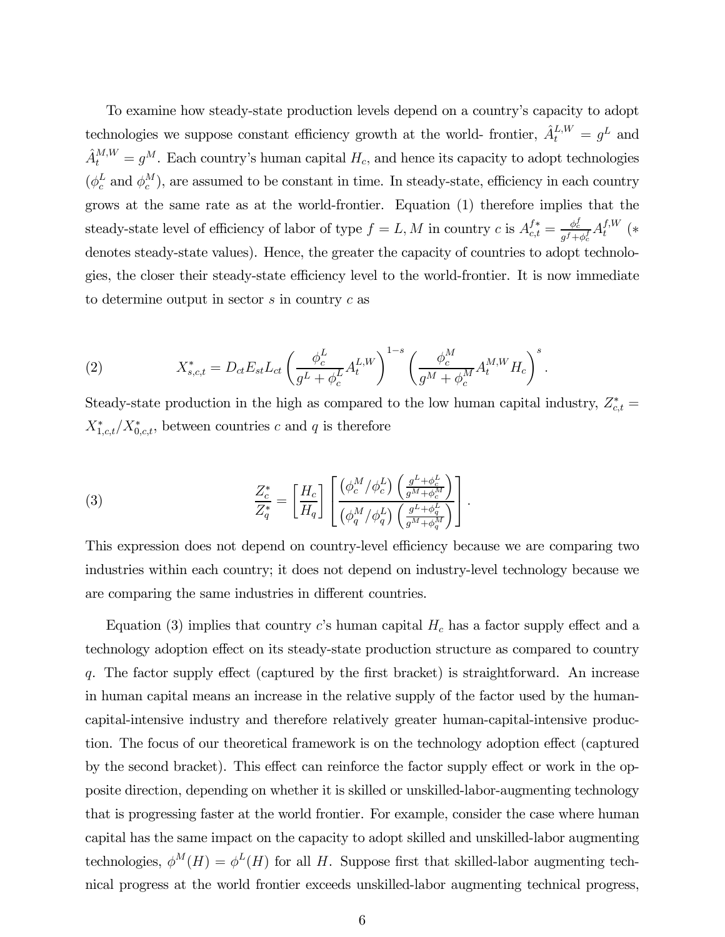To examine how steady-state production levels depend on a country's capacity to adopt technologies we suppose constant efficiency growth at the world-frontier,  $\hat{A}_t^{L,W} = g^L$  and  $\hat{A}_t^{M,W} = g^M$ . Each country's human capital  $H_c$ , and hence its capacity to adopt technologies  $(\phi_c^L$  and  $\phi_c^M$ ), are assumed to be constant in time. In steady-state, efficiency in each country grows at the same rate as at the world-frontier. Equation (1) therefore implies that the steady-state level of efficiency of labor of type  $f = L, M$  in country c is  $A_{c,t}^{f*} = \frac{\phi_c^f}{g^f + \phi_c^f} A_t^{f,W}$  (\* denotes steady-state values). Hence, the greater the capacity of countries to adopt technologies, the closer their steady-state efficiency level to the world-frontier. It is now immediate to determine output in sector s in country c as

(2) 
$$
X_{s,c,t}^{*} = D_{ct} E_{st} L_{ct} \left( \frac{\phi_c^L}{g^L + \phi_c^L} A_t^{L,W} \right)^{1-s} \left( \frac{\phi_c^M}{g^M + \phi_c^M} A_t^{M,W} H_c \right)^s.
$$

Steady-state production in the high as compared to the low human capital industry,  $Z_{c,t}^* =$  $X_{1,c,t}^*/X_{0,c,t}^*$ , between countries c and q is therefore

(3) 
$$
\frac{Z_c^*}{Z_q^*} = \left[\frac{H_c}{H_q}\right] \left[\frac{\left(\phi_c^M/\phi_c^L\right)\left(\frac{g^L + \phi_c^L}{g^M + \phi_c^M}\right)}{\left(\phi_q^M/\phi_q^L\right)\left(\frac{g^L + \phi_q^L}{g^M + \phi_q^M}\right)}\right].
$$

This expression does not depend on country-level efficiency because we are comparing two industries within each country; it does not depend on industry-level technology because we are comparing the same industries in different countries.

Equation (3) implies that country c's human capital  $H_c$  has a factor supply effect and a technology adoption effect on its steady-state production structure as compared to country q. The factor supply effect (captured by the first bracket) is straightforward. An increase in human capital means an increase in the relative supply of the factor used by the humancapital-intensive industry and therefore relatively greater human-capital-intensive production. The focus of our theoretical framework is on the technology adoption effect (captured by the second bracket). This effect can reinforce the factor supply effect or work in the opposite direction, depending on whether it is skilled or unskilled-labor-augmenting technology that is progressing faster at the world frontier. For example, consider the case where human capital has the same impact on the capacity to adopt skilled and unskilled-labor augmenting technologies,  $\phi^M(H) = \phi^L(H)$  for all H. Suppose first that skilled-labor augmenting technical progress at the world frontier exceeds unskilled-labor augmenting technical progress,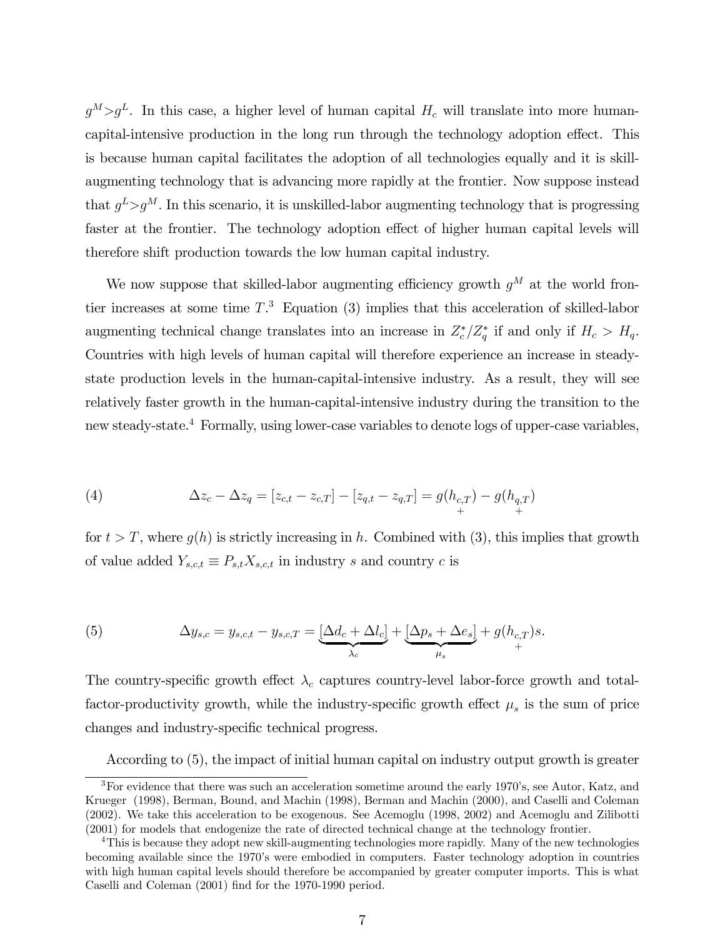$g^M > g^L$ . In this case, a higher level of human capital  $H_c$  will translate into more humancapital-intensive production in the long run through the technology adoption effect. This is because human capital facilitates the adoption of all technologies equally and it is skillaugmenting technology that is advancing more rapidly at the frontier. Now suppose instead that  $g^L>g^M$ . In this scenario, it is unskilled-labor augmenting technology that is progressing faster at the frontier. The technology adoption effect of higher human capital levels will therefore shift production towards the low human capital industry.

We now suppose that skilled-labor augmenting efficiency growth  $q^M$  at the world frontier increases at some time  $T^3$  Equation (3) implies that this acceleration of skilled-labor augmenting technical change translates into an increase in  $Z_c^*/Z_q^*$  if and only if  $H_c > H_q$ . Countries with high levels of human capital will therefore experience an increase in steadystate production levels in the human-capital-intensive industry. As a result, they will see relatively faster growth in the human-capital-intensive industry during the transition to the new steady-state.4 Formally, using lower-case variables to denote logs of upper-case variables,

(4) 
$$
\Delta z_c - \Delta z_q = [z_{c,t} - z_{c,T}] - [z_{q,t} - z_{q,T}] = g(h_{c,T}) - g(h_{q,T})
$$

for  $t>T$ , where  $g(h)$  is strictly increasing in h. Combined with (3), this implies that growth of value added  $Y_{s,c,t} \equiv P_{s,t} X_{s,c,t}$  in industry s and country c is

(5) 
$$
\Delta y_{s,c} = y_{s,c,t} - y_{s,c,T} = \underbrace{[\Delta d_c + \Delta l_c]}_{\lambda_c} + \underbrace{[\Delta p_s + \Delta e_s]}_{\mu_s} + g(h_{c,T})s.
$$

The country-specific growth effect  $\lambda_c$  captures country-level labor-force growth and totalfactor-productivity growth, while the industry-specific growth effect  $\mu_s$  is the sum of price changes and industry-specific technical progress.

According to (5), the impact of initial human capital on industry output growth is greater

<sup>3</sup>For evidence that there was such an acceleration sometime around the early 1970's, see Autor, Katz, and Krueger (1998), Berman, Bound, and Machin (1998), Berman and Machin (2000), and Caselli and Coleman (2002). We take this acceleration to be exogenous. See Acemoglu (1998, 2002) and Acemoglu and Zilibotti (2001) for models that endogenize the rate of directed technical change at the technology frontier.

<sup>&</sup>lt;sup>4</sup>This is because they adopt new skill-augmenting technologies more rapidly. Many of the new technologies becoming available since the 1970's were embodied in computers. Faster technology adoption in countries with high human capital levels should therefore be accompanied by greater computer imports. This is what Caselli and Coleman (2001) find for the 1970-1990 period.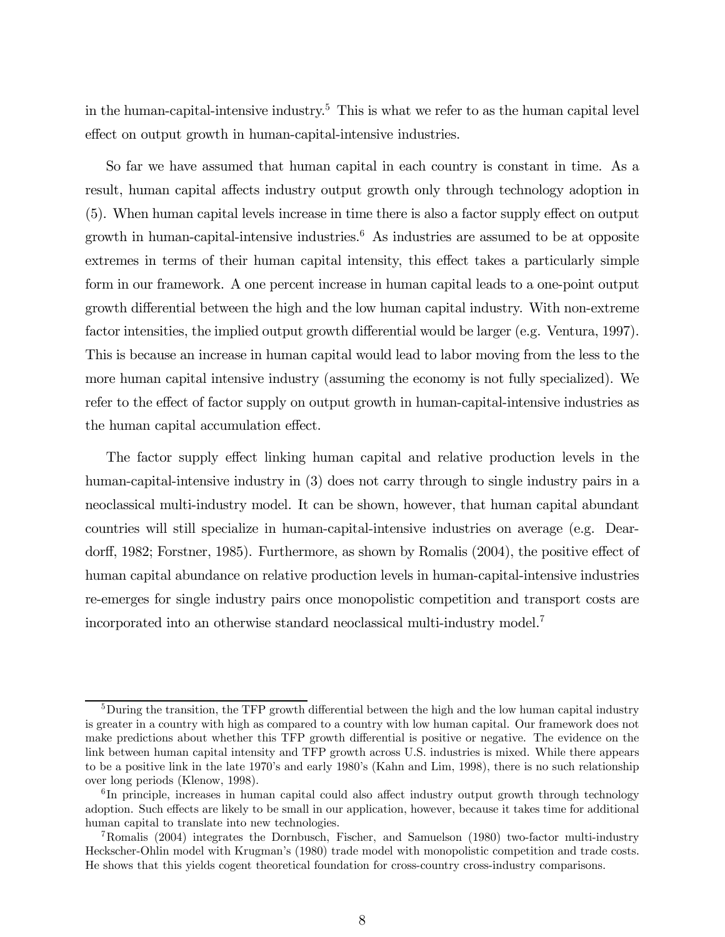in the human-capital-intensive industry.<sup>5</sup> This is what we refer to as the human capital level effect on output growth in human-capital-intensive industries.

So far we have assumed that human capital in each country is constant in time. As a result, human capital affects industry output growth only through technology adoption in (5). When human capital levels increase in time there is also a factor supply effect on output growth in human-capital-intensive industries.<sup>6</sup> As industries are assumed to be at opposite extremes in terms of their human capital intensity, this effect takes a particularly simple form in our framework. A one percent increase in human capital leads to a one-point output growth differential between the high and the low human capital industry. With non-extreme factor intensities, the implied output growth differential would be larger (e.g. Ventura, 1997). This is because an increase in human capital would lead to labor moving from the less to the more human capital intensive industry (assuming the economy is not fully specialized). We refer to the effect of factor supply on output growth in human-capital-intensive industries as the human capital accumulation effect.

The factor supply effect linking human capital and relative production levels in the human-capital-intensive industry in  $(3)$  does not carry through to single industry pairs in a neoclassical multi-industry model. It can be shown, however, that human capital abundant countries will still specialize in human-capital-intensive industries on average (e.g. Deardorff, 1982; Forstner, 1985). Furthermore, as shown by Romalis (2004), the positive effect of human capital abundance on relative production levels in human-capital-intensive industries re-emerges for single industry pairs once monopolistic competition and transport costs are incorporated into an otherwise standard neoclassical multi-industry model.7

<sup>&</sup>lt;sup>5</sup>During the transition, the TFP growth differential between the high and the low human capital industry is greater in a country with high as compared to a country with low human capital. Our framework does not make predictions about whether this TFP growth differential is positive or negative. The evidence on the link between human capital intensity and TFP growth across U.S. industries is mixed. While there appears to be a positive link in the late 1970's and early 1980's (Kahn and Lim, 1998), there is no such relationship over long periods (Klenow, 1998).

<sup>&</sup>lt;sup>6</sup>In principle, increases in human capital could also affect industry output growth through technology adoption. Such effects are likely to be small in our application, however, because it takes time for additional human capital to translate into new technologies.

<sup>7</sup>Romalis (2004) integrates the Dornbusch, Fischer, and Samuelson (1980) two-factor multi-industry Heckscher-Ohlin model with Krugman's (1980) trade model with monopolistic competition and trade costs. He shows that this yields cogent theoretical foundation for cross-country cross-industry comparisons.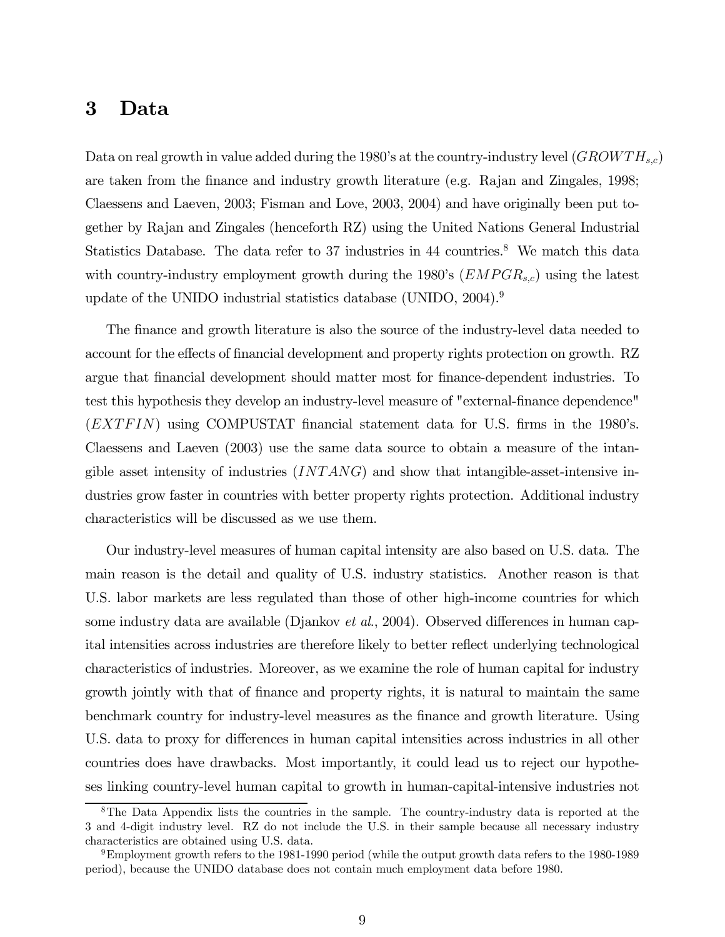## 3 Data

Data on real growth in value added during the 1980's at the country-industry level  $(GROWTH_{s,c})$ are taken from the finance and industry growth literature (e.g. Rajan and Zingales, 1998; Claessens and Laeven, 2003; Fisman and Love, 2003, 2004) and have originally been put together by Rajan and Zingales (henceforth RZ) using the United Nations General Industrial Statistics Database. The data refer to 37 industries in 44 countries.<sup>8</sup> We match this data with country-industry employment growth during the 1980's  $(EMPGR<sub>s,c</sub>)$  using the latest update of the UNIDO industrial statistics database (UNIDO, 2004).9

The finance and growth literature is also the source of the industry-level data needed to account for the effects of financial development and property rights protection on growth. RZ argue that financial development should matter most for finance-dependent industries. To test this hypothesis they develop an industry-level measure of "external-finance dependence" (EXTFIN) using COMPUSTAT financial statement data for U.S. firms in the 1980's. Claessens and Laeven (2003) use the same data source to obtain a measure of the intangible asset intensity of industries  $(INTANG)$  and show that intangible-asset-intensive industries grow faster in countries with better property rights protection. Additional industry characteristics will be discussed as we use them.

Our industry-level measures of human capital intensity are also based on U.S. data. The main reason is the detail and quality of U.S. industry statistics. Another reason is that U.S. labor markets are less regulated than those of other high-income countries for which some industry data are available (Djankov et al., 2004). Observed differences in human capital intensities across industries are therefore likely to better reflect underlying technological characteristics of industries. Moreover, as we examine the role of human capital for industry growth jointly with that of finance and property rights, it is natural to maintain the same benchmark country for industry-level measures as the finance and growth literature. Using U.S. data to proxy for differences in human capital intensities across industries in all other countries does have drawbacks. Most importantly, it could lead us to reject our hypotheses linking country-level human capital to growth in human-capital-intensive industries not

<sup>&</sup>lt;sup>8</sup>The Data Appendix lists the countries in the sample. The country-industry data is reported at the 3 and 4-digit industry level. RZ do not include the U.S. in their sample because all necessary industry characteristics are obtained using U.S. data.

<sup>9</sup>Employment growth refers to the 1981-1990 period (while the output growth data refers to the 1980-1989 period), because the UNIDO database does not contain much employment data before 1980.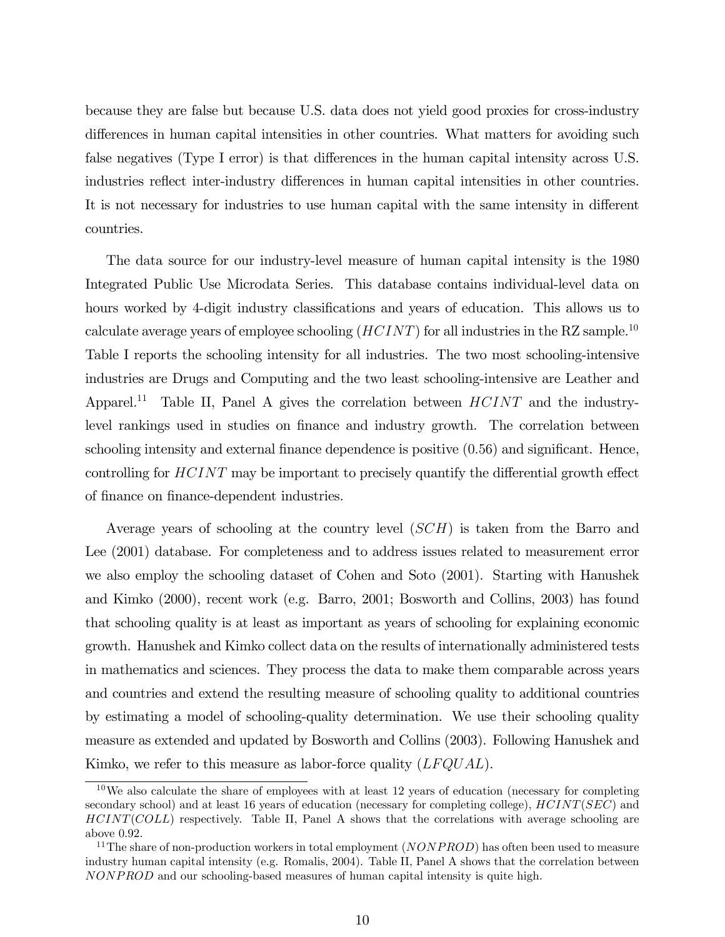because they are false but because U.S. data does not yield good proxies for cross-industry differences in human capital intensities in other countries. What matters for avoiding such false negatives (Type I error) is that differences in the human capital intensity across U.S. industries reflect inter-industry differences in human capital intensities in other countries. It is not necessary for industries to use human capital with the same intensity in different countries.

The data source for our industry-level measure of human capital intensity is the 1980 Integrated Public Use Microdata Series. This database contains individual-level data on hours worked by 4-digit industry classifications and years of education. This allows us to calculate average years of employee schooling  $(HCINT)$  for all industries in the RZ sample.<sup>10</sup> Table I reports the schooling intensity for all industries. The two most schooling-intensive industries are Drugs and Computing and the two least schooling-intensive are Leather and Apparel.<sup>11</sup> Table II, Panel A gives the correlation between  $HCINT$  and the industrylevel rankings used in studies on finance and industry growth. The correlation between schooling intensity and external finance dependence is positive (0.56) and significant. Hence, controlling for HCINT may be important to precisely quantify the differential growth effect of finance on finance-dependent industries.

Average years of schooling at the country level (SCH) is taken from the Barro and Lee (2001) database. For completeness and to address issues related to measurement error we also employ the schooling dataset of Cohen and Soto (2001). Starting with Hanushek and Kimko (2000), recent work (e.g. Barro, 2001; Bosworth and Collins, 2003) has found that schooling quality is at least as important as years of schooling for explaining economic growth. Hanushek and Kimko collect data on the results of internationally administered tests in mathematics and sciences. They process the data to make them comparable across years and countries and extend the resulting measure of schooling quality to additional countries by estimating a model of schooling-quality determination. We use their schooling quality measure as extended and updated by Bosworth and Collins (2003). Following Hanushek and Kimko, we refer to this measure as labor-force quality (*LFQUAL*).

 $10$ We also calculate the share of employees with at least 12 years of education (necessary for completing secondary school) and at least 16 years of education (necessary for completing college),  $HCINT(SEC)$  and HCINT(COLL) respectively. Table II, Panel A shows that the correlations with average schooling are above 0.92.

<sup>&</sup>lt;sup>11</sup>The share of non-production workers in total employment (NONPROD) has often been used to measure industry human capital intensity (e.g. Romalis, 2004). Table II, Panel A shows that the correlation between NONP ROD and our schooling-based measures of human capital intensity is quite high.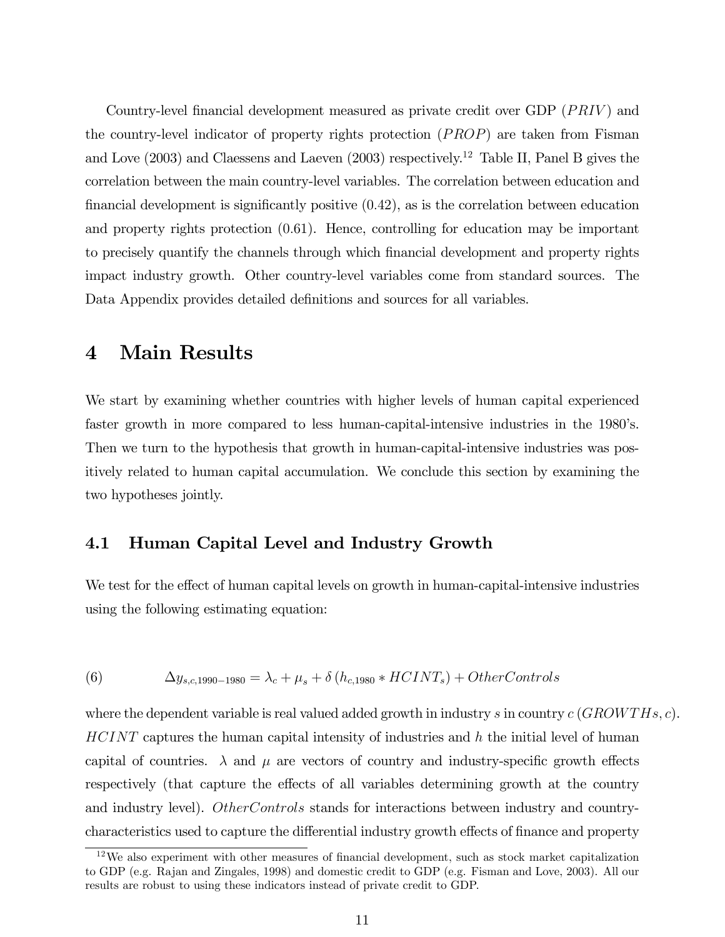Country-level financial development measured as private credit over GDP (PRIV ) and the country-level indicator of property rights protection  $(PROP)$  are taken from Fisman and Love (2003) and Claessens and Laeven (2003) respectively.12 Table II, Panel B gives the correlation between the main country-level variables. The correlation between education and financial development is significantly positive (0.42), as is the correlation between education and property rights protection (0.61). Hence, controlling for education may be important to precisely quantify the channels through which financial development and property rights impact industry growth. Other country-level variables come from standard sources. The Data Appendix provides detailed definitions and sources for all variables.

# 4 Main Results

We start by examining whether countries with higher levels of human capital experienced faster growth in more compared to less human-capital-intensive industries in the 1980's. Then we turn to the hypothesis that growth in human-capital-intensive industries was positively related to human capital accumulation. We conclude this section by examining the two hypotheses jointly.

## 4.1 Human Capital Level and Industry Growth

We test for the effect of human capital levels on growth in human-capital-intensive industries using the following estimating equation:

(6) 
$$
\Delta y_{s,c,1990-1980} = \lambda_c + \mu_s + \delta (h_{c,1980} * HCINT_s) + OtherControls
$$

where the dependent variable is real valued added growth in industry s in country  $c(GROWTHs, c)$ .  $HCINT$  captures the human capital intensity of industries and h the initial level of human capital of countries.  $\lambda$  and  $\mu$  are vectors of country and industry-specific growth effects respectively (that capture the effects of all variables determining growth at the country and industry level). OtherControls stands for interactions between industry and countrycharacteristics used to capture the differential industry growth effects of finance and property

 $12\,\text{We also experiment with other measures of financial development, such as stock market capitalization.}$ to GDP (e.g. Rajan and Zingales, 1998) and domestic credit to GDP (e.g. Fisman and Love, 2003). All our results are robust to using these indicators instead of private credit to GDP.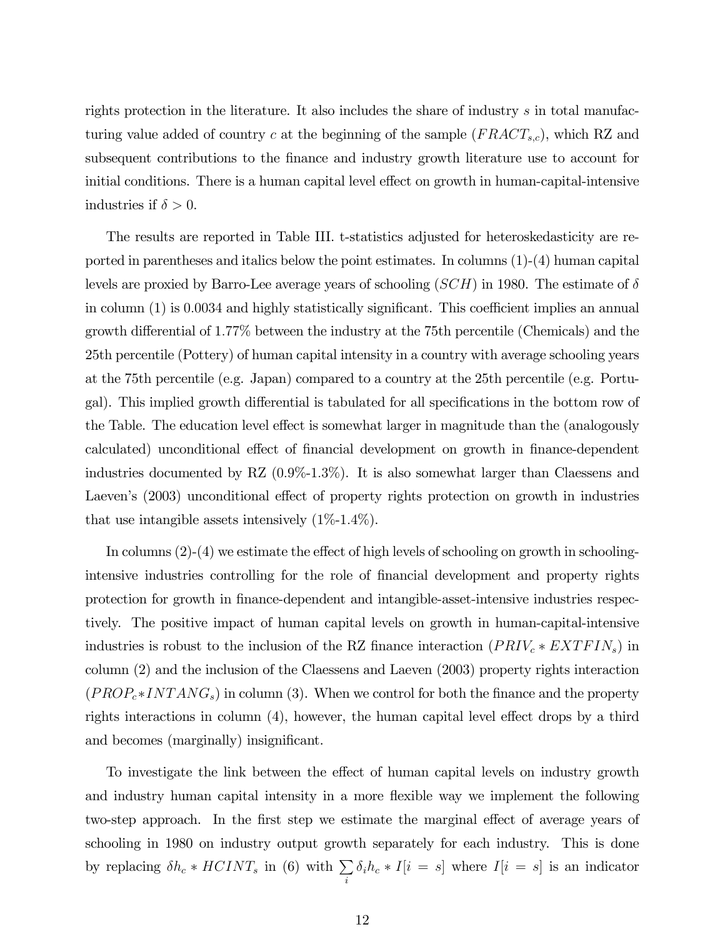rights protection in the literature. It also includes the share of industry s in total manufacturing value added of country c at the beginning of the sample  $(FRACT_{s,c})$ , which RZ and subsequent contributions to the finance and industry growth literature use to account for initial conditions. There is a human capital level effect on growth in human-capital-intensive industries if  $\delta > 0$ .

The results are reported in Table III. t-statistics adjusted for heteroskedasticity are reported in parentheses and italics below the point estimates. In columns (1)-(4) human capital levels are proxied by Barro-Lee average years of schooling  $(SCH)$  in 1980. The estimate of  $\delta$ in column (1) is 0.0034 and highly statistically significant. This coefficient implies an annual growth differential of 1.77% between the industry at the 75th percentile (Chemicals) and the 25th percentile (Pottery) of human capital intensity in a country with average schooling years at the 75th percentile (e.g. Japan) compared to a country at the 25th percentile (e.g. Portugal). This implied growth differential is tabulated for all specifications in the bottom row of the Table. The education level effect is somewhat larger in magnitude than the (analogously calculated) unconditional effect of financial development on growth in finance-dependent industries documented by RZ (0.9%-1.3%). It is also somewhat larger than Claessens and Laeven's (2003) unconditional effect of property rights protection on growth in industries that use intangible assets intensively  $(1\% - 1.4\%)$ .

In columns (2)-(4) we estimate the effect of high levels of schooling on growth in schoolingintensive industries controlling for the role of financial development and property rights protection for growth in finance-dependent and intangible-asset-intensive industries respectively. The positive impact of human capital levels on growth in human-capital-intensive industries is robust to the inclusion of the RZ finance interaction  $(PRIV_c * EXTFIN_s)$  in column (2) and the inclusion of the Claessens and Laeven (2003) property rights interaction  $(PROP<sub>c</sub>*INTANG<sub>s</sub>)$  in column (3). When we control for both the finance and the property rights interactions in column (4), however, the human capital level effect drops by a third and becomes (marginally) insignificant.

To investigate the link between the effect of human capital levels on industry growth and industry human capital intensity in a more flexible way we implement the following two-step approach. In the first step we estimate the marginal effect of average years of schooling in 1980 on industry output growth separately for each industry. This is done by replacing  $\delta h_c * HCINT_s$  in (6) with  $\sum_i \delta_i h_c * I[i = s]$  where  $I[i = s]$  is an indicator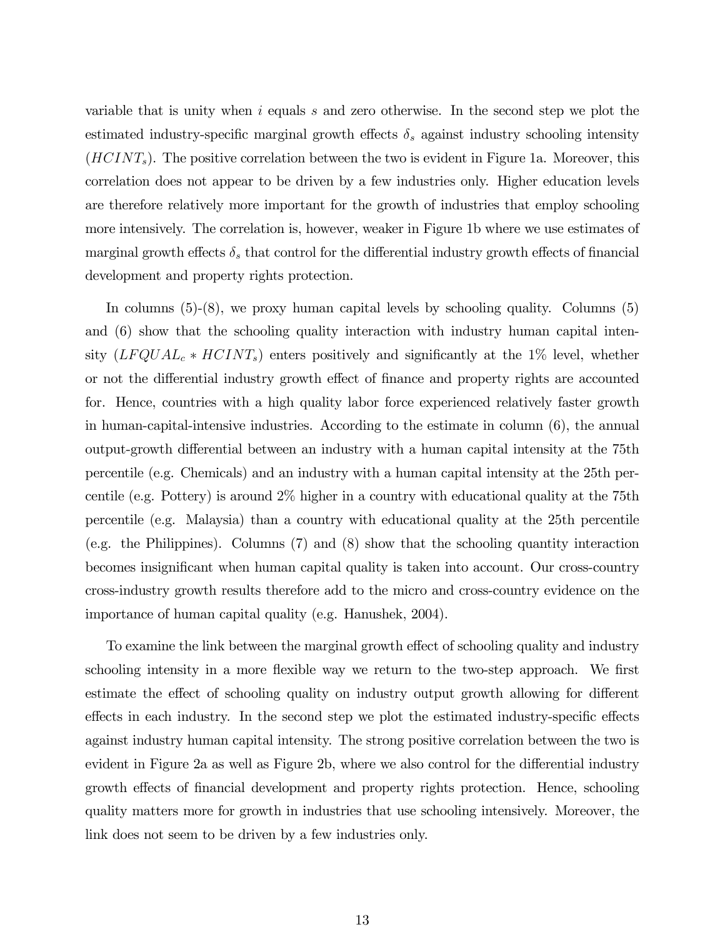variable that is unity when  $i$  equals s and zero otherwise. In the second step we plot the estimated industry-specific marginal growth effects  $\delta_s$  against industry schooling intensity  $(HCINT<sub>s</sub>)$ . The positive correlation between the two is evident in Figure 1a. Moreover, this correlation does not appear to be driven by a few industries only. Higher education levels are therefore relatively more important for the growth of industries that employ schooling more intensively. The correlation is, however, weaker in Figure 1b where we use estimates of marginal growth effects  $\delta_s$  that control for the differential industry growth effects of financial development and property rights protection.

In columns (5)-(8), we proxy human capital levels by schooling quality. Columns (5) and (6) show that the schooling quality interaction with industry human capital intensity  $(LFQUAL<sub>c</sub> * HCINT<sub>s</sub>)$  enters positively and significantly at the 1% level, whether or not the differential industry growth effect of finance and property rights are accounted for. Hence, countries with a high quality labor force experienced relatively faster growth in human-capital-intensive industries. According to the estimate in column (6), the annual output-growth differential between an industry with a human capital intensity at the 75th percentile (e.g. Chemicals) and an industry with a human capital intensity at the 25th percentile (e.g. Pottery) is around 2% higher in a country with educational quality at the 75th percentile (e.g. Malaysia) than a country with educational quality at the 25th percentile (e.g. the Philippines). Columns (7) and (8) show that the schooling quantity interaction becomes insignificant when human capital quality is taken into account. Our cross-country cross-industry growth results therefore add to the micro and cross-country evidence on the importance of human capital quality (e.g. Hanushek, 2004).

To examine the link between the marginal growth effect of schooling quality and industry schooling intensity in a more flexible way we return to the two-step approach. We first estimate the effect of schooling quality on industry output growth allowing for different effects in each industry. In the second step we plot the estimated industry-specific effects against industry human capital intensity. The strong positive correlation between the two is evident in Figure 2a as well as Figure 2b, where we also control for the differential industry growth effects of financial development and property rights protection. Hence, schooling quality matters more for growth in industries that use schooling intensively. Moreover, the link does not seem to be driven by a few industries only.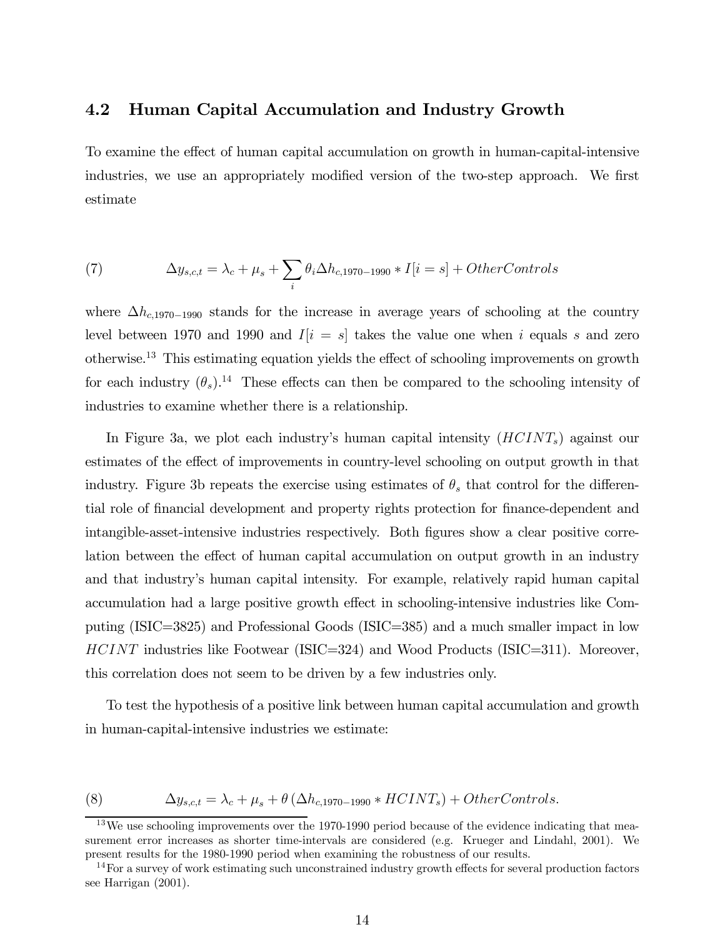### 4.2 Human Capital Accumulation and Industry Growth

To examine the effect of human capital accumulation on growth in human-capital-intensive industries, we use an appropriately modified version of the two-step approach. We first estimate

(7) 
$$
\Delta y_{s,c,t} = \lambda_c + \mu_s + \sum_i \theta_i \Delta h_{c,1970-1990} * I[i = s] + OtherControls
$$

where  $\Delta h_{c,1970-1990}$  stands for the increase in average years of schooling at the country level between 1970 and 1990 and  $I[i = s]$  takes the value one when i equals s and zero otherwise.13 This estimating equation yields the effect of schooling improvements on growth for each industry  $(\theta_s)^{14}$ . These effects can then be compared to the schooling intensity of industries to examine whether there is a relationship.

In Figure 3a, we plot each industry's human capital intensity  $(HCINT_s)$  against our estimates of the effect of improvements in country-level schooling on output growth in that industry. Figure 3b repeats the exercise using estimates of  $\theta_s$  that control for the differential role of financial development and property rights protection for finance-dependent and intangible-asset-intensive industries respectively. Both figures show a clear positive correlation between the effect of human capital accumulation on output growth in an industry and that industry's human capital intensity. For example, relatively rapid human capital accumulation had a large positive growth effect in schooling-intensive industries like Computing (ISIC=3825) and Professional Goods (ISIC=385) and a much smaller impact in low HCINT industries like Footwear (ISIC=324) and Wood Products (ISIC=311). Moreover, this correlation does not seem to be driven by a few industries only.

To test the hypothesis of a positive link between human capital accumulation and growth in human-capital-intensive industries we estimate:

(8) 
$$
\Delta y_{s,c,t} = \lambda_c + \mu_s + \theta \left( \Delta h_{c,1970-1990} * HCINT_s \right) + OtherControls.
$$

<sup>&</sup>lt;sup>13</sup>We use schooling improvements over the 1970-1990 period because of the evidence indicating that measurement error increases as shorter time-intervals are considered (e.g. Krueger and Lindahl, 2001). We present results for the 1980-1990 period when examining the robustness of our results.

 $14$  For a survey of work estimating such unconstrained industry growth effects for several production factors see Harrigan (2001).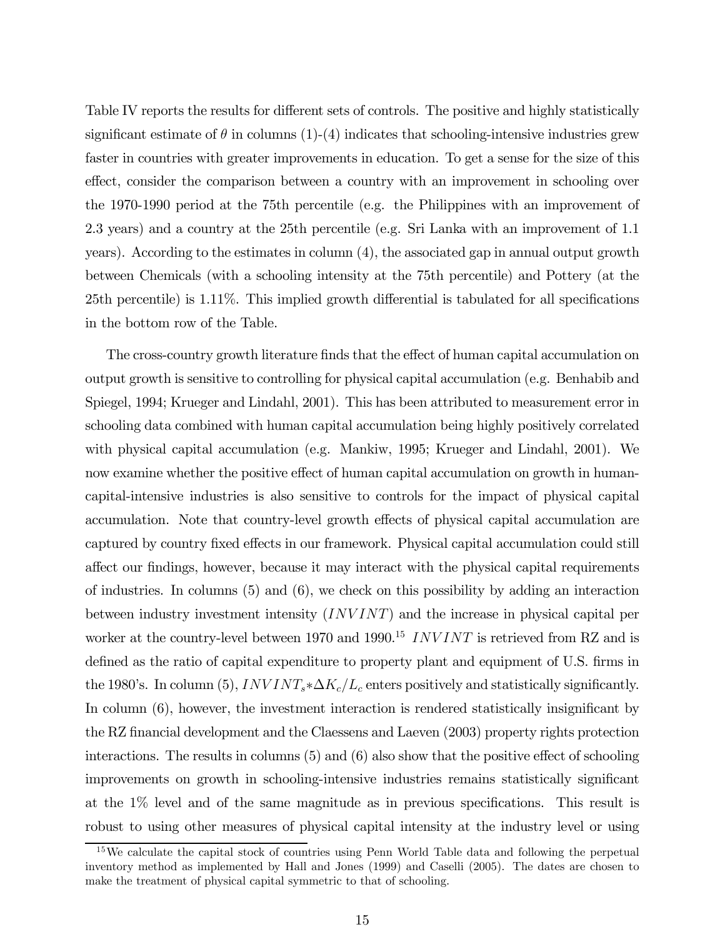Table IV reports the results for different sets of controls. The positive and highly statistically significant estimate of  $\theta$  in columns (1)-(4) indicates that schooling-intensive industries grew faster in countries with greater improvements in education. To get a sense for the size of this effect, consider the comparison between a country with an improvement in schooling over the 1970-1990 period at the 75th percentile (e.g. the Philippines with an improvement of 2.3 years) and a country at the 25th percentile (e.g. Sri Lanka with an improvement of 1.1 years). According to the estimates in column (4), the associated gap in annual output growth between Chemicals (with a schooling intensity at the 75th percentile) and Pottery (at the 25th percentile) is 1.11%. This implied growth differential is tabulated for all specifications in the bottom row of the Table.

The cross-country growth literature finds that the effect of human capital accumulation on output growth is sensitive to controlling for physical capital accumulation (e.g. Benhabib and Spiegel, 1994; Krueger and Lindahl, 2001). This has been attributed to measurement error in schooling data combined with human capital accumulation being highly positively correlated with physical capital accumulation (e.g. Mankiw, 1995; Krueger and Lindahl, 2001). We now examine whether the positive effect of human capital accumulation on growth in humancapital-intensive industries is also sensitive to controls for the impact of physical capital accumulation. Note that country-level growth effects of physical capital accumulation are captured by country fixed effects in our framework. Physical capital accumulation could still affect our findings, however, because it may interact with the physical capital requirements of industries. In columns (5) and (6), we check on this possibility by adding an interaction between industry investment intensity (INV INT) and the increase in physical capital per worker at the country-level between 1970 and 1990.<sup>15</sup> INVINT is retrieved from RZ and is defined as the ratio of capital expenditure to property plant and equipment of U.S. firms in the 1980's. In column (5),  $INVINT_s * \Delta K_c/L_c$  enters positively and statistically significantly. In column (6), however, the investment interaction is rendered statistically insignificant by the RZ financial development and the Claessens and Laeven (2003) property rights protection interactions. The results in columns (5) and (6) also show that the positive effect of schooling improvements on growth in schooling-intensive industries remains statistically significant at the 1% level and of the same magnitude as in previous specifications. This result is robust to using other measures of physical capital intensity at the industry level or using

<sup>&</sup>lt;sup>15</sup>We calculate the capital stock of countries using Penn World Table data and following the perpetual inventory method as implemented by Hall and Jones (1999) and Caselli (2005). The dates are chosen to make the treatment of physical capital symmetric to that of schooling.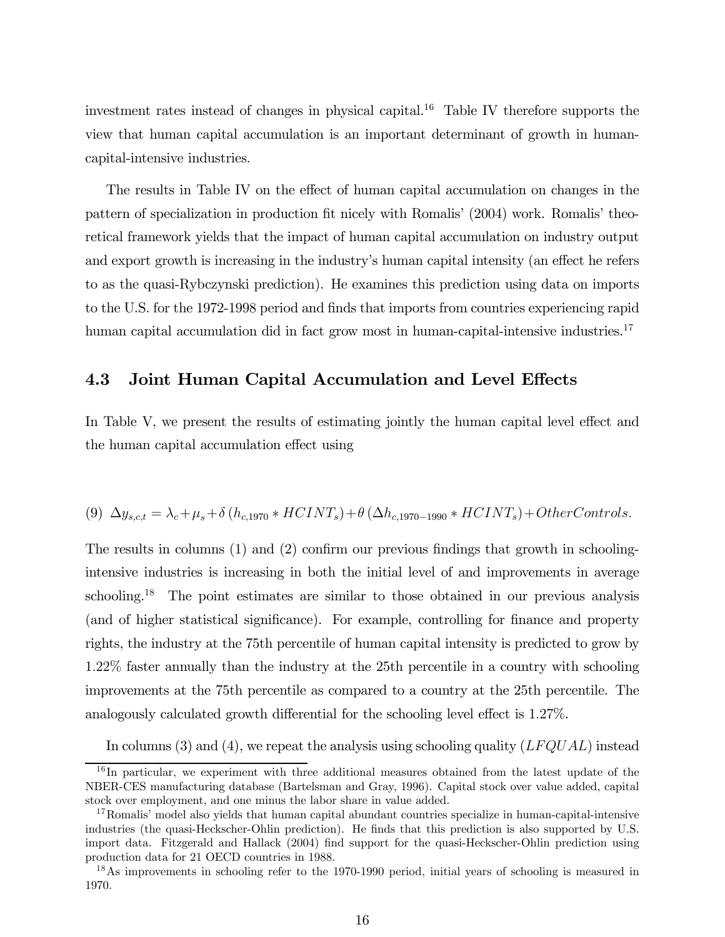investment rates instead of changes in physical capital.<sup>16</sup> Table IV therefore supports the view that human capital accumulation is an important determinant of growth in humancapital-intensive industries.

The results in Table IV on the effect of human capital accumulation on changes in the pattern of specialization in production fit nicely with Romalis' (2004) work. Romalis' theoretical framework yields that the impact of human capital accumulation on industry output and export growth is increasing in the industry's human capital intensity (an effect he refers to as the quasi-Rybczynski prediction). He examines this prediction using data on imports to the U.S. for the 1972-1998 period and finds that imports from countries experiencing rapid human capital accumulation did in fact grow most in human-capital-intensive industries.<sup>17</sup>

## 4.3 Joint Human Capital Accumulation and Level Effects

In Table V, we present the results of estimating jointly the human capital level effect and the human capital accumulation effect using

$$
(9) \ \Delta y_{s,c,t} = \lambda_c + \mu_s + \delta \left( h_{c,1970} * HCINT_s \right) + \theta \left( \Delta h_{c,1970-1990} * HCINT_s \right) + OtherControls.
$$

The results in columns (1) and (2) confirm our previous findings that growth in schoolingintensive industries is increasing in both the initial level of and improvements in average schooling.<sup>18</sup> The point estimates are similar to those obtained in our previous analysis (and of higher statistical significance). For example, controlling for finance and property rights, the industry at the 75th percentile of human capital intensity is predicted to grow by 1.22% faster annually than the industry at the 25th percentile in a country with schooling improvements at the 75th percentile as compared to a country at the 25th percentile. The analogously calculated growth differential for the schooling level effect is 1.27%.

In columns (3) and (4), we repeat the analysis using schooling quality  $(LFQUAL)$  instead

<sup>&</sup>lt;sup>16</sup>In particular, we experiment with three additional measures obtained from the latest update of the NBER-CES manufacturing database (Bartelsman and Gray, 1996). Capital stock over value added, capital stock over employment, and one minus the labor share in value added.

<sup>&</sup>lt;sup>17</sup>Romalis' model also yields that human capital abundant countries specialize in human-capital-intensive industries (the quasi-Heckscher-Ohlin prediction). He finds that this prediction is also supported by U.S. import data. Fitzgerald and Hallack (2004) find support for the quasi-Heckscher-Ohlin prediction using production data for 21 OECD countries in 1988.

<sup>&</sup>lt;sup>18</sup>As improvements in schooling refer to the 1970-1990 period, initial years of schooling is measured in 1970.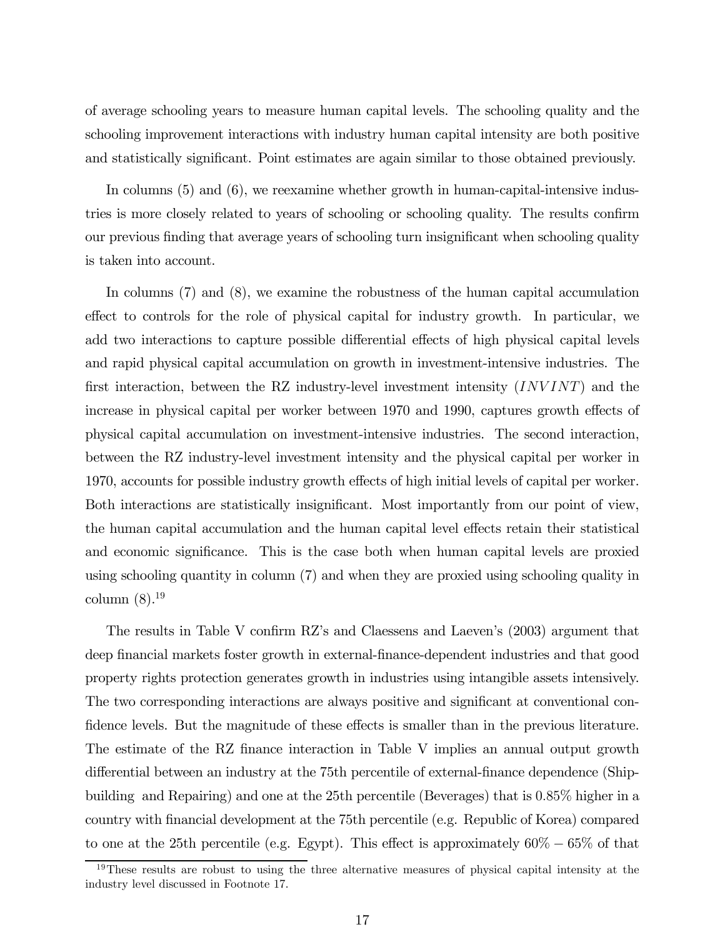of average schooling years to measure human capital levels. The schooling quality and the schooling improvement interactions with industry human capital intensity are both positive and statistically significant. Point estimates are again similar to those obtained previously.

In columns (5) and (6), we reexamine whether growth in human-capital-intensive industries is more closely related to years of schooling or schooling quality. The results confirm our previous finding that average years of schooling turn insignificant when schooling quality is taken into account.

In columns (7) and (8), we examine the robustness of the human capital accumulation effect to controls for the role of physical capital for industry growth. In particular, we add two interactions to capture possible differential effects of high physical capital levels and rapid physical capital accumulation on growth in investment-intensive industries. The first interaction, between the RZ industry-level investment intensity  $(INVINT)$  and the increase in physical capital per worker between 1970 and 1990, captures growth effects of physical capital accumulation on investment-intensive industries. The second interaction, between the RZ industry-level investment intensity and the physical capital per worker in 1970, accounts for possible industry growth effects of high initial levels of capital per worker. Both interactions are statistically insignificant. Most importantly from our point of view, the human capital accumulation and the human capital level effects retain their statistical and economic significance. This is the case both when human capital levels are proxied using schooling quantity in column (7) and when they are proxied using schooling quality in column  $(8).^{19}$ 

The results in Table V confirm RZ's and Claessens and Laeven's (2003) argument that deep financial markets foster growth in external-finance-dependent industries and that good property rights protection generates growth in industries using intangible assets intensively. The two corresponding interactions are always positive and significant at conventional confidence levels. But the magnitude of these effects is smaller than in the previous literature. The estimate of the RZ finance interaction in Table V implies an annual output growth differential between an industry at the 75th percentile of external-finance dependence (Shipbuilding and Repairing) and one at the 25th percentile (Beverages) that is 0.85% higher in a country with financial development at the 75th percentile (e.g. Republic of Korea) compared to one at the 25th percentile (e.g. Egypt). This effect is approximately 60% − 65% of that

<sup>&</sup>lt;sup>19</sup>These results are robust to using the three alternative measures of physical capital intensity at the industry level discussed in Footnote 17.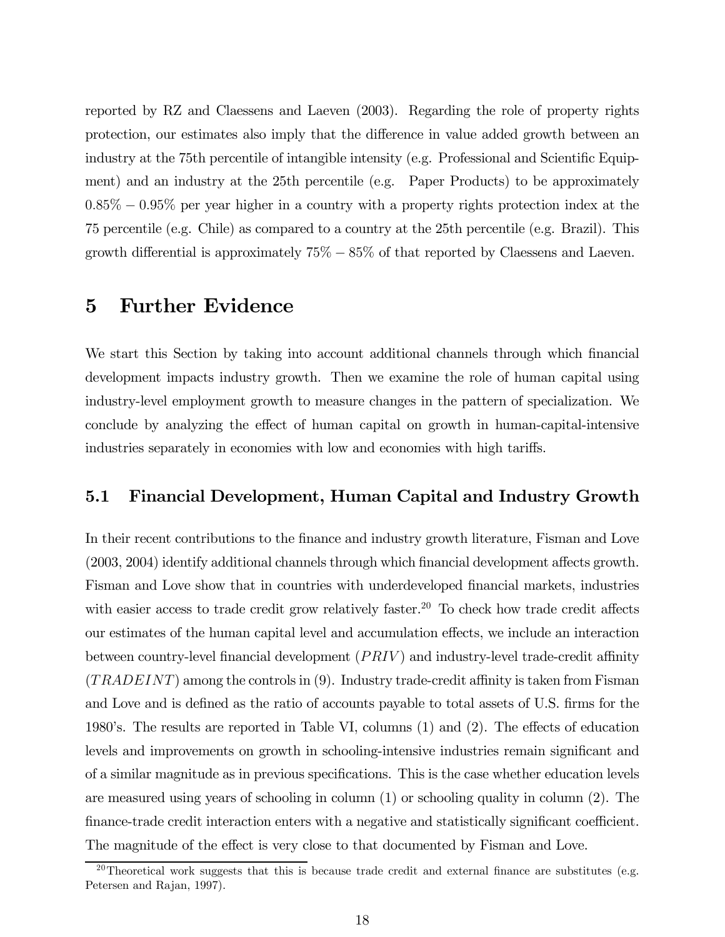reported by RZ and Claessens and Laeven (2003). Regarding the role of property rights protection, our estimates also imply that the difference in value added growth between an industry at the 75th percentile of intangible intensity (e.g. Professional and Scientific Equipment) and an industry at the 25th percentile (e.g. Paper Products) to be approximately 0.85% − 0.95% per year higher in a country with a property rights protection index at the 75 percentile (e.g. Chile) as compared to a country at the 25th percentile (e.g. Brazil). This growth differential is approximately 75% − 85% of that reported by Claessens and Laeven.

## 5 Further Evidence

We start this Section by taking into account additional channels through which financial development impacts industry growth. Then we examine the role of human capital using industry-level employment growth to measure changes in the pattern of specialization. We conclude by analyzing the effect of human capital on growth in human-capital-intensive industries separately in economies with low and economies with high tariffs.

## 5.1 Financial Development, Human Capital and Industry Growth

In their recent contributions to the finance and industry growth literature, Fisman and Love (2003, 2004) identify additional channels through which financial development affects growth. Fisman and Love show that in countries with underdeveloped financial markets, industries with easier access to trade credit grow relatively faster.<sup>20</sup> To check how trade credit affects our estimates of the human capital level and accumulation effects, we include an interaction between country-level financial development  $(PRIV)$  and industry-level trade-credit affinity  $(TRADEINT)$  among the controls in (9). Industry trade-credit affinity is taken from Fisman and Love and is defined as the ratio of accounts payable to total assets of U.S. firms for the 1980's. The results are reported in Table VI, columns (1) and (2). The effects of education levels and improvements on growth in schooling-intensive industries remain significant and of a similar magnitude as in previous specifications. This is the case whether education levels are measured using years of schooling in column (1) or schooling quality in column (2). The finance-trade credit interaction enters with a negative and statistically significant coefficient. The magnitude of the effect is very close to that documented by Fisman and Love.

<sup>&</sup>lt;sup>20</sup>Theoretical work suggests that this is because trade credit and external finance are substitutes (e.g. Petersen and Rajan, 1997).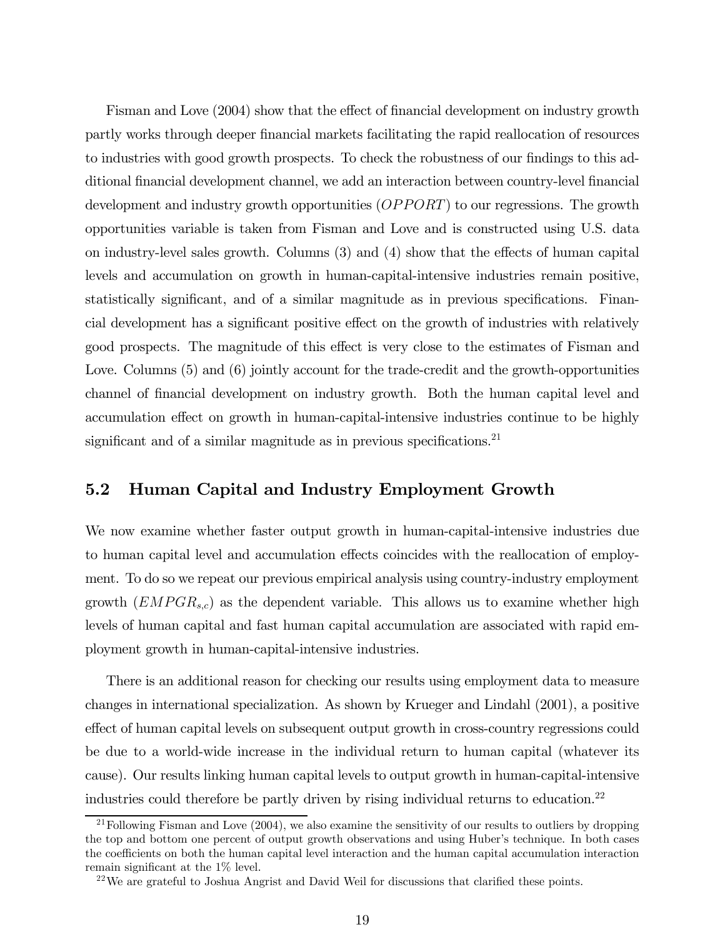Fisman and Love (2004) show that the effect of financial development on industry growth partly works through deeper financial markets facilitating the rapid reallocation of resources to industries with good growth prospects. To check the robustness of our findings to this additional financial development channel, we add an interaction between country-level financial development and industry growth opportunities (*OPPORT*) to our regressions. The growth opportunities variable is taken from Fisman and Love and is constructed using U.S. data on industry-level sales growth. Columns (3) and (4) show that the effects of human capital levels and accumulation on growth in human-capital-intensive industries remain positive, statistically significant, and of a similar magnitude as in previous specifications. Financial development has a significant positive effect on the growth of industries with relatively good prospects. The magnitude of this effect is very close to the estimates of Fisman and Love. Columns (5) and (6) jointly account for the trade-credit and the growth-opportunities channel of financial development on industry growth. Both the human capital level and accumulation effect on growth in human-capital-intensive industries continue to be highly significant and of a similar magnitude as in previous specifications. $^{21}$ 

## 5.2 Human Capital and Industry Employment Growth

We now examine whether faster output growth in human-capital-intensive industries due to human capital level and accumulation effects coincides with the reallocation of employment. To do so we repeat our previous empirical analysis using country-industry employment growth  $(EMPGR<sub>s,c</sub>)$  as the dependent variable. This allows us to examine whether high levels of human capital and fast human capital accumulation are associated with rapid employment growth in human-capital-intensive industries.

There is an additional reason for checking our results using employment data to measure changes in international specialization. As shown by Krueger and Lindahl (2001), a positive effect of human capital levels on subsequent output growth in cross-country regressions could be due to a world-wide increase in the individual return to human capital (whatever its cause). Our results linking human capital levels to output growth in human-capital-intensive industries could therefore be partly driven by rising individual returns to education.22

<sup>&</sup>lt;sup>21</sup> Following Fisman and Love (2004), we also examine the sensitivity of our results to outliers by dropping the top and bottom one percent of output growth observations and using Huber's technique. In both cases the coefficients on both the human capital level interaction and the human capital accumulation interaction remain significant at the 1% level.

 $^{22}$ We are grateful to Joshua Angrist and David Weil for discussions that clarified these points.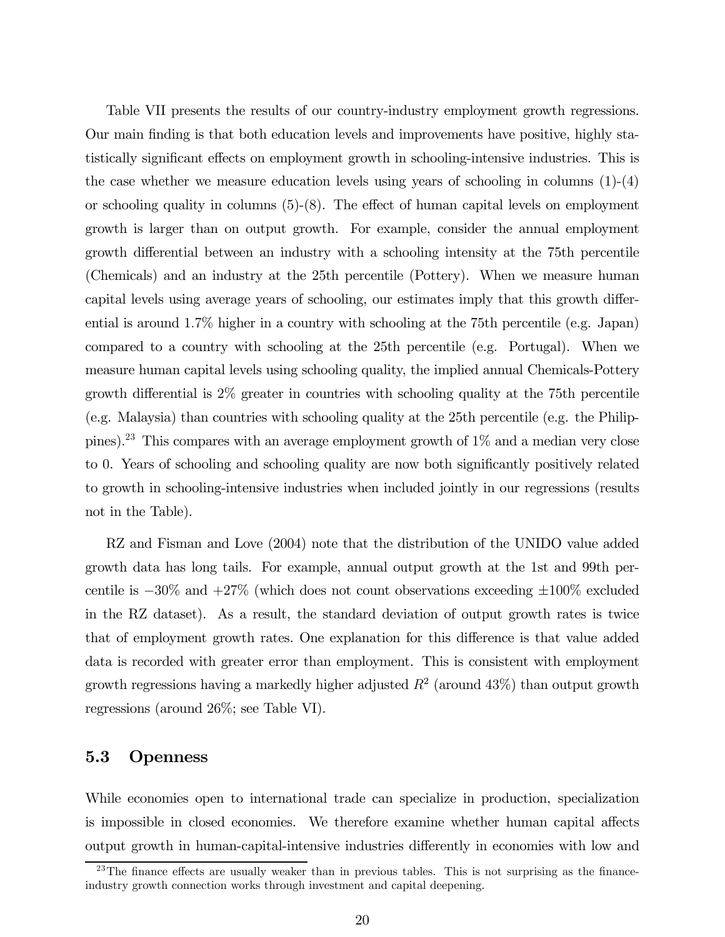Table VII presents the results of our country-industry employment growth regressions. Our main finding is that both education levels and improvements have positive, highly statistically significant effects on employment growth in schooling-intensive industries. This is the case whether we measure education levels using years of schooling in columns  $(1)-(4)$ or schooling quality in columns (5)-(8). The effect of human capital levels on employment growth is larger than on output growth. For example, consider the annual employment growth differential between an industry with a schooling intensity at the 75th percentile (Chemicals) and an industry at the 25th percentile (Pottery). When we measure human capital levels using average years of schooling, our estimates imply that this growth differential is around 1.7% higher in a country with schooling at the 75th percentile (e.g. Japan) compared to a country with schooling at the 25th percentile (e.g. Portugal). When we measure human capital levels using schooling quality, the implied annual Chemicals-Pottery growth differential is 2% greater in countries with schooling quality at the 75th percentile (e.g. Malaysia) than countries with schooling quality at the 25th percentile (e.g. the Philippines).23 This compares with an average employment growth of 1% and a median very close to 0. Years of schooling and schooling quality are now both significantly positively related to growth in schooling-intensive industries when included jointly in our regressions (results not in the Table).

RZ and Fisman and Love (2004) note that the distribution of the UNIDO value added growth data has long tails. For example, annual output growth at the 1st and 99th percentile is  $-30\%$  and  $+27\%$  (which does not count observations exceeding  $\pm 100\%$  excluded in the RZ dataset). As a result, the standard deviation of output growth rates is twice that of employment growth rates. One explanation for this difference is that value added data is recorded with greater error than employment. This is consistent with employment growth regressions having a markedly higher adjusted  $R^2$  (around 43%) than output growth regressions (around 26%; see Table VI).

## 5.3 Openness

While economies open to international trade can specialize in production, specialization is impossible in closed economies. We therefore examine whether human capital affects output growth in human-capital-intensive industries differently in economies with low and

 $^{23}$ The finance effects are usually weaker than in previous tables. This is not surprising as the financeindustry growth connection works through investment and capital deepening.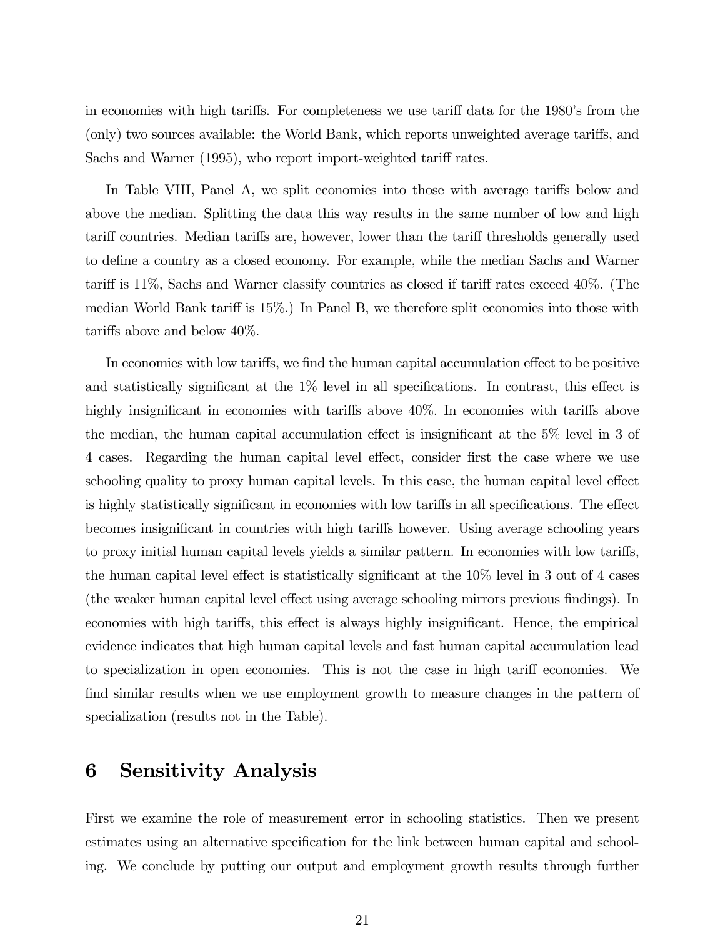in economies with high tariffs. For completeness we use tariff data for the 1980's from the (only) two sources available: the World Bank, which reports unweighted average tariffs, and Sachs and Warner (1995), who report import-weighted tariff rates.

In Table VIII, Panel A, we split economies into those with average tariffs below and above the median. Splitting the data this way results in the same number of low and high tariff countries. Median tariffs are, however, lower than the tariff thresholds generally used to define a country as a closed economy. For example, while the median Sachs and Warner tariff is 11%, Sachs and Warner classify countries as closed if tariff rates exceed 40%. (The median World Bank tariff is 15%.) In Panel B, we therefore split economies into those with tariffs above and below 40%.

In economies with low tariffs, we find the human capital accumulation effect to be positive and statistically significant at the 1% level in all specifications. In contrast, this effect is highly insignificant in economies with tariffs above 40%. In economies with tariffs above the median, the human capital accumulation effect is insignificant at the 5% level in 3 of 4 cases. Regarding the human capital level effect, consider first the case where we use schooling quality to proxy human capital levels. In this case, the human capital level effect is highly statistically significant in economies with low tariffs in all specifications. The effect becomes insignificant in countries with high tariffs however. Using average schooling years to proxy initial human capital levels yields a similar pattern. In economies with low tariffs, the human capital level effect is statistically significant at the 10% level in 3 out of 4 cases (the weaker human capital level effect using average schooling mirrors previous findings). In economies with high tariffs, this effect is always highly insignificant. Hence, the empirical evidence indicates that high human capital levels and fast human capital accumulation lead to specialization in open economies. This is not the case in high tariff economies. We find similar results when we use employment growth to measure changes in the pattern of specialization (results not in the Table).

## 6 Sensitivity Analysis

First we examine the role of measurement error in schooling statistics. Then we present estimates using an alternative specification for the link between human capital and schooling. We conclude by putting our output and employment growth results through further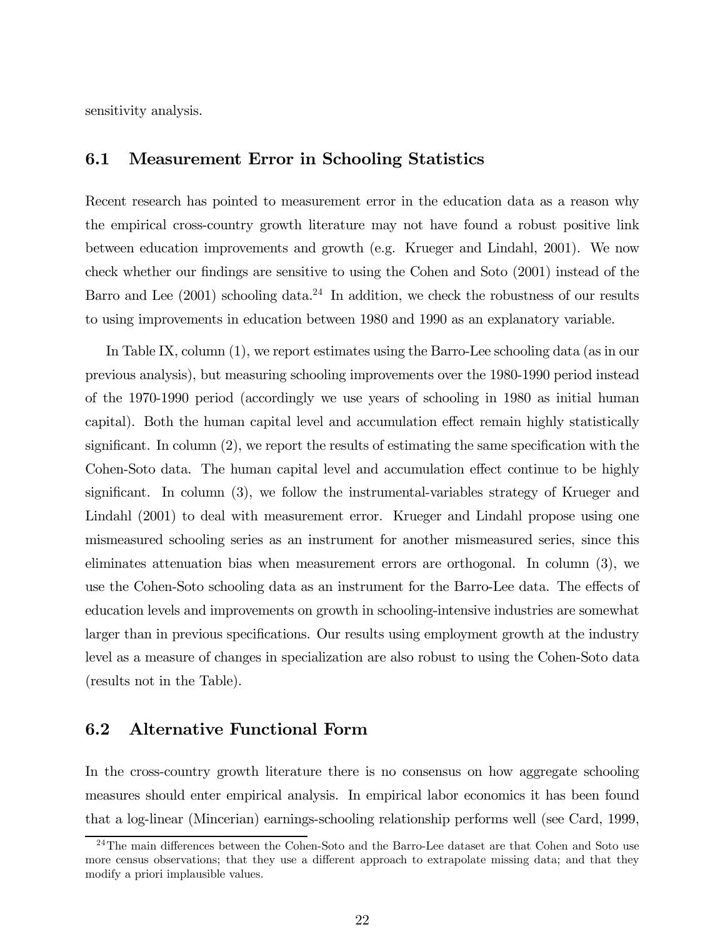sensitivity analysis.

### 6.1 Measurement Error in Schooling Statistics

Recent research has pointed to measurement error in the education data as a reason why the empirical cross-country growth literature may not have found a robust positive link between education improvements and growth (e.g. Krueger and Lindahl, 2001). We now check whether our findings are sensitive to using the Cohen and Soto (2001) instead of the Barro and Lee  $(2001)$  schooling data.<sup>24</sup> In addition, we check the robustness of our results to using improvements in education between 1980 and 1990 as an explanatory variable.

In Table IX, column (1), we report estimates using the Barro-Lee schooling data (as in our previous analysis), but measuring schooling improvements over the 1980-1990 period instead of the 1970-1990 period (accordingly we use years of schooling in 1980 as initial human capital). Both the human capital level and accumulation effect remain highly statistically significant. In column (2), we report the results of estimating the same specification with the Cohen-Soto data. The human capital level and accumulation effect continue to be highly significant. In column (3), we follow the instrumental-variables strategy of Krueger and Lindahl (2001) to deal with measurement error. Krueger and Lindahl propose using one mismeasured schooling series as an instrument for another mismeasured series, since this eliminates attenuation bias when measurement errors are orthogonal. In column (3), we use the Cohen-Soto schooling data as an instrument for the Barro-Lee data. The effects of education levels and improvements on growth in schooling-intensive industries are somewhat larger than in previous specifications. Our results using employment growth at the industry level as a measure of changes in specialization are also robust to using the Cohen-Soto data (results not in the Table).

## 6.2 Alternative Functional Form

In the cross-country growth literature there is no consensus on how aggregate schooling measures should enter empirical analysis. In empirical labor economics it has been found that a log-linear (Mincerian) earnings-schooling relationship performs well (see Card, 1999,

<sup>&</sup>lt;sup>24</sup>The main differences between the Cohen-Soto and the Barro-Lee dataset are that Cohen and Soto use more census observations; that they use a different approach to extrapolate missing data; and that they modify a priori implausible values.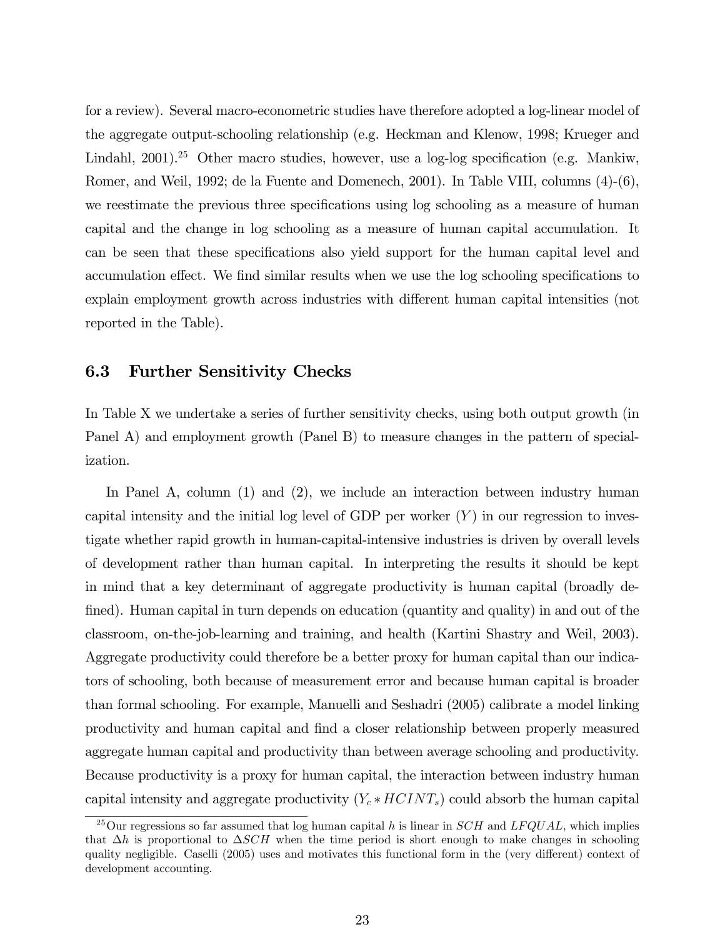for a review). Several macro-econometric studies have therefore adopted a log-linear model of the aggregate output-schooling relationship (e.g. Heckman and Klenow, 1998; Krueger and Lindahl, 2001).<sup>25</sup> Other macro studies, however, use a log-log specification (e.g. Mankiw, Romer, and Weil, 1992; de la Fuente and Domenech, 2001). In Table VIII, columns (4)-(6), we reestimate the previous three specifications using log schooling as a measure of human capital and the change in log schooling as a measure of human capital accumulation. It can be seen that these specifications also yield support for the human capital level and accumulation effect. We find similar results when we use the log schooling specifications to explain employment growth across industries with different human capital intensities (not reported in the Table).

### 6.3 Further Sensitivity Checks

In Table X we undertake a series of further sensitivity checks, using both output growth (in Panel A) and employment growth (Panel B) to measure changes in the pattern of specialization.

In Panel A, column (1) and (2), we include an interaction between industry human capital intensity and the initial log level of GDP per worker  $(Y)$  in our regression to investigate whether rapid growth in human-capital-intensive industries is driven by overall levels of development rather than human capital. In interpreting the results it should be kept in mind that a key determinant of aggregate productivity is human capital (broadly defined). Human capital in turn depends on education (quantity and quality) in and out of the classroom, on-the-job-learning and training, and health (Kartini Shastry and Weil, 2003). Aggregate productivity could therefore be a better proxy for human capital than our indicators of schooling, both because of measurement error and because human capital is broader than formal schooling. For example, Manuelli and Seshadri (2005) calibrate a model linking productivity and human capital and find a closer relationship between properly measured aggregate human capital and productivity than between average schooling and productivity. Because productivity is a proxy for human capital, the interaction between industry human capital intensity and aggregate productivity  $(Y_c * HCINT_s)$  could absorb the human capital

<sup>&</sup>lt;sup>25</sup>Our regressions so far assumed that log human capital h is linear in  $SCH$  and  $LFQUAL$ , which implies that  $\Delta h$  is proportional to  $\Delta SCH$  when the time period is short enough to make changes in schooling quality negligible. Caselli (2005) uses and motivates this functional form in the (very different) context of development accounting.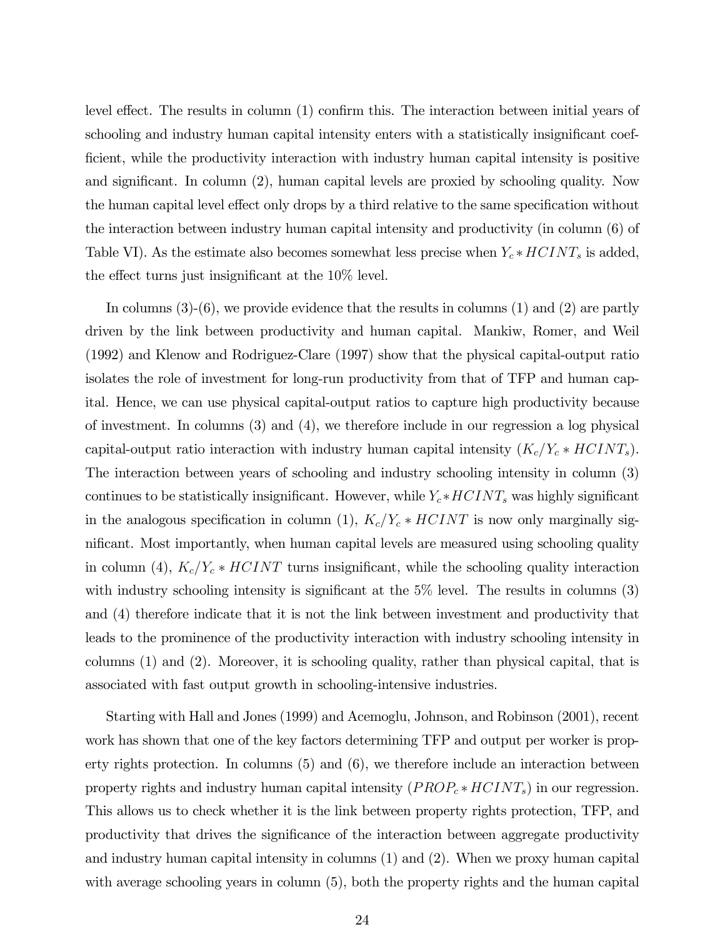level effect. The results in column (1) confirm this. The interaction between initial years of schooling and industry human capital intensity enters with a statistically insignificant coefficient, while the productivity interaction with industry human capital intensity is positive and significant. In column (2), human capital levels are proxied by schooling quality. Now the human capital level effect only drops by a third relative to the same specification without the interaction between industry human capital intensity and productivity (in column (6) of Table VI). As the estimate also becomes somewhat less precise when  $Y_c * HCINT_s$  is added, the effect turns just insignificant at the 10% level.

In columns  $(3)-(6)$ , we provide evidence that the results in columns  $(1)$  and  $(2)$  are partly driven by the link between productivity and human capital. Mankiw, Romer, and Weil (1992) and Klenow and Rodriguez-Clare (1997) show that the physical capital-output ratio isolates the role of investment for long-run productivity from that of TFP and human capital. Hence, we can use physical capital-output ratios to capture high productivity because of investment. In columns (3) and (4), we therefore include in our regression a log physical capital-output ratio interaction with industry human capital intensity  $(K_c/Y_c * HCINT_s)$ . The interaction between years of schooling and industry schooling intensity in column (3) continues to be statistically insignificant. However, while  $Y_c * HCINT_s$  was highly significant in the analogous specification in column (1),  $K_c/Y_c * HCINT$  is now only marginally significant. Most importantly, when human capital levels are measured using schooling quality in column (4),  $K_c/Y_c * HCINT$  turns insignificant, while the schooling quality interaction with industry schooling intensity is significant at the 5% level. The results in columns (3) and (4) therefore indicate that it is not the link between investment and productivity that leads to the prominence of the productivity interaction with industry schooling intensity in columns (1) and (2). Moreover, it is schooling quality, rather than physical capital, that is associated with fast output growth in schooling-intensive industries.

Starting with Hall and Jones (1999) and Acemoglu, Johnson, and Robinson (2001), recent work has shown that one of the key factors determining TFP and output per worker is property rights protection. In columns (5) and (6), we therefore include an interaction between property rights and industry human capital intensity  $(PROP_c * HCINT_s)$  in our regression. This allows us to check whether it is the link between property rights protection, TFP, and productivity that drives the significance of the interaction between aggregate productivity and industry human capital intensity in columns (1) and (2). When we proxy human capital with average schooling years in column (5), both the property rights and the human capital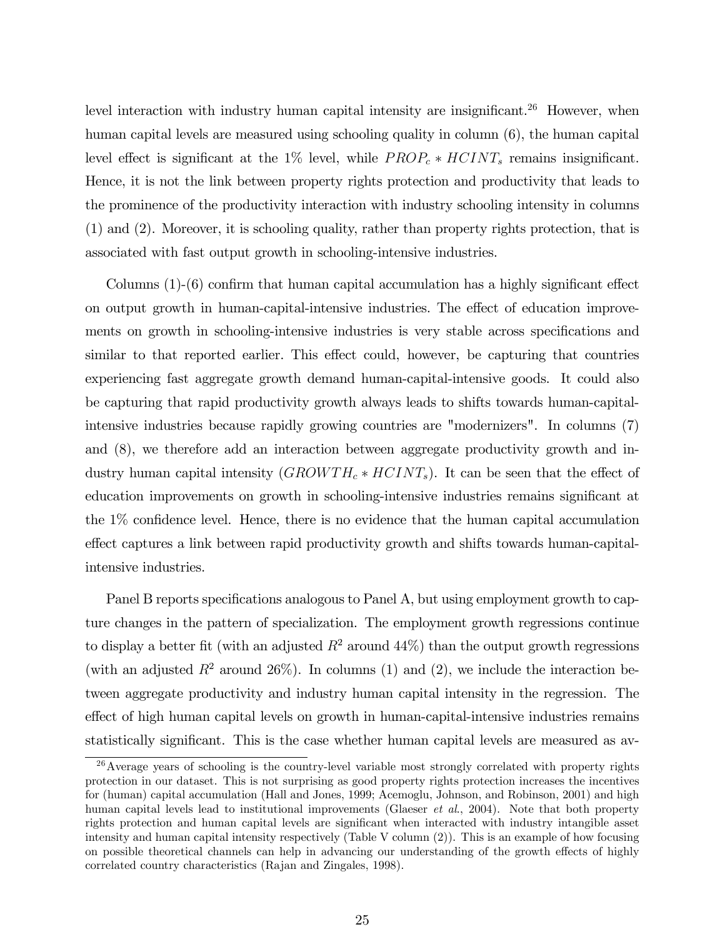level interaction with industry human capital intensity are insignificant.<sup>26</sup> However, when human capital levels are measured using schooling quality in column (6), the human capital level effect is significant at the 1% level, while  $PROP_c * HCINT_s$  remains insignificant. Hence, it is not the link between property rights protection and productivity that leads to the prominence of the productivity interaction with industry schooling intensity in columns (1) and (2). Moreover, it is schooling quality, rather than property rights protection, that is associated with fast output growth in schooling-intensive industries.

Columns (1)-(6) confirm that human capital accumulation has a highly significant effect on output growth in human-capital-intensive industries. The effect of education improvements on growth in schooling-intensive industries is very stable across specifications and similar to that reported earlier. This effect could, however, be capturing that countries experiencing fast aggregate growth demand human-capital-intensive goods. It could also be capturing that rapid productivity growth always leads to shifts towards human-capitalintensive industries because rapidly growing countries are "modernizers". In columns (7) and (8), we therefore add an interaction between aggregate productivity growth and industry human capital intensity  $(GROW TH<sub>c</sub> * HCINT<sub>s</sub>)$ . It can be seen that the effect of education improvements on growth in schooling-intensive industries remains significant at the 1% confidence level. Hence, there is no evidence that the human capital accumulation effect captures a link between rapid productivity growth and shifts towards human-capitalintensive industries.

Panel B reports specifications analogous to Panel A, but using employment growth to capture changes in the pattern of specialization. The employment growth regressions continue to display a better fit (with an adjusted  $R^2$  around  $44\%$ ) than the output growth regressions (with an adjusted  $R^2$  around 26%). In columns (1) and (2), we include the interaction between aggregate productivity and industry human capital intensity in the regression. The effect of high human capital levels on growth in human-capital-intensive industries remains statistically significant. This is the case whether human capital levels are measured as av-

<sup>&</sup>lt;sup>26</sup> Average years of schooling is the country-level variable most strongly correlated with property rights protection in our dataset. This is not surprising as good property rights protection increases the incentives for (human) capital accumulation (Hall and Jones, 1999; Acemoglu, Johnson, and Robinson, 2001) and high human capital levels lead to institutional improvements (Glaeser *et al.*, 2004). Note that both property rights protection and human capital levels are significant when interacted with industry intangible asset intensity and human capital intensity respectively (Table V column (2)). This is an example of how focusing on possible theoretical channels can help in advancing our understanding of the growth effects of highly correlated country characteristics (Rajan and Zingales, 1998).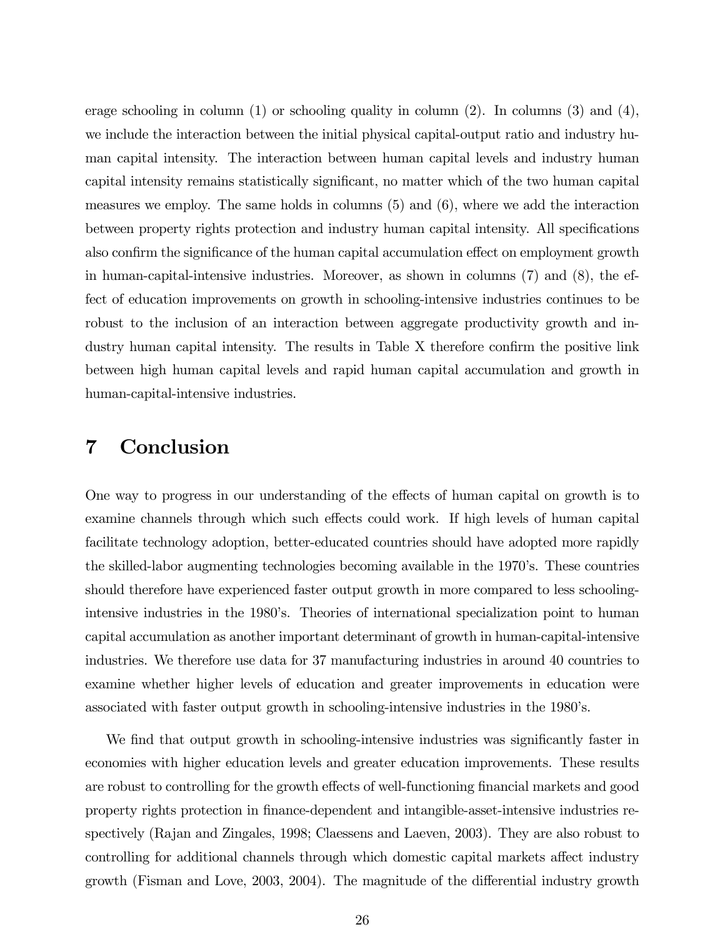erage schooling in column (1) or schooling quality in column (2). In columns (3) and (4), we include the interaction between the initial physical capital-output ratio and industry human capital intensity. The interaction between human capital levels and industry human capital intensity remains statistically significant, no matter which of the two human capital measures we employ. The same holds in columns (5) and (6), where we add the interaction between property rights protection and industry human capital intensity. All specifications also confirm the significance of the human capital accumulation effect on employment growth in human-capital-intensive industries. Moreover, as shown in columns (7) and (8), the effect of education improvements on growth in schooling-intensive industries continues to be robust to the inclusion of an interaction between aggregate productivity growth and industry human capital intensity. The results in Table X therefore confirm the positive link between high human capital levels and rapid human capital accumulation and growth in human-capital-intensive industries.

# 7 Conclusion

One way to progress in our understanding of the effects of human capital on growth is to examine channels through which such effects could work. If high levels of human capital facilitate technology adoption, better-educated countries should have adopted more rapidly the skilled-labor augmenting technologies becoming available in the 1970's. These countries should therefore have experienced faster output growth in more compared to less schoolingintensive industries in the 1980's. Theories of international specialization point to human capital accumulation as another important determinant of growth in human-capital-intensive industries. We therefore use data for 37 manufacturing industries in around 40 countries to examine whether higher levels of education and greater improvements in education were associated with faster output growth in schooling-intensive industries in the 1980's.

We find that output growth in schooling-intensive industries was significantly faster in economies with higher education levels and greater education improvements. These results are robust to controlling for the growth effects of well-functioning financial markets and good property rights protection in finance-dependent and intangible-asset-intensive industries respectively (Rajan and Zingales, 1998; Claessens and Laeven, 2003). They are also robust to controlling for additional channels through which domestic capital markets affect industry growth (Fisman and Love, 2003, 2004). The magnitude of the differential industry growth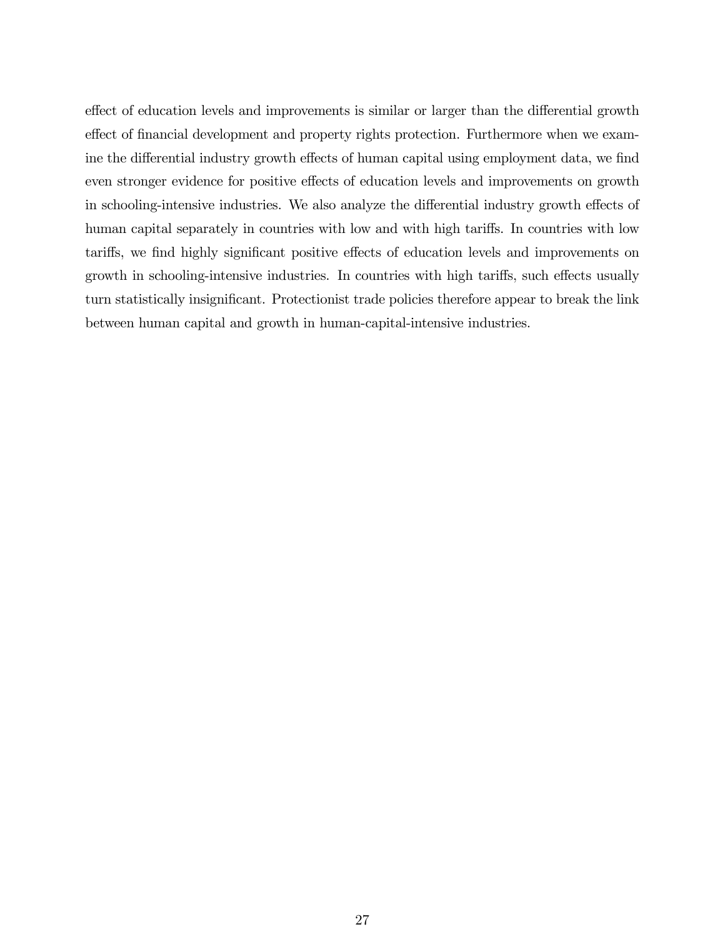effect of education levels and improvements is similar or larger than the differential growth effect of financial development and property rights protection. Furthermore when we examine the differential industry growth effects of human capital using employment data, we find even stronger evidence for positive effects of education levels and improvements on growth in schooling-intensive industries. We also analyze the differential industry growth effects of human capital separately in countries with low and with high tariffs. In countries with low tariffs, we find highly significant positive effects of education levels and improvements on growth in schooling-intensive industries. In countries with high tariffs, such effects usually turn statistically insignificant. Protectionist trade policies therefore appear to break the link between human capital and growth in human-capital-intensive industries.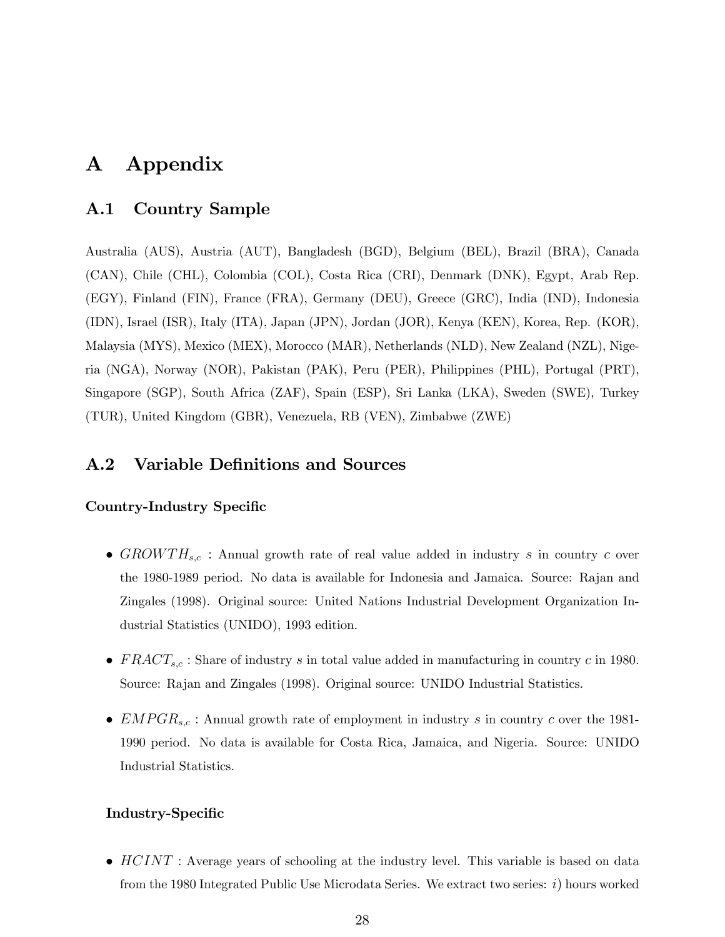# A Appendix

## A.1 Country Sample

Australia (AUS), Austria (AUT), Bangladesh (BGD), Belgium (BEL), Brazil (BRA), Canada (CAN), Chile (CHL), Colombia (COL), Costa Rica (CRI), Denmark (DNK), Egypt, Arab Rep. (EGY), Finland (FIN), France (FRA), Germany (DEU), Greece (GRC), India (IND), Indonesia (IDN), Israel (ISR), Italy (ITA), Japan (JPN), Jordan (JOR), Kenya (KEN), Korea, Rep. (KOR), Malaysia (MYS), Mexico (MEX), Morocco (MAR), Netherlands (NLD), New Zealand (NZL), Nigeria (NGA), Norway (NOR), Pakistan (PAK), Peru (PER), Philippines (PHL), Portugal (PRT), Singapore (SGP), South Africa (ZAF), Spain (ESP), Sri Lanka (LKA), Sweden (SWE), Turkey (TUR), United Kingdom (GBR), Venezuela, RB (VEN), Zimbabwe (ZWE)

## A.2 Variable Definitions and Sources

#### Country-Industry Specific

- $GROWTH_{s,c}$ : Annual growth rate of real value added in industry s in country c over the 1980-1989 period. No data is available for Indonesia and Jamaica. Source: Rajan and Zingales (1998). Original source: United Nations Industrial Development Organization Industrial Statistics (UNIDO), 1993 edition.
- $FRACT_{s,c}$ : Share of industry s in total value added in manufacturing in country c in 1980. Source: Rajan and Zingales (1998). Original source: UNIDO Industrial Statistics.
- $EMPGR_{s,c}$ : Annual growth rate of employment in industry s in country c over the 1981-1990 period. No data is available for Costa Rica, Jamaica, and Nigeria. Source: UNIDO Industrial Statistics.

#### Industry-Specific

•  $HCINT$ : Average years of schooling at the industry level. This variable is based on data from the 1980 Integrated Public Use Microdata Series. We extract two series:  $i)$  hours worked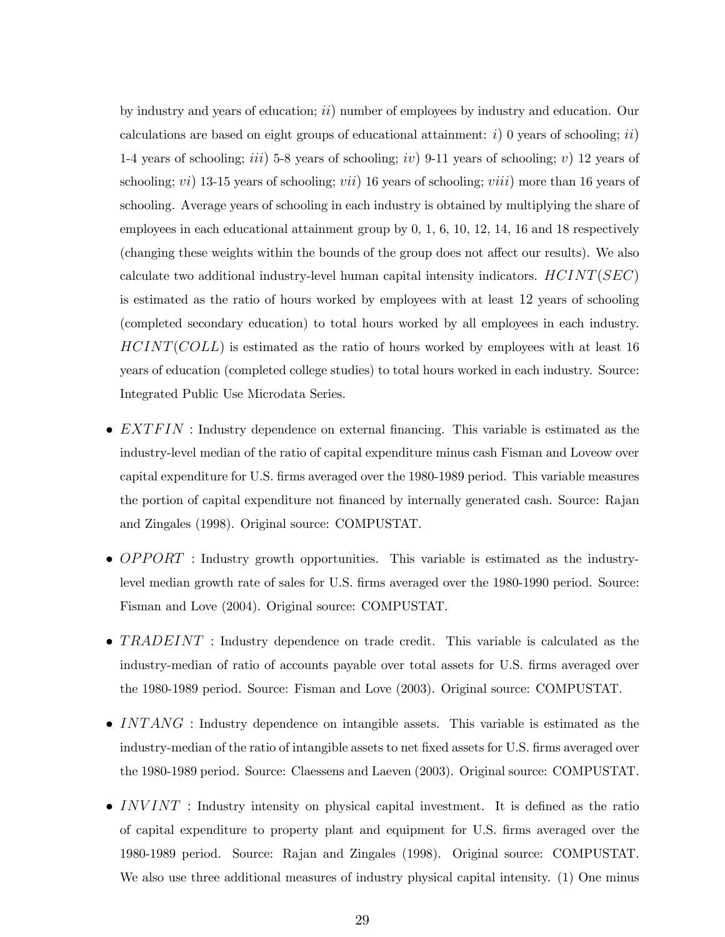by industry and years of education;  $ii)$  number of employees by industry and education. Our calculations are based on eight groups of educational attainment:  $i)$  0 years of schooling;  $ii)$ 1-4 years of schooling; iii) 5-8 years of schooling; iv) 9-11 years of schooling; v) 12 years of schooling;  $vi$ ) 13-15 years of schooling;  $vii$ ) 16 years of schooling;  $viii$ ) more than 16 years of schooling. Average years of schooling in each industry is obtained by multiplying the share of employees in each educational attainment group by 0, 1, 6, 10, 12, 14, 16 and 18 respectively (changing these weights within the bounds of the group does not affect our results). We also calculate two additional industry-level human capital intensity indicators.  $HCINT(SEC)$ is estimated as the ratio of hours worked by employees with at least 12 years of schooling (completed secondary education) to total hours worked by all employees in each industry.  $HCINT(COLL)$  is estimated as the ratio of hours worked by employees with at least 16 years of education (completed college studies) to total hours worked in each industry. Source: Integrated Public Use Microdata Series.

- $\bullet$  EXTFIN: Industry dependence on external financing. This variable is estimated as the industry-level median of the ratio of capital expenditure minus cash Fisman and Loveow over capital expenditure for U.S. firms averaged over the 1980-1989 period. This variable measures the portion of capital expenditure not financed by internally generated cash. Source: Rajan and Zingales (1998). Original source: COMPUSTAT.
- OPPORT : Industry growth opportunities. This variable is estimated as the industrylevel median growth rate of sales for U.S. firms averaged over the 1980-1990 period. Source: Fisman and Love (2004). Original source: COMPUSTAT.
- TRADEINT : Industry dependence on trade credit. This variable is calculated as the industry-median of ratio of accounts payable over total assets for U.S. firms averaged over the 1980-1989 period. Source: Fisman and Love (2003). Original source: COMPUSTAT.
- $INTANG$ : Industry dependence on intangible assets. This variable is estimated as the industry-median of the ratio of intangible assets to net fixed assets for U.S. firms averaged over the 1980-1989 period. Source: Claessens and Laeven (2003). Original source: COMPUSTAT.
- $INVINT$ : Industry intensity on physical capital investment. It is defined as the ratio of capital expenditure to property plant and equipment for U.S. firms averaged over the 1980-1989 period. Source: Rajan and Zingales (1998). Original source: COMPUSTAT. We also use three additional measures of industry physical capital intensity. (1) One minus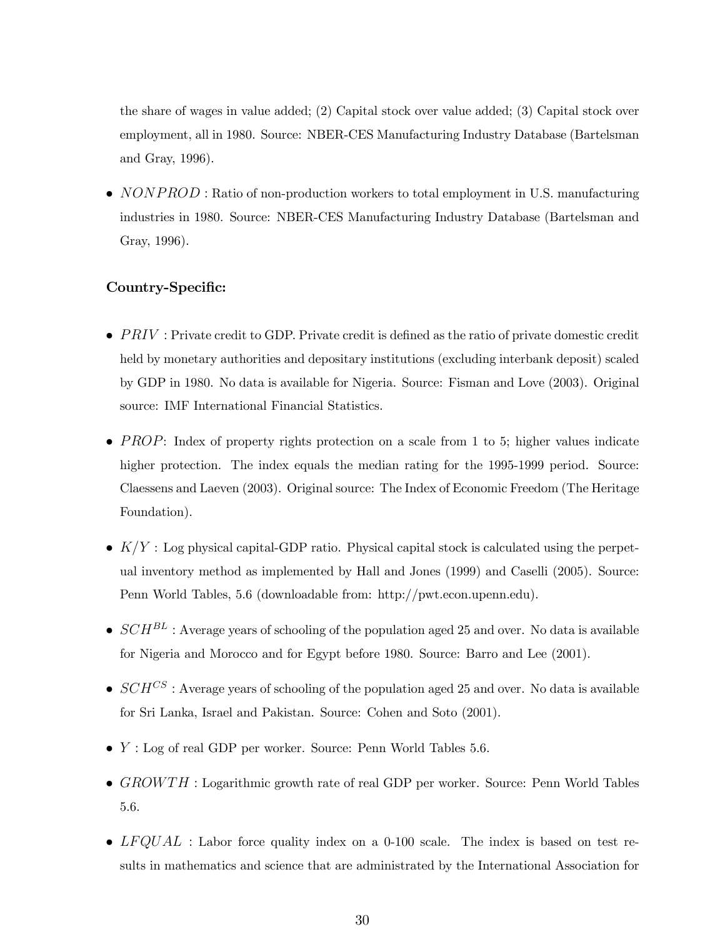the share of wages in value added; (2) Capital stock over value added; (3) Capital stock over employment, all in 1980. Source: NBER-CES Manufacturing Industry Database (Bartelsman and Gray, 1996).

•  $NONPROD$ : Ratio of non-production workers to total employment in U.S. manufacturing industries in 1980. Source: NBER-CES Manufacturing Industry Database (Bartelsman and Gray, 1996).

#### Country-Specific:

- $\bullet$   $PRIV$ : Private credit to GDP. Private credit is defined as the ratio of private domestic credit held by monetary authorities and depositary institutions (excluding interbank deposit) scaled by GDP in 1980. No data is available for Nigeria. Source: Fisman and Love (2003). Original source: IMF International Financial Statistics.
- PROP: Index of property rights protection on a scale from 1 to 5; higher values indicate higher protection. The index equals the median rating for the 1995-1999 period. Source: Claessens and Laeven (2003). Original source: The Index of Economic Freedom (The Heritage Foundation).
- $K/Y$ : Log physical capital-GDP ratio. Physical capital stock is calculated using the perpetual inventory method as implemented by Hall and Jones (1999) and Caselli (2005). Source: Penn World Tables, 5.6 (downloadable from: http://pwt.econ.upenn.edu).
- $SCH^{BL}$ : Average years of schooling of the population aged 25 and over. No data is available for Nigeria and Morocco and for Egypt before 1980. Source: Barro and Lee (2001).
- $SCH^{CS}$ : Average years of schooling of the population aged 25 and over. No data is available for Sri Lanka, Israel and Pakistan. Source: Cohen and Soto (2001).
- $\bullet$  Y : Log of real GDP per worker. Source: Penn World Tables 5.6.
- $GROWTH$ : Logarithmic growth rate of real GDP per worker. Source: Penn World Tables 5.6.
- $LFQUAL$ : Labor force quality index on a 0-100 scale. The index is based on test results in mathematics and science that are administrated by the International Association for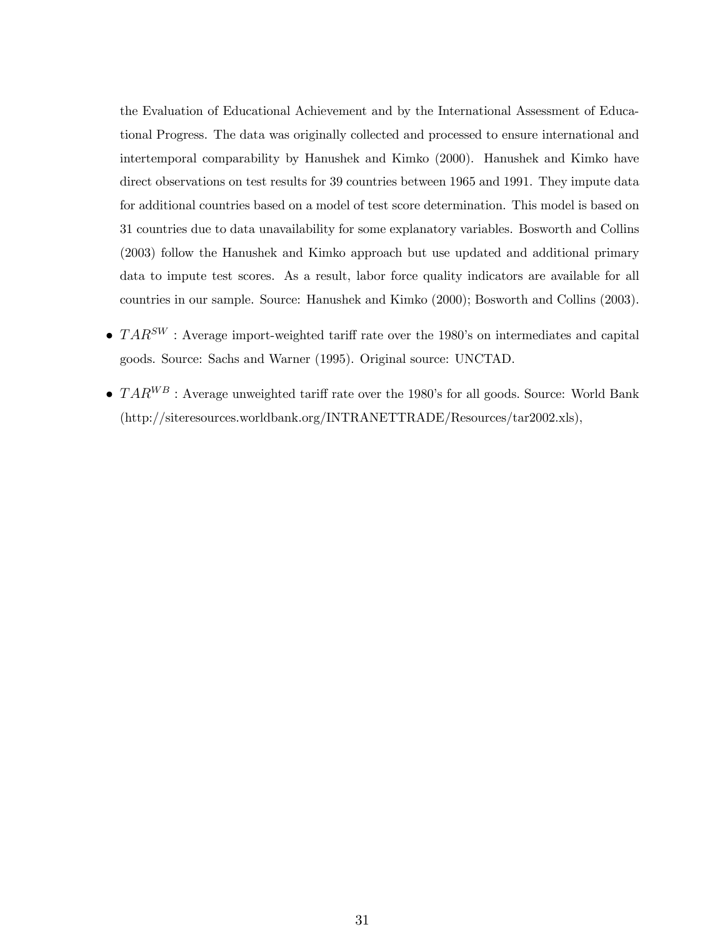the Evaluation of Educational Achievement and by the International Assessment of Educational Progress. The data was originally collected and processed to ensure international and intertemporal comparability by Hanushek and Kimko (2000). Hanushek and Kimko have direct observations on test results for 39 countries between 1965 and 1991. They impute data for additional countries based on a model of test score determination. This model is based on 31 countries due to data unavailability for some explanatory variables. Bosworth and Collins (2003) follow the Hanushek and Kimko approach but use updated and additional primary data to impute test scores. As a result, labor force quality indicators are available for all countries in our sample. Source: Hanushek and Kimko (2000); Bosworth and Collins (2003).

- $TAR^{SW}$ : Average import-weighted tariff rate over the 1980's on intermediates and capital goods. Source: Sachs and Warner (1995). Original source: UNCTAD.
- $TAR^{WB}$ : Average unweighted tariff rate over the 1980's for all goods. Source: World Bank (http://siteresources.worldbank.org/INTRANETTRADE/Resources/tar2002.xls),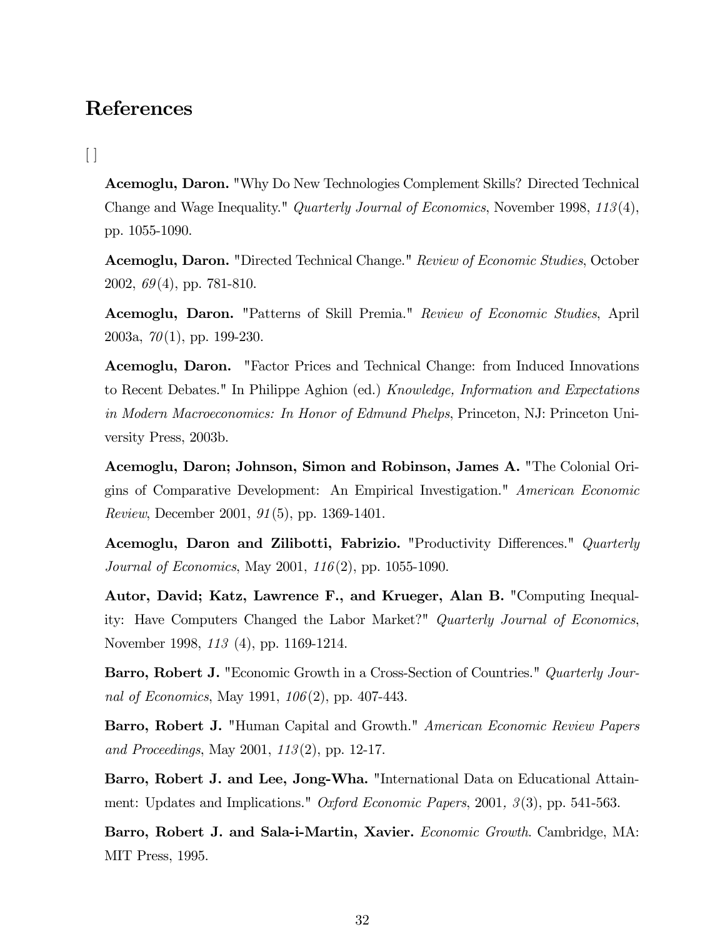## References

## $\begin{bmatrix} \ \end{bmatrix}$

Acemoglu, Daron. "Why Do New Technologies Complement Skills? Directed Technical Change and Wage Inequality." Quarterly Journal of Economics, November 1998, 113(4), pp. 1055-1090.

Acemoglu, Daron. "Directed Technical Change." Review of Economic Studies, October  $2002, 69(4),$  pp. 781-810.

Acemoglu, Daron. "Patterns of Skill Premia." Review of Economic Studies, April 2003a,  $70(1)$ , pp. 199-230.

Acemoglu, Daron. "Factor Prices and Technical Change: from Induced Innovations to Recent Debates." In Philippe Aghion (ed.) Knowledge, Information and Expectations in Modern Macroeconomics: In Honor of Edmund Phelps, Princeton, NJ: Princeton University Press, 2003b.

Acemoglu, Daron; Johnson, Simon and Robinson, James A. "The Colonial Origins of Comparative Development: An Empirical Investigation." American Economic Review, December 2001, 91(5), pp. 1369-1401.

Acemoglu, Daron and Zilibotti, Fabrizio. "Productivity Differences." Quarterly Journal of Economics, May 2001, 116(2), pp. 1055-1090.

Autor, David; Katz, Lawrence F., and Krueger, Alan B. "Computing Inequality: Have Computers Changed the Labor Market?" Quarterly Journal of Economics, November 1998, 113 (4), pp. 1169-1214.

Barro, Robert J. "Economic Growth in a Cross-Section of Countries." Quarterly Journal of Economics, May 1991, 106(2), pp. 407-443.

Barro, Robert J. "Human Capital and Growth." American Economic Review Papers and Proceedings, May 2001, 113(2), pp. 12-17.

Barro, Robert J. and Lee, Jong-Wha. "International Data on Educational Attainment: Updates and Implications." Oxford Economic Papers, 2001,  $\beta$ (3), pp. 541-563.

Barro, Robert J. and Sala-i-Martin, Xavier. Economic Growth. Cambridge, MA: MIT Press, 1995.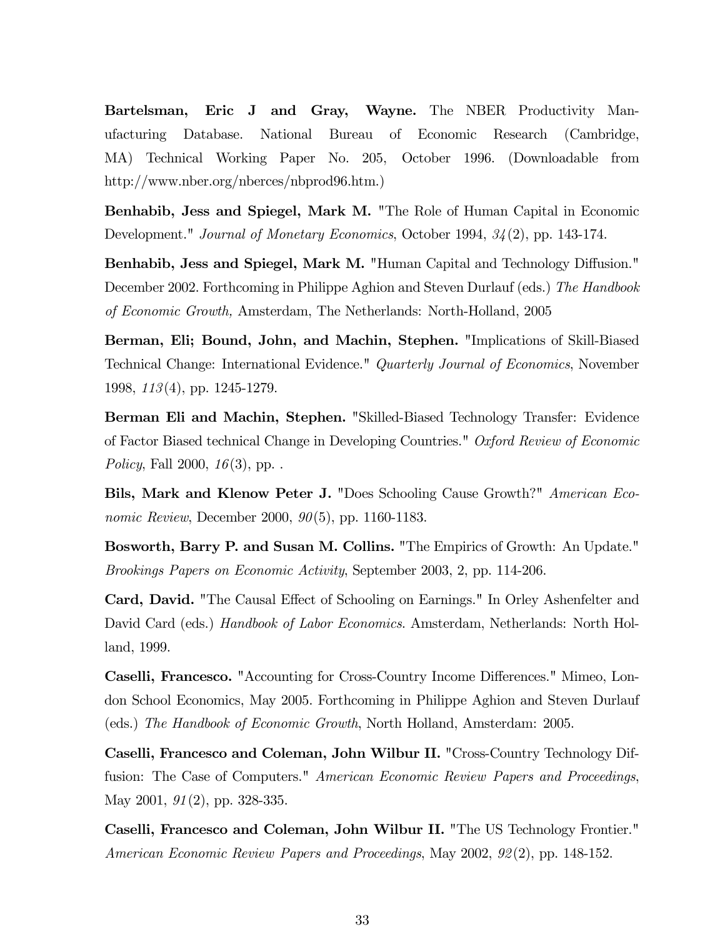Bartelsman, Eric J and Gray, Wayne. The NBER Productivity Manufacturing Database. National Bureau of Economic Research (Cambridge, MA) Technical Working Paper No. 205, October 1996. (Downloadable from http://www.nber.org/nberces/nbprod96.htm.)

Benhabib, Jess and Spiegel, Mark M. "The Role of Human Capital in Economic Development." Journal of Monetary Economics, October 1994, 34(2), pp. 143-174.

Benhabib, Jess and Spiegel, Mark M. "Human Capital and Technology Diffusion." December 2002. Forthcoming in Philippe Aghion and Steven Durlauf (eds.) The Handbook of Economic Growth, Amsterdam, The Netherlands: North-Holland, 2005

Berman, Eli; Bound, John, and Machin, Stephen. "Implications of Skill-Biased Technical Change: International Evidence." Quarterly Journal of Economics, November 1998, 113(4), pp. 1245-1279.

Berman Eli and Machin, Stephen. "Skilled-Biased Technology Transfer: Evidence of Factor Biased technical Change in Developing Countries." Oxford Review of Economic Policy, Fall 2000,  $16(3)$ , pp. .

Bils, Mark and Klenow Peter J. "Does Schooling Cause Growth?" American Economic Review, December 2000,  $90(5)$ , pp. 1160-1183.

Bosworth, Barry P. and Susan M. Collins. "The Empirics of Growth: An Update." Brookings Papers on Economic Activity, September 2003, 2, pp. 114-206.

Card, David. "The Causal Effect of Schooling on Earnings." In Orley Ashenfelter and David Card (eds.) *Handbook of Labor Economics*. Amsterdam, Netherlands: North Holland, 1999.

Caselli, Francesco. "Accounting for Cross-Country Income Differences." Mimeo, London School Economics, May 2005. Forthcoming in Philippe Aghion and Steven Durlauf (eds.) The Handbook of Economic Growth, North Holland, Amsterdam: 2005.

Caselli, Francesco and Coleman, John Wilbur II. "Cross-Country Technology Diffusion: The Case of Computers." American Economic Review Papers and Proceedings, May 2001, 91(2), pp. 328-335.

Caselli, Francesco and Coleman, John Wilbur II. "The US Technology Frontier." American Economic Review Papers and Proceedings, May 2002, 92(2), pp. 148-152.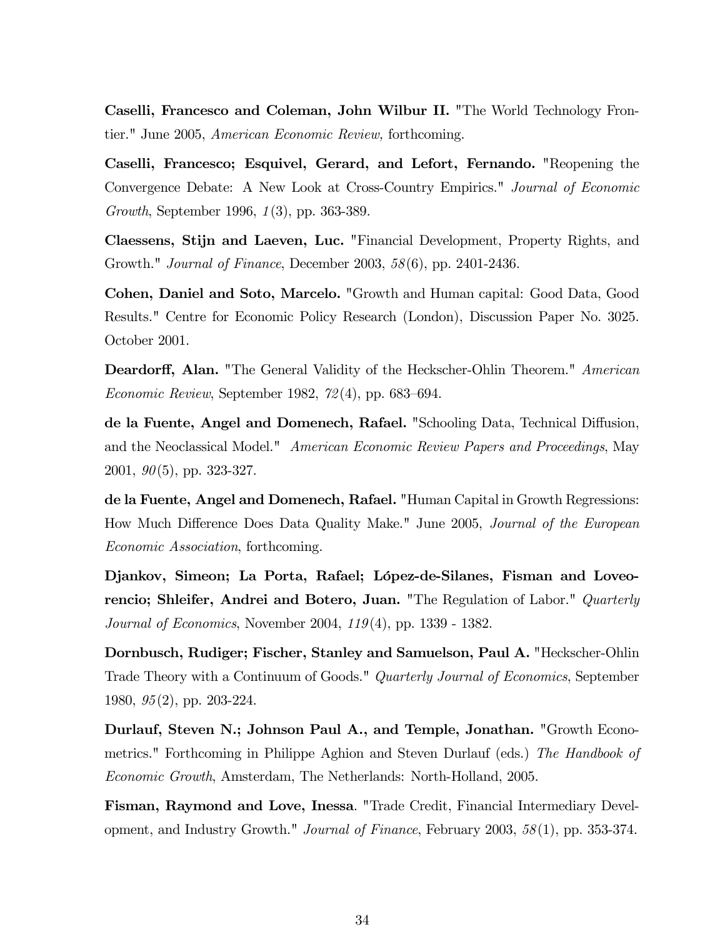Caselli, Francesco and Coleman, John Wilbur II. "The World Technology Frontier." June 2005, American Economic Review, forthcoming.

Caselli, Francesco; Esquivel, Gerard, and Lefort, Fernando. "Reopening the Convergence Debate: A New Look at Cross-Country Empirics." Journal of Economic Growth, September 1996, 1(3), pp. 363-389.

Claessens, Stijn and Laeven, Luc. "Financial Development, Property Rights, and Growth." Journal of Finance, December 2003, 58(6), pp. 2401-2436.

Cohen, Daniel and Soto, Marcelo. "Growth and Human capital: Good Data, Good Results." Centre for Economic Policy Research (London), Discussion Paper No. 3025. October 2001.

Deardorff, Alan. "The General Validity of the Heckscher-Ohlin Theorem." American Economic Review, September 1982, 72(4), pp. 683—694.

de la Fuente, Angel and Domenech, Rafael. "Schooling Data, Technical Diffusion, and the Neoclassical Model." American Economic Review Papers and Proceedings, May  $2001, 90(5)$ , pp. 323-327.

de la Fuente, Angel and Domenech, Rafael. "Human Capital in Growth Regressions: How Much Difference Does Data Quality Make." June 2005, Journal of the European Economic Association, forthcoming.

Djankov, Simeon; La Porta, Rafael; López-de-Silanes, Fisman and Loveorencio; Shleifer, Andrei and Botero, Juan. "The Regulation of Labor." Quarterly Journal of Economics, November 2004, 119(4), pp. 1339 - 1382.

Dornbusch, Rudiger; Fischer, Stanley and Samuelson, Paul A. "Heckscher-Ohlin Trade Theory with a Continuum of Goods." Quarterly Journal of Economics, September 1980, 95(2), pp. 203-224.

Durlauf, Steven N.; Johnson Paul A., and Temple, Jonathan. "Growth Econometrics." Forthcoming in Philippe Aghion and Steven Durlauf (eds.) The Handbook of Economic Growth, Amsterdam, The Netherlands: North-Holland, 2005.

Fisman, Raymond and Love, Inessa. "Trade Credit, Financial Intermediary Development, and Industry Growth." Journal of Finance, February 2003, 58(1), pp. 353-374.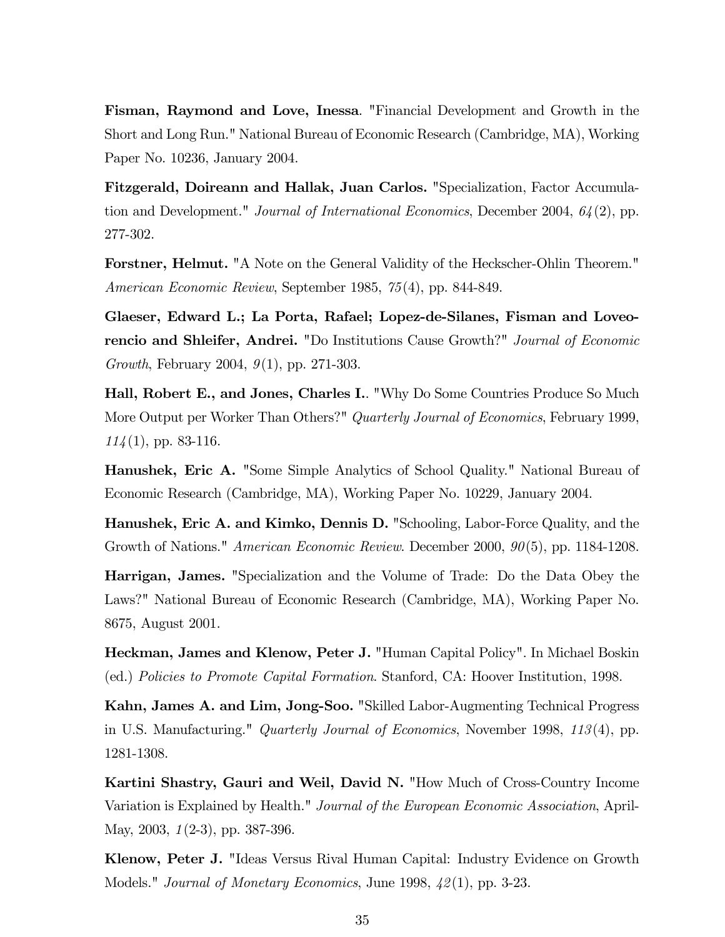Fisman, Raymond and Love, Inessa. "Financial Development and Growth in the Short and Long Run." National Bureau of Economic Research (Cambridge, MA), Working Paper No. 10236, January 2004.

Fitzgerald, Doireann and Hallak, Juan Carlos. "Specialization, Factor Accumulation and Development." Journal of International Economics, December 2004, 64(2), pp. 277-302.

Forstner, Helmut. "A Note on the General Validity of the Heckscher-Ohlin Theorem." American Economic Review, September 1985, 75(4), pp. 844-849.

Glaeser, Edward L.; La Porta, Rafael; Lopez-de-Silanes, Fisman and Loveorencio and Shleifer, Andrei. "Do Institutions Cause Growth?" Journal of Economic Growth, February 2004, 9(1), pp. 271-303.

Hall, Robert E., and Jones, Charles I.. "Why Do Some Countries Produce So Much More Output per Worker Than Others?" Quarterly Journal of Economics, February 1999,  $114(1)$ , pp. 83-116.

Hanushek, Eric A. "Some Simple Analytics of School Quality." National Bureau of Economic Research (Cambridge, MA), Working Paper No. 10229, January 2004.

Hanushek, Eric A. and Kimko, Dennis D. "Schooling, Labor-Force Quality, and the Growth of Nations." American Economic Review. December 2000, 90(5), pp. 1184-1208.

Harrigan, James. "Specialization and the Volume of Trade: Do the Data Obey the Laws?" National Bureau of Economic Research (Cambridge, MA), Working Paper No. 8675, August 2001.

Heckman, James and Klenow, Peter J. "Human Capital Policy". In Michael Boskin (ed.) Policies to Promote Capital Formation. Stanford, CA: Hoover Institution, 1998.

Kahn, James A. and Lim, Jong-Soo. "Skilled Labor-Augmenting Technical Progress in U.S. Manufacturing." Quarterly Journal of Economics, November 1998, 113(4), pp. 1281-1308.

Kartini Shastry, Gauri and Weil, David N. "How Much of Cross-Country Income Variation is Explained by Health." Journal of the European Economic Association, April-May, 2003, 1(2-3), pp. 387-396.

Klenow, Peter J. "Ideas Versus Rival Human Capital: Industry Evidence on Growth Models." Journal of Monetary Economics, June 1998, 42(1), pp. 3-23.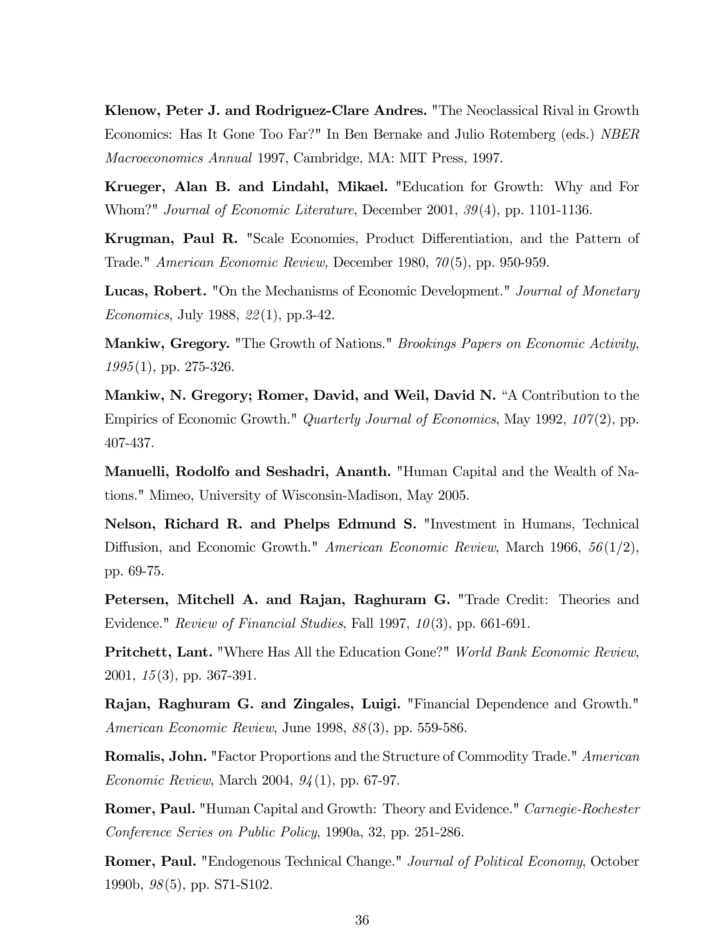Klenow, Peter J. and Rodriguez-Clare Andres. "The Neoclassical Rival in Growth Economics: Has It Gone Too Far?" In Ben Bernake and Julio Rotemberg (eds.) NBER Macroeconomics Annual 1997, Cambridge, MA: MIT Press, 1997.

Krueger, Alan B. and Lindahl, Mikael. "Education for Growth: Why and For Whom?" *Journal of Economic Literature*, December 2001, 39(4), pp. 1101-1136.

Krugman, Paul R. "Scale Economies, Product Differentiation, and the Pattern of Trade." American Economic Review, December 1980, 70(5), pp. 950-959.

Lucas, Robert. "On the Mechanisms of Economic Development." Journal of Monetary Economics, July 1988, 22(1), pp.3-42.

Mankiw, Gregory. "The Growth of Nations." Brookings Papers on Economic Activity,  $1995(1)$ , pp. 275-326.

Mankiw, N. Gregory; Romer, David, and Weil, David N. "A Contribution to the Empirics of Economic Growth." Quarterly Journal of Economics, May 1992, 107(2), pp. 407-437.

Manuelli, Rodolfo and Seshadri, Ananth. "Human Capital and the Wealth of Nations." Mimeo, University of Wisconsin-Madison, May 2005.

Nelson, Richard R. and Phelps Edmund S. "Investment in Humans, Technical Diffusion, and Economic Growth." American Economic Review, March 1966, 56(1/2), pp. 69-75.

Petersen, Mitchell A. and Rajan, Raghuram G. "Trade Credit: Theories and Evidence." Review of Financial Studies, Fall 1997, 10(3), pp. 661-691.

**Pritchett, Lant.** "Where Has All the Education Gone?" World Bank Economic Review, 2001,  $15(3)$ , pp. 367-391.

Rajan, Raghuram G. and Zingales, Luigi. "Financial Dependence and Growth." American Economic Review, June 1998, 88(3), pp. 559-586.

Romalis, John. "Factor Proportions and the Structure of Commodity Trade." American Economic Review, March 2004, 94(1), pp. 67-97.

Romer, Paul. "Human Capital and Growth: Theory and Evidence." Carnegie-Rochester Conference Series on Public Policy, 1990a, 32, pp. 251-286.

Romer, Paul. "Endogenous Technical Change." Journal of Political Economy, October 1990b, 98(5), pp. S71-S102.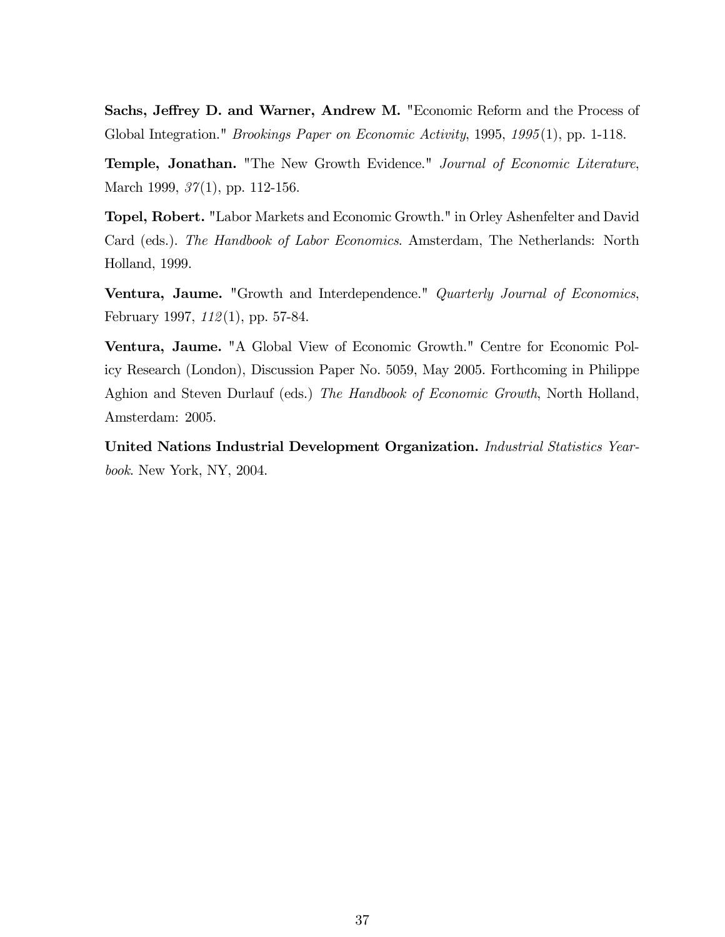Sachs, Jeffrey D. and Warner, Andrew M. "Economic Reform and the Process of Global Integration." Brookings Paper on Economic Activity, 1995, 1995(1), pp. 1-118.

Temple, Jonathan. "The New Growth Evidence." Journal of Economic Literature, March 1999, 37(1), pp. 112-156.

Topel, Robert. "Labor Markets and Economic Growth." in Orley Ashenfelter and David Card (eds.). The Handbook of Labor Economics. Amsterdam, The Netherlands: North Holland, 1999.

Ventura, Jaume. "Growth and Interdependence." Quarterly Journal of Economics, February 1997, 112(1), pp. 57-84.

Ventura, Jaume. "A Global View of Economic Growth." Centre for Economic Policy Research (London), Discussion Paper No. 5059, May 2005. Forthcoming in Philippe Aghion and Steven Durlauf (eds.) The Handbook of Economic Growth, North Holland, Amsterdam: 2005.

United Nations Industrial Development Organization. *Industrial Statistics Year*book. New York, NY, 2004.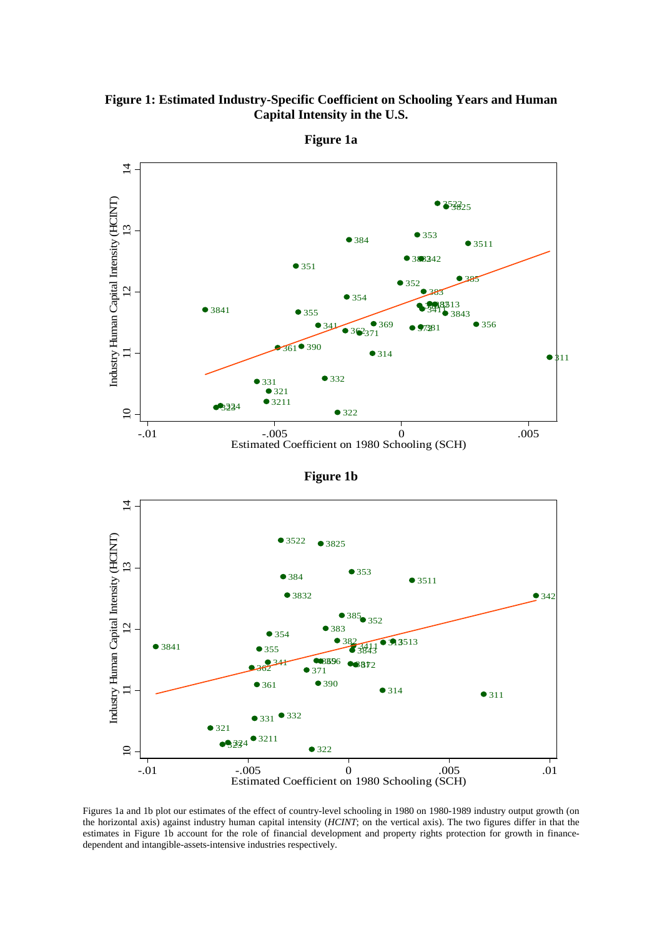



**Figure 1a** 

Figures 1a and 1b plot our estimates of the effect of country-level schooling in 1980 on 1980-1989 industry output growth (on the horizontal axis) against industry human capital intensity (*HCINT*; on the vertical axis). The two figures differ in that the estimates in Figure 1b account for the role of financial development and property rights protection for growth in financedependent and intangible-assets-intensive industries respectively.

 $-0.01$   $-0.005$  0  $0.005$  0.01 Estimated Coefficient on 1980 Schooling (SCH)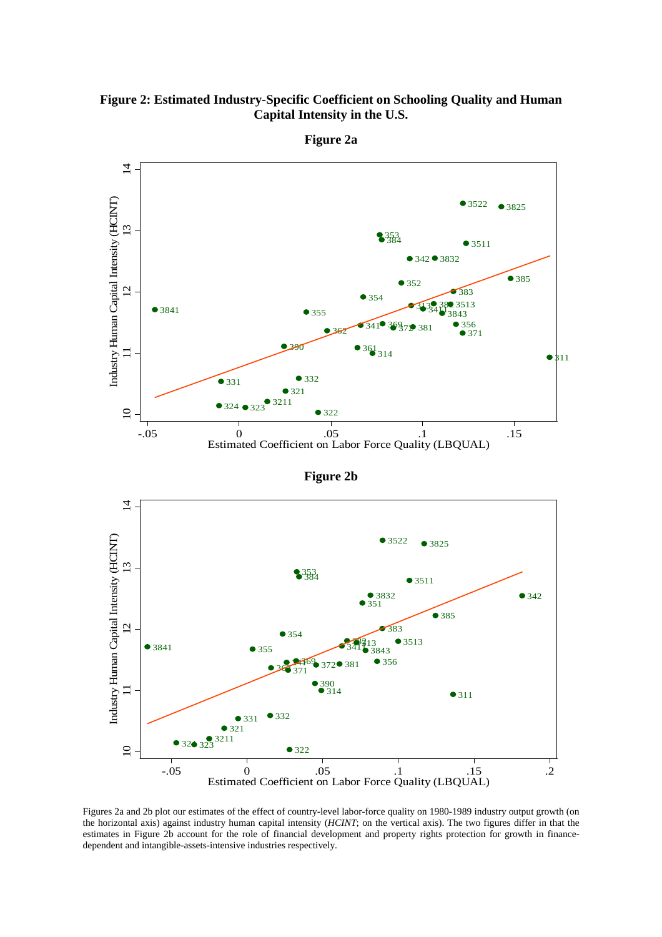



Estimated Coefficient on Labor Force Quality (LBQUAL)

Figures 2a and 2b plot our estimates of the effect of country-level labor-force quality on 1980-1989 industry output growth (on the horizontal axis) against industry human capital intensity (*HCINT*; on the vertical axis). The two figures differ in that the estimates in Figure 2b account for the role of financial development and property rights protection for growth in financedependent and intangible-assets-intensive industries respectively.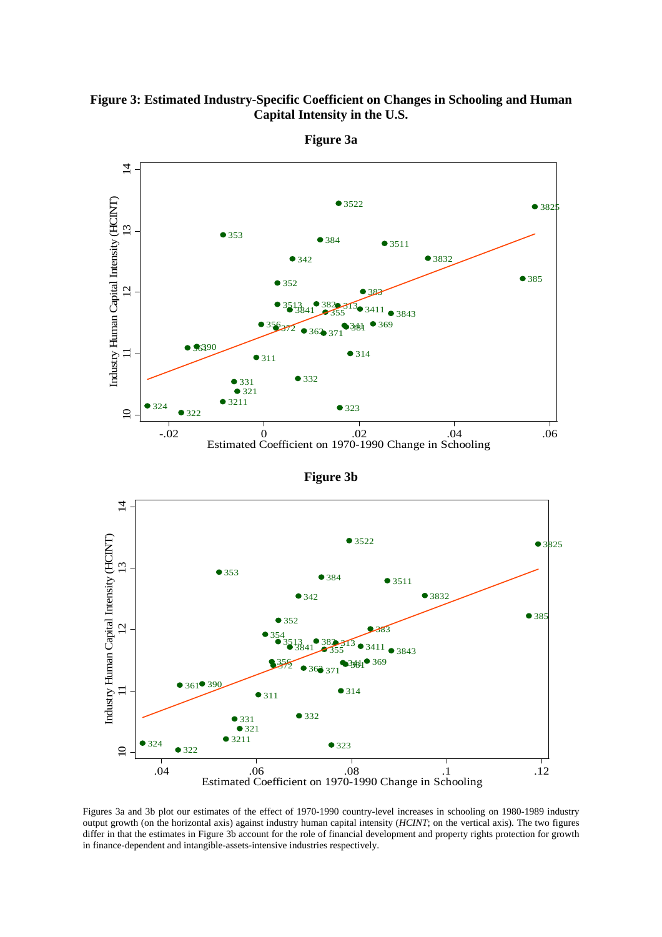



**Figure 3a**

Figures 3a and 3b plot our estimates of the effect of 1970-1990 country-level increases in schooling on 1980-1989 industry output growth (on the horizontal axis) against industry human capital intensity (*HCINT*; on the vertical axis). The two figures differ in that the estimates in Figure 3b account for the role of financial development and property rights protection for growth in finance-dependent and intangible-assets-intensive industries respectively.

.04 .06 .08 .1 .12 Estimated Coefficient on 1970-1990 Change in Schooling

 $•321$ 

 $332$ 

 $323$ 

 $•322$ 

 $\Omega$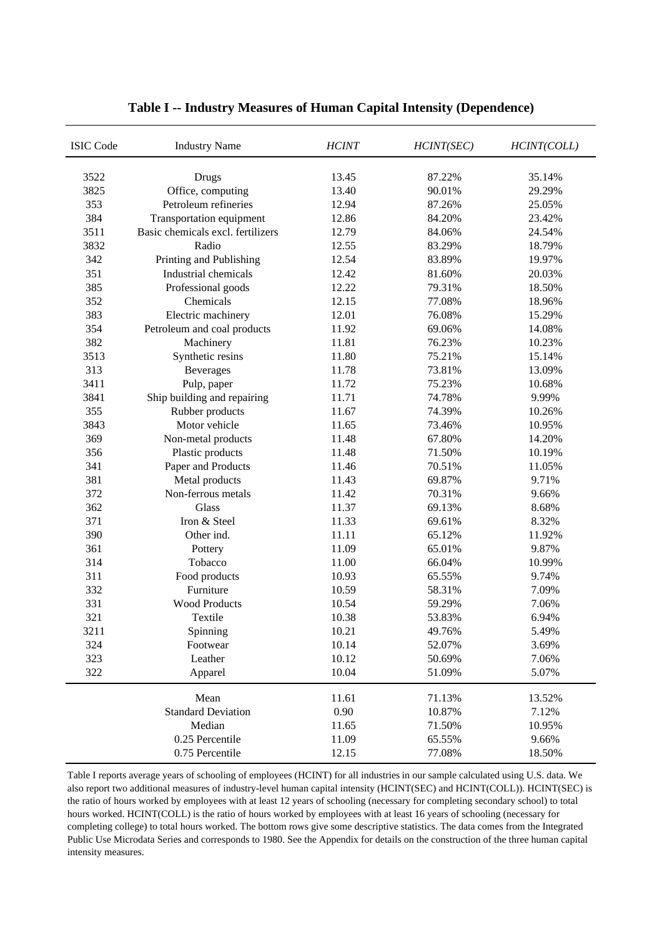| <b>ISIC Code</b> | <b>Industry Name</b>              | <b>HCINT</b> | HCINT(SEC) | HCINT(COLL) |
|------------------|-----------------------------------|--------------|------------|-------------|
| 3522             | <b>Drugs</b>                      | 13.45        | 87.22%     | 35.14%      |
| 3825             | Office, computing                 | 13.40        | 90.01%     | 29.29%      |
| 353              | Petroleum refineries              | 12.94        | 87.26%     | 25.05%      |
| 384              | Transportation equipment          | 12.86        | 84.20%     | 23.42%      |
| 3511             | Basic chemicals excl. fertilizers | 12.79        | 84.06%     | 24.54%      |
| 3832             | Radio                             | 12.55        | 83.29%     | 18.79%      |
| 342              | Printing and Publishing           | 12.54        | 83.89%     | 19.97%      |
| 351              | Industrial chemicals              | 12.42        | 81.60%     | 20.03%      |
| 385              | Professional goods                | 12.22        | 79.31%     | 18.50%      |
| 352              | Chemicals                         | 12.15        | 77.08%     | 18.96%      |
| 383              | Electric machinery                | 12.01        | 76.08%     | 15.29%      |
| 354              | Petroleum and coal products       | 11.92        | 69.06%     | 14.08%      |
| 382              | Machinery                         | 11.81        | 76.23%     | 10.23%      |
| 3513             | Synthetic resins                  | 11.80        | 75.21%     | 15.14%      |
| 313              | <b>Beverages</b>                  | 11.78        | 73.81%     | 13.09%      |
| 3411             | Pulp, paper                       | 11.72        | 75.23%     | 10.68%      |
| 3841             | Ship building and repairing       | 11.71        | 74.78%     | 9.99%       |
| 355              | Rubber products                   | 11.67        | 74.39%     | 10.26%      |
| 3843             | Motor vehicle                     | 11.65        | 73.46%     | 10.95%      |
| 369              | Non-metal products                | 11.48        | 67.80%     | 14.20%      |
| 356              | Plastic products                  | 11.48        | 71.50%     | 10.19%      |
| 341              | Paper and Products                | 11.46        | 70.51%     | 11.05%      |
| 381              | Metal products                    | 11.43        | 69.87%     | 9.71%       |
| 372              | Non-ferrous metals                | 11.42        | 70.31%     | 9.66%       |
| 362              | <b>Glass</b>                      | 11.37        | 69.13%     | 8.68%       |
| 371              | Iron & Steel                      | 11.33        | 69.61%     | 8.32%       |
| 390              | Other ind.                        | 11.11        | 65.12%     | 11.92%      |
| 361              | Pottery                           | 11.09        | 65.01%     | 9.87%       |
| 314              | Tobacco                           | 11.00        | 66.04%     | 10.99%      |
| 311              | Food products                     | 10.93        | 65.55%     | 9.74%       |
| 332              | Furniture                         | 10.59        | 58.31%     | 7.09%       |
| 331              | <b>Wood Products</b>              | 10.54        | 59.29%     | 7.06%       |
| 321              | Textile                           | 10.38        | 53.83%     | 6.94%       |
| 3211             | Spinning                          | 10.21        | 49.76%     | 5.49%       |
| 324              | Footwear                          | 10.14        | 52.07%     | 3.69%       |
| 323              | Leather                           | 10.12        | 50.69%     | 7.06%       |
| 322              | Apparel                           | 10.04        | 51.09%     | 5.07%       |
|                  | Mean                              | 11.61        | 71.13%     | 13.52%      |
|                  | <b>Standard Deviation</b>         | 0.90         | 10.87%     | 7.12%       |
|                  | Median                            | 11.65        | 71.50%     | 10.95%      |
|                  | 0.25 Percentile                   | 11.09        | 65.55%     | 9.66%       |
|                  | 0.75 Percentile                   | 12.15        | 77.08%     | 18.50%      |

#### **Table I -- Industry Measures of Human Capital Intensity (Dependence)**

Table I reports average years of schooling of employees (HCINT) for all industries in our sample calculated using U.S. data. We also report two additional measures of industry-level human capital intensity (HCINT(SEC) and HCINT(COLL)). HCINT(SEC) is the ratio of hours worked by employees with at least 12 years of schooling (necessary for completing secondary school) to total hours worked. HCINT(COLL) is the ratio of hours worked by employees with at least 16 years of schooling (necessary for completing college) to total hours worked. The bottom rows give some descriptive statistics. The data comes from the Integrated Public Use Microdata Series and corresponds to 1980. See the Appendix for details on the construction of the three human capital intensity measures.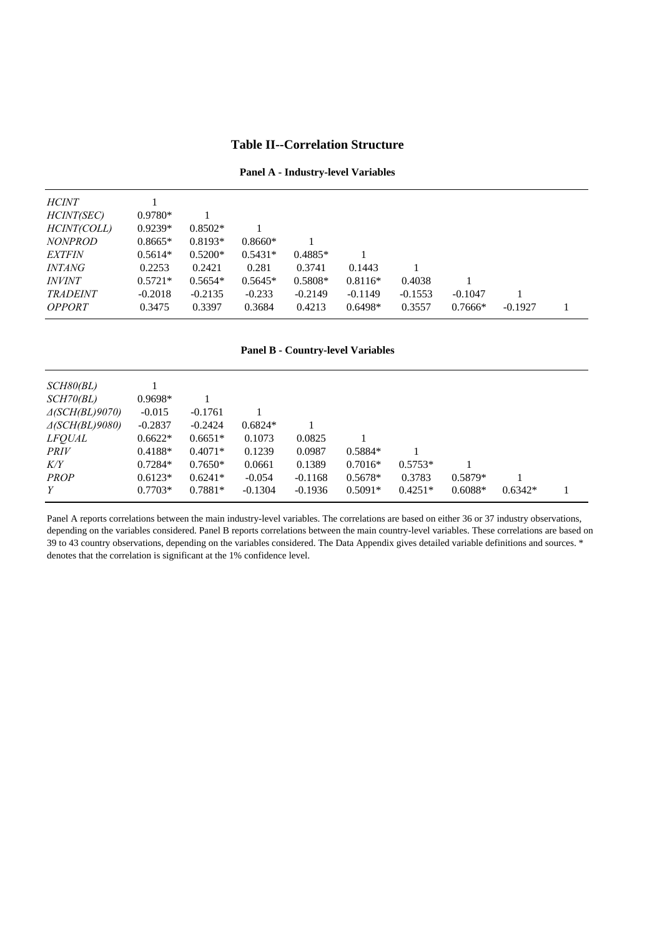## **Table II--Correlation Structure**

| <b>HCINT</b><br><i>HCINT(SEC)</i><br><i>HCINT(COLL)</i>         | $0.9780*$<br>$0.9239*$           | $0.8502*$                        |                                 |                                  |                                     |                               |                        |           |  |
|-----------------------------------------------------------------|----------------------------------|----------------------------------|---------------------------------|----------------------------------|-------------------------------------|-------------------------------|------------------------|-----------|--|
| <i>NONPROD</i><br><b>EXTFIN</b><br><i>INTANG</i>                | $0.8665*$<br>$0.5614*$<br>0.2253 | $0.8193*$<br>$0.5200*$<br>0.2421 | $0.8660*$<br>$0.5431*$<br>0.281 | $0.4885*$<br>0.3741              | 0.1443                              |                               |                        |           |  |
| <i><b>INVINT</b></i><br><b>TRADEINT</b><br><i><b>OPPORT</b></i> | $0.5721*$<br>$-0.2018$<br>0.3475 | $0.5654*$<br>$-0.2135$<br>0.3397 | $0.5645*$<br>$-0.233$<br>0.3684 | $0.5808*$<br>$-0.2149$<br>0.4213 | $0.8116*$<br>$-0.1149$<br>$0.6498*$ | 0.4038<br>$-0.1553$<br>0.3557 | $-0.1047$<br>$0.7666*$ | $-0.1927$ |  |

#### **Panel B - Country-level Variables**

| $0.9698*$ |           |           |           |           |           |           |           |  |
|-----------|-----------|-----------|-----------|-----------|-----------|-----------|-----------|--|
| $-0.015$  | $-0.1761$ |           |           |           |           |           |           |  |
| $-0.2837$ | $-0.2424$ | $0.6824*$ |           |           |           |           |           |  |
| $0.6622*$ | $0.6651*$ | 0.1073    | 0.0825    |           |           |           |           |  |
| $0.4188*$ | $0.4071*$ | 0.1239    | 0.0987    | $0.5884*$ |           |           |           |  |
| $0.7284*$ | $0.7650*$ | 0.0661    | 0.1389    | $0.7016*$ | $0.5753*$ |           |           |  |
| $0.6123*$ | $0.6241*$ | $-0.054$  | $-0.1168$ | $0.5678*$ | 0.3783    | $0.5879*$ |           |  |
| $0.7703*$ | $0.7881*$ | $-0.1304$ | $-0.1936$ | $0.5091*$ | $0.4251*$ | $0.6088*$ | $0.6342*$ |  |
|           |           |           |           |           |           |           |           |  |

Panel A reports correlations between the main industry-level variables. The correlations are based on either 36 or 37 industry observations, depending on the variables considered. Panel B reports correlations between the main country-level variables. These correlations are based on 39 to 43 country observations, depending on the variables considered. The Data Appendix gives detailed variable definitions and sources. \* denotes that the correlation is significant at the 1% confidence level.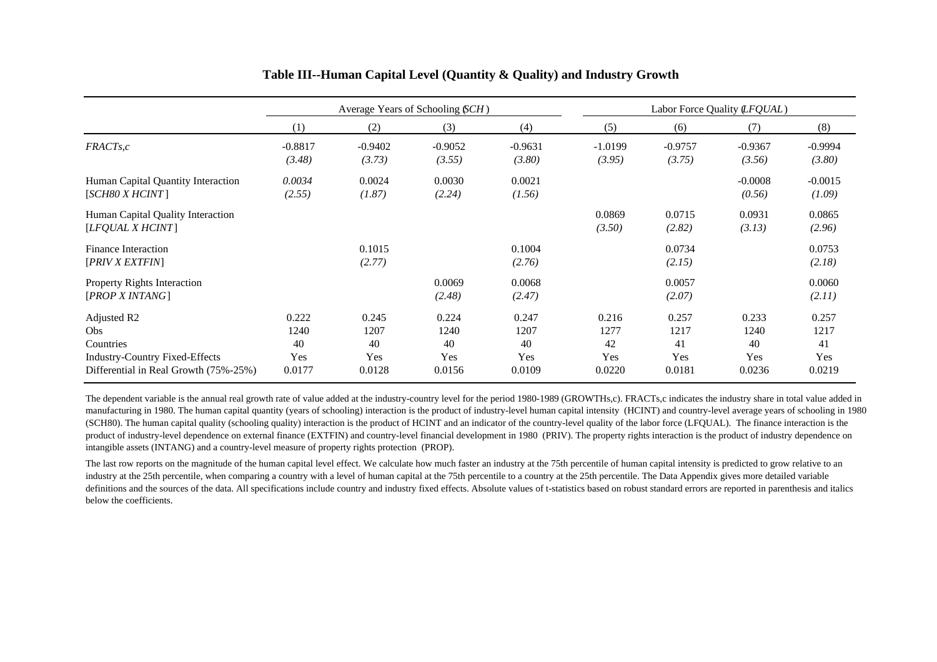|                                                                                                                    |                                      |                                      | Average Years of Schooling (SCH)     |                                      | Labor Force Quality ( <i>LFQUAL</i> ) |                                      |                                      |                                      |
|--------------------------------------------------------------------------------------------------------------------|--------------------------------------|--------------------------------------|--------------------------------------|--------------------------------------|---------------------------------------|--------------------------------------|--------------------------------------|--------------------------------------|
|                                                                                                                    | (1)                                  | (2)                                  | (3)                                  | (4)                                  | (5)                                   | (6)                                  | (7)                                  | (8)                                  |
| $FRACTs$ , $c$                                                                                                     | $-0.8817$<br>(3.48)                  | $-0.9402$<br>(3.73)                  | $-0.9052$<br>(3.55)                  | $-0.9631$<br>(3.80)                  | $-1.0199$<br>(3.95)                   | $-0.9757$<br>(3.75)                  | $-0.9367$<br>(3.56)                  | $-0.9994$<br>(3.80)                  |
| Human Capital Quantity Interaction<br>[SCH80 X HCINT]                                                              | 0.0034<br>(2.55)                     | 0.0024<br>(1.87)                     | 0.0030<br>(2.24)                     | 0.0021<br>(1.56)                     |                                       |                                      | $-0.0008$<br>(0.56)                  | $-0.0015$<br>(1.09)                  |
| Human Capital Quality Interaction<br>[LFQUALX HCINT]                                                               |                                      |                                      |                                      |                                      | 0.0869<br>(3.50)                      | 0.0715<br>(2.82)                     | 0.0931<br>(3.13)                     | 0.0865<br>(2.96)                     |
| <b>Finance Interaction</b><br>[PRIV X EXTFIN]                                                                      |                                      | 0.1015<br>(2.77)                     |                                      | 0.1004<br>(2.76)                     |                                       | 0.0734<br>(2.15)                     |                                      | 0.0753<br>(2.18)                     |
| Property Rights Interaction<br>[PROP X INTANG]                                                                     |                                      |                                      | 0.0069<br>(2.48)                     | 0.0068<br>(2.47)                     |                                       | 0.0057<br>(2.07)                     |                                      | 0.0060<br>(2.11)                     |
| Adjusted R2<br>Obs.<br>Countries<br><b>Industry-Country Fixed-Effects</b><br>Differential in Real Growth (75%-25%) | 0.222<br>1240<br>40<br>Yes<br>0.0177 | 0.245<br>1207<br>40<br>Yes<br>0.0128 | 0.224<br>1240<br>40<br>Yes<br>0.0156 | 0.247<br>1207<br>40<br>Yes<br>0.0109 | 0.216<br>1277<br>42<br>Yes<br>0.0220  | 0.257<br>1217<br>41<br>Yes<br>0.0181 | 0.233<br>1240<br>40<br>Yes<br>0.0236 | 0.257<br>1217<br>41<br>Yes<br>0.0219 |

#### **Table III--Human Capital Level (Quantity & Quality) and Industry Growth**

The dependent variable is the annual real growth rate of value added at the industry-country level for the period 1980-1989 (GROWTHs,c). FRACTs,c indicates the industry share in total value added in manufacturing in 1980. The human capital quantity (years of schooling) interaction is the product of industry-level human capital intensity (HCINT) and country-level average years of schooling in 1980 (SCH80). The human capital quality (schooling quality) interaction is the product of HCINT and an indicator of the country-level quality of the labor force (LFQUAL). The finance interaction is the product of industry-level dependence on external finance (EXTFIN) and country-level financial development in 1980 (PRIV). The property rights interaction is the product of industry dependence on intangible assets (INTANG) and a country-level measure of property rights protection (PROP).

The last row reports on the magnitude of the human capital level effect. We calculate how much faster an industry at the 75th percentile of human capital intensity is predicted to grow relative to an industry at the 25th percentile, when comparing a country with a level of human capital at the 75th percentile to a country at the 25th percentile. The Data Appendix gives more detailed variable definitions and the sources of the data. All specifications include country and industry fixed effects. Absolute values of t-statistics based on robust standard errors are reported in parenthesis and italics below the coefficients.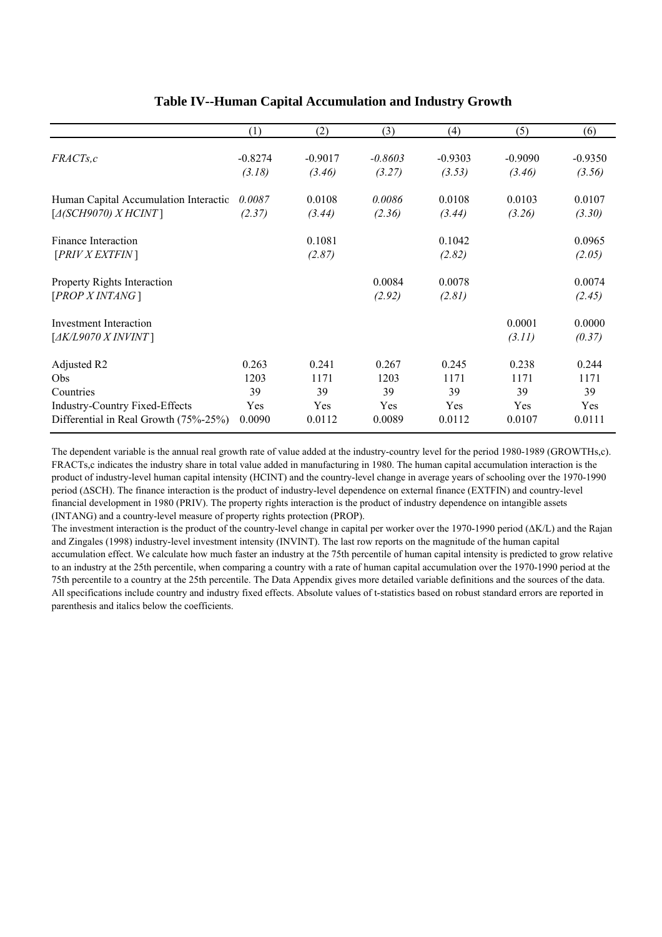|                                                                                                                   | (1)                                  | (2)                                  | (3)                                  | (4)                                         | (5)                                  | (6)                                  |
|-------------------------------------------------------------------------------------------------------------------|--------------------------------------|--------------------------------------|--------------------------------------|---------------------------------------------|--------------------------------------|--------------------------------------|
| $FRACTs$ , $c$                                                                                                    | $-0.8274$<br>(3.18)                  | $-0.9017$<br>(3.46)                  | $-0.8603$<br>(3.27)                  | $-0.9303$<br>(3.53)                         | $-0.9090$<br>(3.46)                  | $-0.9350$<br>(3.56)                  |
| Human Capital Accumulation Interactio<br>[A(SCH9070) X HCINT]                                                     | 0.0087<br>(2.37)                     | 0.0108<br>(3.44)                     | 0.0086<br>(2.36)                     | 0.0108<br>(3.44)                            | 0.0103<br>(3.26)                     | 0.0107<br>(3.30)                     |
| Finance Interaction<br>[PRIV X EXTFIN]                                                                            |                                      | 0.1081<br>(2.87)                     |                                      | 0.1042<br>(2.82)                            |                                      | 0.0965<br>(2.05)                     |
| Property Rights Interaction<br>[PROP X INTANG]                                                                    |                                      |                                      | 0.0084<br>(2.92)                     | 0.0078<br>(2.81)                            |                                      | 0.0074<br>(2.45)                     |
| Investment Interaction<br>[AK/L9070 X INVINT]                                                                     |                                      |                                      |                                      |                                             | 0.0001<br>(3.11)                     | 0.0000<br>(0.37)                     |
| Adjusted R2<br>Obs<br>Countries<br><b>Industry-Country Fixed-Effects</b><br>Differential in Real Growth (75%-25%) | 0.263<br>1203<br>39<br>Yes<br>0.0090 | 0.241<br>1171<br>39<br>Yes<br>0.0112 | 0.267<br>1203<br>39<br>Yes<br>0.0089 | 0.245<br>1171<br>39<br><b>Yes</b><br>0.0112 | 0.238<br>1171<br>39<br>Yes<br>0.0107 | 0.244<br>1171<br>39<br>Yes<br>0.0111 |

#### **Table IV--Human Capital Accumulation and Industry Growth**

The dependent variable is the annual real growth rate of value added at the industry-country level for the period 1980-1989 (GROWTHs,c). FRACTs,c indicates the industry share in total value added in manufacturing in 1980. The human capital accumulation interaction is the product of industry-level human capital intensity (HCINT) and the country-level change in average years of schooling over the 1970-1990 period (∆SCH). The finance interaction is the product of industry-level dependence on external finance (EXTFIN) and country-level financial development in 1980 (PRIV). The property rights interaction is the product of industry dependence on intangible assets (INTANG) and a country-level measure of property rights protection (PROP).

The investment interaction is the product of the country-level change in capital per worker over the 1970-1990 period (∆K/L) and the Rajan and Zingales (1998) industry-level investment intensity (INVINT). The last row reports on the magnitude of the human capital accumulation effect. We calculate how much faster an industry at the 75th percentile of human capital intensity is predicted to grow relative to an industry at the 25th percentile, when comparing a country with a rate of human capital accumulation over the 1970-1990 period at the 75th percentile to a country at the 25th percentile. The Data Appendix gives more detailed variable definitions and the sources of the data. All specifications include country and industry fixed effects. Absolute values of t-statistics based on robust standard errors are reported in parenthesis and italics below the coefficients.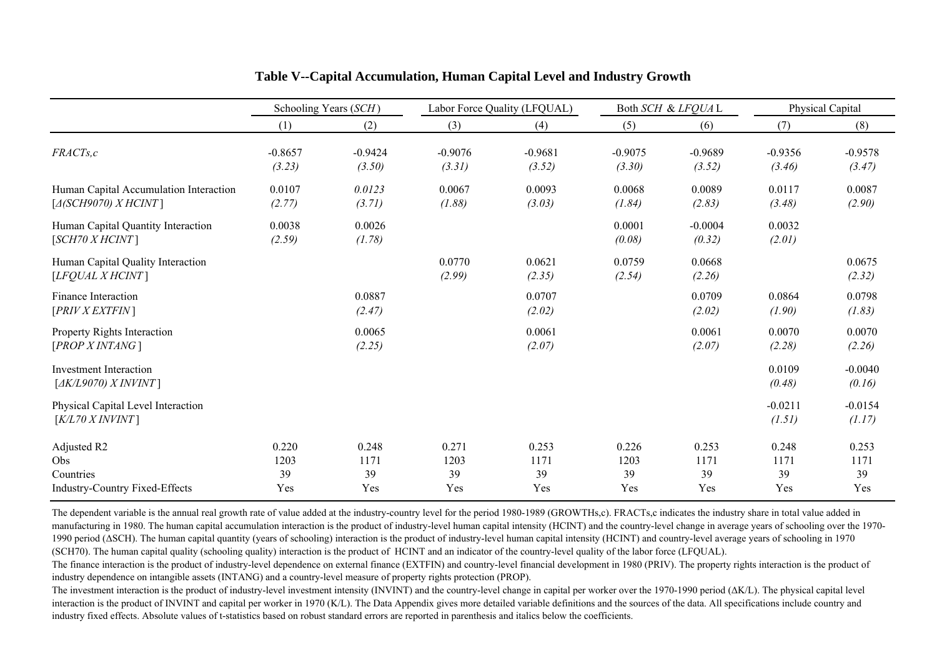|                                                                          | Schooling Years (SCH)      |                            |                            | Labor Force Quality (LFQUAL) |                            | Both SCH & LFQUAL          |                            | Physical Capital           |  |
|--------------------------------------------------------------------------|----------------------------|----------------------------|----------------------------|------------------------------|----------------------------|----------------------------|----------------------------|----------------------------|--|
|                                                                          | (1)                        | (2)                        | (3)                        | (4)                          | (5)                        | (6)                        | (7)                        | (8)                        |  |
| $FRACTs$ , $c$                                                           | $-0.8657$<br>(3.23)        | $-0.9424$<br>(3.50)        | $-0.9076$<br>(3.31)        | $-0.9681$<br>(3.52)          | $-0.9075$<br>(3.30)        | $-0.9689$<br>(3.52)        | $-0.9356$<br>(3.46)        | $-0.9578$<br>(3.47)        |  |
| Human Capital Accumulation Interaction<br>[A(SCH9070) X HCINT]           | 0.0107<br>(2.77)           | 0.0123<br>(3.71)           | 0.0067<br>(1.88)           | 0.0093<br>(3.03)             | 0.0068<br>(1.84)           | 0.0089<br>(2.83)           | 0.0117<br>(3.48)           | 0.0087<br>(2.90)           |  |
| Human Capital Quantity Interaction<br>[SCH70 X HCINT]                    | 0.0038<br>(2.59)           | 0.0026<br>(1.78)           |                            |                              | 0.0001<br>(0.08)           | $-0.0004$<br>(0.32)        | 0.0032<br>(2.01)           |                            |  |
| Human Capital Quality Interaction<br>[LFQUAL X HCINT]                    |                            |                            | 0.0770<br>(2.99)           | 0.0621<br>(2.35)             | 0.0759<br>(2.54)           | 0.0668<br>(2.26)           |                            | 0.0675<br>(2.32)           |  |
| Finance Interaction<br>[PRIV X EXTFIN]                                   |                            | 0.0887<br>(2.47)           |                            | 0.0707<br>(2.02)             |                            | 0.0709<br>(2.02)           | 0.0864<br>(1.90)           | 0.0798<br>(1.83)           |  |
| Property Rights Interaction<br>[PROP X INTANG]                           |                            | 0.0065<br>(2.25)           |                            | 0.0061<br>(2.07)             |                            | 0.0061<br>(2.07)           | 0.0070<br>(2.28)           | 0.0070<br>(2.26)           |  |
| <b>Investment Interaction</b><br>$[AK/L9070]$ X INVINT]                  |                            |                            |                            |                              |                            |                            | 0.0109<br>(0.48)           | $-0.0040$<br>(0.16)        |  |
| Physical Capital Level Interaction<br>K/L70 X INVINT                     |                            |                            |                            |                              |                            |                            | $-0.0211$<br>(1.51)        | $-0.0154$<br>(1.17)        |  |
| Adjusted R2<br>Obs<br>Countries<br><b>Industry-Country Fixed-Effects</b> | 0.220<br>1203<br>39<br>Yes | 0.248<br>1171<br>39<br>Yes | 0.271<br>1203<br>39<br>Yes | 0.253<br>1171<br>39<br>Yes   | 0.226<br>1203<br>39<br>Yes | 0.253<br>1171<br>39<br>Yes | 0.248<br>1171<br>39<br>Yes | 0.253<br>1171<br>39<br>Yes |  |

### **Table V--Capital Accumulation, Human Capital Level and Industry Growth**

The dependent variable is the annual real growth rate of value added at the industry-country level for the period 1980-1989 (GROWTHs,c). FRACTs,c indicates the industry share in total value added in manufacturing in 1980. The human capital accumulation interaction is the product of industry-level human capital intensity (HCINT) and the country-level change in average years of schooling over the 1970- 1990 period (∆SCH). The human capital quantity (years of schooling) interaction is the product of industry-level human capital intensity (HCINT) and country-level average years of schooling in 1970 (SCH70). The human capital quality (schooling quality) interaction is the product of HCINT and an indicator of the country-level quality of the labor force (LFQUAL).

The finance interaction is the product of industry-level dependence on external finance (EXTFIN) and country-level financial development in 1980 (PRIV). The property rights interaction is the product of industry dependence on intangible assets (INTANG) and a country-level measure of property rights protection (PROP).

The investment interaction is the product of industry-level investment intensity (INVINT) and the country-level change in capital per worker over the 1970-1990 period (ΔK/L). The physical capital level interaction is the product of INVINT and capital per worker in 1970 (K/L). The Data Appendix gives more detailed variable definitions and the sources of the data. All specifications include country and industry fixed effects. Absolute values of t-statistics based on robust standard errors are reported in parenthesis and italics below the coefficients.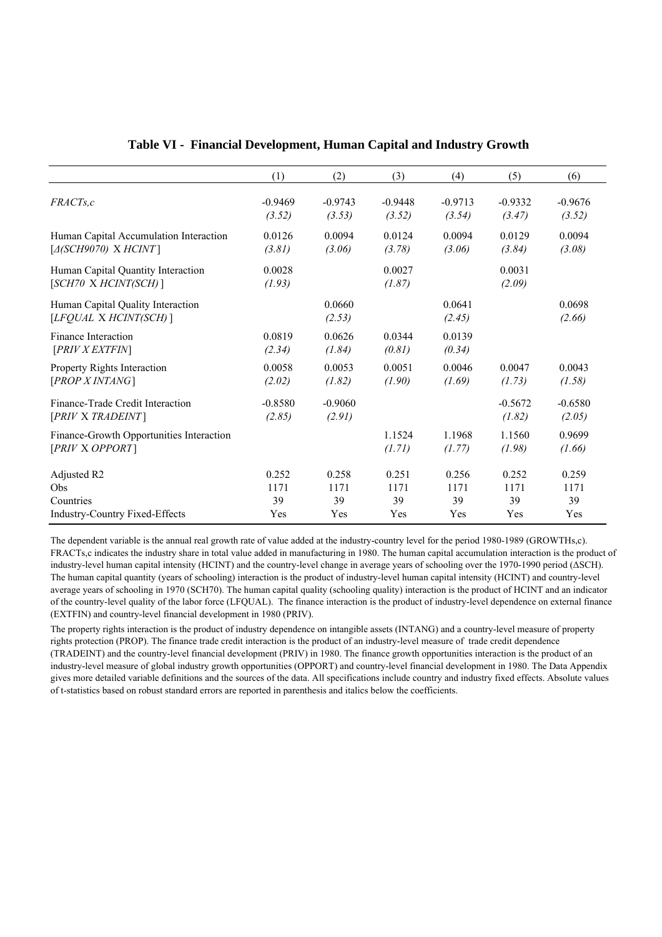|                                                                  | (1)                 | (2)                 | (3)                 | (4)                 | (5)                 | (6)                 |
|------------------------------------------------------------------|---------------------|---------------------|---------------------|---------------------|---------------------|---------------------|
| FRACTs.c                                                         | $-0.9469$<br>(3.52) | $-0.9743$<br>(3.53) | $-0.9448$<br>(3.52) | $-0.9713$<br>(3.54) | $-0.9332$<br>(3.47) | $-0.9676$<br>(3.52) |
| Human Capital Accumulation Interaction<br>$[A(SCH9070)$ X HCINT] | 0.0126<br>(3.81)    | 0.0094<br>(3.06)    | 0.0124<br>(3.78)    | 0.0094<br>(3.06)    | 0.0129<br>(3.84)    | 0.0094<br>(3.08)    |
| Human Capital Quantity Interaction<br>$[SCH70 \ X HCINT(SCH)]$   | 0.0028<br>(1.93)    |                     | 0.0027<br>(1.87)    |                     | 0.0031<br>(2.09)    |                     |
| Human Capital Quality Interaction<br>[LFQUAL X HCINT(SCH)]       |                     | 0.0660<br>(2.53)    |                     | 0.0641<br>(2.45)    |                     | 0.0698<br>(2.66)    |
| Finance Interaction<br>[PRIV X EXTFIN]                           | 0.0819<br>(2.34)    | 0.0626<br>(1.84)    | 0.0344<br>(0.81)    | 0.0139<br>(0.34)    |                     |                     |
| Property Rights Interaction<br>[PROP X INTANG]                   | 0.0058<br>(2.02)    | 0.0053<br>(1.82)    | 0.0051<br>(1.90)    | 0.0046<br>(1.69)    | 0.0047<br>(1.73)    | 0.0043<br>(1.58)    |
| Finance-Trade Credit Interaction<br>[PRIV X TRADEINT]            | $-0.8580$<br>(2.85) | $-0.9060$<br>(2.91) |                     |                     | $-0.5672$<br>(1.82) | $-0.6580$<br>(2.05) |
| Finance-Growth Opportunities Interaction<br>[PRIV X OPPORT]      |                     |                     | 1.1524<br>(1.71)    | 1.1968<br>(1.77)    | 1.1560<br>(1.98)    | 0.9699<br>(1.66)    |
| Adjusted R2<br>Obs<br>Countries                                  | 0.252<br>1171<br>39 | 0.258<br>1171<br>39 | 0.251<br>1171<br>39 | 0.256<br>1171<br>39 | 0.252<br>1171<br>39 | 0.259<br>1171<br>39 |
| <b>Industry-Country Fixed-Effects</b>                            | Yes                 | Yes                 | Yes                 | Yes                 | Yes                 | Yes                 |

#### **Table VI - Financial Development, Human Capital and Industry Growth**

The dependent variable is the annual real growth rate of value added at the industry-country level for the period 1980-1989 (GROWTHs,c). FRACTs,c indicates the industry share in total value added in manufacturing in 1980. The human capital accumulation interaction is the product of industry-level human capital intensity (HCINT) and the country-level change in average years of schooling over the 1970-1990 period (∆SCH). The human capital quantity (years of schooling) interaction is the product of industry-level human capital intensity (HCINT) and country-level average years of schooling in 1970 (SCH70). The human capital quality (schooling quality) interaction is the product of HCINT and an indicator of the country-level quality of the labor force (LFQUAL). The finance interaction is the product of industry-level dependence on external finance (EXTFIN) and country-level financial development in 1980 (PRIV).

The property rights interaction is the product of industry dependence on intangible assets (INTANG) and a country-level measure of property rights protection (PROP). The finance trade credit interaction is the product of an industry-level measure of trade credit dependence (TRADEINT) and the country-level financial development (PRIV) in 1980. The finance growth opportunities interaction is the product of an industry-level measure of global industry growth opportunities (OPPORT) and country-level financial development in 1980. The Data Appendix gives more detailed variable definitions and the sources of the data. All specifications include country and industry fixed effects. Absolute values of t-statistics based on robust standard errors are reported in parenthesis and italics below the coefficients.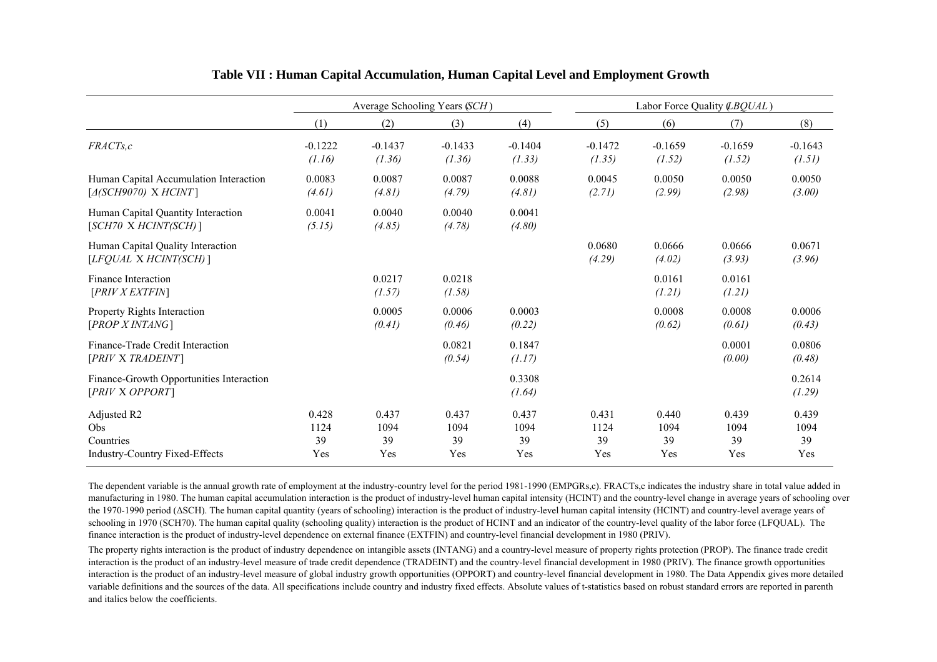|                                                                          | Average Schooling Years (SCH) |                            |                            |                            | Labor Force Quality (LBQUAL) |                            |                            |                            |
|--------------------------------------------------------------------------|-------------------------------|----------------------------|----------------------------|----------------------------|------------------------------|----------------------------|----------------------------|----------------------------|
|                                                                          | (1)                           | (2)                        | (3)                        | (4)                        | (5)                          | (6)                        | (7)                        | (8)                        |
| $FRACTs$ , $c$                                                           | $-0.1222$<br>(1.16)           | $-0.1437$<br>(1.36)        | $-0.1433$<br>(1.36)        | $-0.1404$<br>(1.33)        | $-0.1472$<br>(1.35)          | $-0.1659$<br>(1.52)        | $-0.1659$<br>(1.52)        | $-0.1643$<br>(1.51)        |
| Human Capital Accumulation Interaction<br>$[A(SCH9070)$ X HCINT]         | 0.0083<br>(4.61)              | 0.0087<br>(4.81)           | 0.0087<br>(4.79)           | 0.0088<br>(4.81)           | 0.0045<br>(2.71)             | 0.0050<br>(2.99)           | 0.0050<br>(2.98)           | 0.0050<br>(3.00)           |
| Human Capital Quantity Interaction<br>$[SCH70 \ X HCINT(SCH)]$           | 0.0041<br>(5.15)              | 0.0040<br>(4.85)           | 0.0040<br>(4.78)           | 0.0041<br>(4.80)           |                              |                            |                            |                            |
| Human Capital Quality Interaction<br>[LFQUAL X HCINT(SCH)]               |                               |                            |                            |                            | 0.0680<br>(4.29)             | 0.0666<br>(4.02)           | 0.0666<br>(3.93)           | 0.0671<br>(3.96)           |
| Finance Interaction<br>[PRIV X EXTFIN]                                   |                               | 0.0217<br>(1.57)           | 0.0218<br>(1.58)           |                            |                              | 0.0161<br>(1.21)           | 0.0161<br>(1.21)           |                            |
| Property Rights Interaction<br>[PROP X INTANG]                           |                               | 0.0005<br>(0.41)           | 0.0006<br>(0.46)           | 0.0003<br>(0.22)           |                              | 0.0008<br>(0.62)           | 0.0008<br>(0.61)           | 0.0006<br>(0.43)           |
| Finance-Trade Credit Interaction<br>[PRIV X TRADEINT]                    |                               |                            | 0.0821<br>(0.54)           | 0.1847<br>(1.17)           |                              |                            | 0.0001<br>(0.00)           | 0.0806<br>(0.48)           |
| Finance-Growth Opportunities Interaction<br>[PRIV X OPPORT]              |                               |                            |                            | 0.3308<br>(1.64)           |                              |                            |                            | 0.2614<br>(1.29)           |
| Adjusted R2<br>Obs<br>Countries<br><b>Industry-Country Fixed-Effects</b> | 0.428<br>1124<br>39<br>Yes    | 0.437<br>1094<br>39<br>Yes | 0.437<br>1094<br>39<br>Yes | 0.437<br>1094<br>39<br>Yes | 0.431<br>1124<br>39<br>Yes   | 0.440<br>1094<br>39<br>Yes | 0.439<br>1094<br>39<br>Yes | 0.439<br>1094<br>39<br>Yes |

#### **Table VII : Human Capital Accumulation, Human Capital Level and Employment Growth**

The dependent variable is the annual growth rate of employment at the industry-country level for the period 1981-1990 (EMPGRs,c). FRACTs,c indicates the industry share in total value added in manufacturing in 1980. The human capital accumulation interaction is the product of industry-level human capital intensity (HCINT) and the country-level change in average years of schooling over the 1970-1990 period (ΔSCH). The human capital quantity (years of schooling) interaction is the product of industry-level human capital intensity (HCINT) and country-level average years of schooling in 1970 (SCH70). The human capital quality (schooling quality) interaction is the product of HCINT and an indicator of the country-level quality of the labor force (LFQUAL). The finance interaction is the product of industry-level dependence on external finance (EXTFIN) and country-level financial development in 1980 (PRIV).

The property rights interaction is the product of industry dependence on intangible assets (INTANG) and a country-level measure of property rights protection (PROP). The finance trade credit interaction is the product of an industry-level measure of trade credit dependence (TRADEINT) and the country-level financial development in 1980 (PRIV). The finance growth opportunities interaction is the product of an industry-level measure of global industry growth opportunities (OPPORT) and country-level financial development in 1980. The Data Appendix gives more detailed variable definitions and the sources of the data. All specifications include country and industry fixed effects. Absolute values of t-statistics based on robust standard errors are reported in parenth and italics below the coefficients.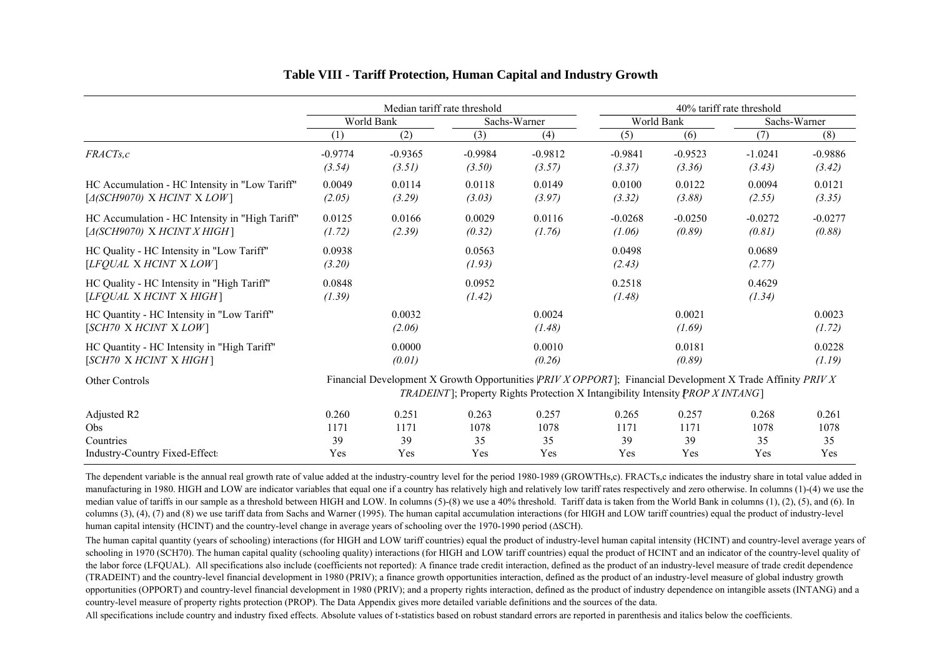|                                                                                  |                                                                                                                                                                                                            |                     | Median tariff rate threshold |                     | 40% tariff rate threshold |                     |                     |                     |
|----------------------------------------------------------------------------------|------------------------------------------------------------------------------------------------------------------------------------------------------------------------------------------------------------|---------------------|------------------------------|---------------------|---------------------------|---------------------|---------------------|---------------------|
|                                                                                  |                                                                                                                                                                                                            | World Bank          |                              | Sachs-Warner        |                           | World Bank          |                     | Sachs-Warner        |
|                                                                                  | (1)                                                                                                                                                                                                        | (2)                 | (3)                          | (4)                 | (5)                       | (6)                 | (7)                 | (8)                 |
| FRACTs,c                                                                         | $-0.9774$<br>(3.54)                                                                                                                                                                                        | $-0.9365$<br>(3.51) | $-0.9984$<br>(3.50)          | $-0.9812$<br>(3.57) | $-0.9841$<br>(3.37)       | $-0.9523$<br>(3.36) | $-1.0241$<br>(3.43) | $-0.9886$<br>(3.42) |
| HC Accumulation - HC Intensity in "Low Tariff"<br>$[A(SCH9070)$ X HCINT X LOW]   | 0.0049<br>(2.05)                                                                                                                                                                                           | 0.0114<br>(3.29)    | 0.0118<br>(3.03)             | 0.0149<br>(3.97)    | 0.0100<br>(3.32)          | 0.0122<br>(3.88)    | 0.0094<br>(2.55)    | 0.0121<br>(3.35)    |
| HC Accumulation - HC Intensity in "High Tariff"<br>$[A(SCH9070)$ X HCINT X HIGH] | 0.0125<br>(1.72)                                                                                                                                                                                           | 0.0166<br>(2.39)    | 0.0029<br>(0.32)             | 0.0116<br>(1.76)    | $-0.0268$<br>(1.06)       | $-0.0250$<br>(0.89) | $-0.0272$<br>(0.81) | $-0.0277$<br>(0.88) |
| HC Quality - HC Intensity in "Low Tariff"<br>[LFOUAL X HCINT X LOW]              | 0.0938<br>(3.20)                                                                                                                                                                                           |                     | 0.0563<br>(1.93)             |                     | 0.0498<br>(2.43)          |                     | 0.0689<br>(2.77)    |                     |
| HC Quality - HC Intensity in "High Tariff"<br>[LFQUAL X HCINT X HIGH]            | 0.0848<br>(1.39)                                                                                                                                                                                           |                     | 0.0952<br>(1.42)             |                     | 0.2518<br>(1.48)          |                     | 0.4629<br>(1.34)    |                     |
| HC Quantity - HC Intensity in "Low Tariff"<br>[SCH70 X HCINT X LOW]              |                                                                                                                                                                                                            | 0.0032<br>(2.06)    |                              | 0.0024<br>(1.48)    |                           | 0.0021<br>(1.69)    |                     | 0.0023<br>(1.72)    |
| HC Quantity - HC Intensity in "High Tariff"<br>[SCH70 X HCINT X HIGH]            |                                                                                                                                                                                                            | 0.0000<br>(0.01)    |                              | 0.0010<br>(0.26)    |                           | 0.0181<br>(0.89)    |                     | 0.0228<br>(1.19)    |
| Other Controls                                                                   | Financial Development X Growth Opportunities  PRIV X OPPORT]; Financial Development X Trade Affinity PRIV X<br><i>TRADEINT</i> : Property Rights Protection X Intangibility Intensity <i>PROP X INTANG</i> |                     |                              |                     |                           |                     |                     |                     |
| Adjusted R2<br><b>Obs</b>                                                        | 0.260<br>1171                                                                                                                                                                                              | 0.251<br>1171       | 0.263<br>1078                | 0.257<br>1078       | 0.265<br>1171             | 0.257<br>1171       | 0.268<br>1078       | 0.261<br>1078       |
| Countries<br>Industry-Country Fixed-Effect                                       | 39<br>Yes                                                                                                                                                                                                  | 39<br>Yes           | 35<br>Yes                    | 35<br>Yes           | 39<br>Yes                 | 39<br>Yes           | 35<br>Yes           | 35<br>Yes           |

#### **Table VIII - Tariff Protection, Human Capital and Industry Growth**

The dependent variable is the annual real growth rate of value added at the industry-country level for the period 1980-1989 (GROWTHs,c). FRACTs,c indicates the industry share in total value added in manufacturing in 1980. HIGH and LOW are indicator variables that equal one if a country has relatively high and relatively low tariff rates respectively and zero otherwise. In columns (1)-(4) we use the median value of tariffs in our sample as a threshold between HIGH and LOW. In columns (5)-(8) we use a 40% threshold. Tariff data is taken from the World Bank in columns (1), (2), (5), and (6). In columns (3), (4), (7) and (8) we use tariff data from Sachs and Warner (1995). The human capital accumulation interactions (for HIGH and LOW tariff countries) equal the product of industry-level human capital intensity (HCINT) and the country-level change in average years of schooling over the 1970-1990 period ( ∆SCH).

The human capital quantity (years of schooling) interactions (for HIGH and LOW tariff countries) equal the product of industry-level human capital intensity (HCINT) and country-level average years of schooling in 1970 (SCH70). The human capital quality (schooling quality) interactions (for HIGH and LOW tariff countries) equal the product of HCINT and an indicator of the country-level quality of the labor force (LFQUAL). All specifications also include (coefficients not reported): A finance trade credit interaction, defined as the product of an industry-level measure of trade credit dependence (TRADEINT) and the country-level financial development in 1980 (PRIV); a finance growth opportunities interaction, defined as the product of an industry-level measure of global industry growth opportunities (OPPORT) and country-level financial development in 1980 (PRIV); and a property rights interaction, defined as the product of industry dependence on intangible assets (INTANG) and a country-level measure of property rights protection (PROP). The Data Appendix gives more detailed variable definitions and the sources of the data.

All specifications include country and industry fixed effects. Absolute values of t-statistics based on robust standard errors are reported in parenthesis and italics below the coefficients.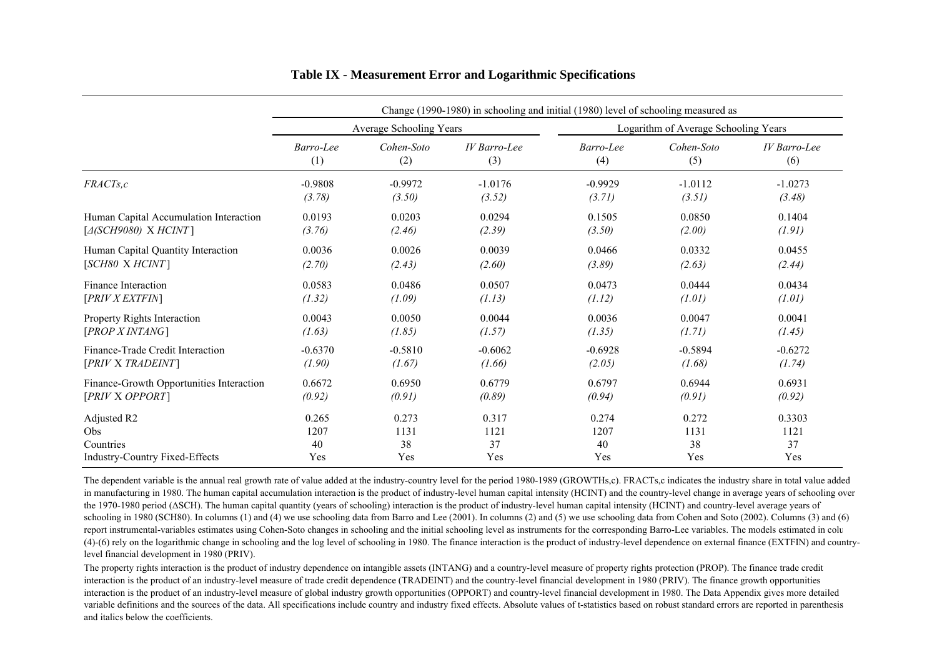|                                          |           |                         | Change (1990-1980) in schooling and initial (1980) level of schooling measured as |                                      |            |                     |  |  |  |  |  |
|------------------------------------------|-----------|-------------------------|-----------------------------------------------------------------------------------|--------------------------------------|------------|---------------------|--|--|--|--|--|
|                                          |           | Average Schooling Years |                                                                                   | Logarithm of Average Schooling Years |            |                     |  |  |  |  |  |
|                                          | Barro-Lee | Cohen-Soto              | <b>IV</b> Barro-Lee                                                               | Barro-Lee                            | Cohen-Soto | <b>IV</b> Barro-Lee |  |  |  |  |  |
|                                          | (1)       | (2)                     | (3)                                                                               | (4)                                  | (5)        | (6)                 |  |  |  |  |  |
| $FRACTs$ , $c$                           | $-0.9808$ | $-0.9972$               | $-1.0176$                                                                         | $-0.9929$                            | $-1.0112$  | $-1.0273$           |  |  |  |  |  |
|                                          | (3.78)    | (3.50)                  | (3.52)                                                                            | (3.71)                               | (3.51)     | (3.48)              |  |  |  |  |  |
| Human Capital Accumulation Interaction   | 0.0193    | 0.0203                  | 0.0294                                                                            | 0.1505                               | 0.0850     | 0.1404              |  |  |  |  |  |
| $[A(SCH9080)$ X $HCINT]$                 | (3.76)    | (2.46)                  | (2.39)                                                                            | (3.50)                               | (2.00)     | (1.91)              |  |  |  |  |  |
| Human Capital Quantity Interaction       | 0.0036    | 0.0026                  | 0.0039                                                                            | 0.0466                               | 0.0332     | 0.0455              |  |  |  |  |  |
| [SCH80 X HCINT]                          | (2.70)    | (2.43)                  | (2.60)                                                                            | (3.89)                               | (2.63)     | (2.44)              |  |  |  |  |  |
| Finance Interaction                      | 0.0583    | 0.0486                  | 0.0507                                                                            | 0.0473                               | 0.0444     | 0.0434              |  |  |  |  |  |
| [PRIV X EXTFIN]                          | (1.32)    | (1.09)                  | (1.13)                                                                            | (1.12)                               | (1.01)     | (1.01)              |  |  |  |  |  |
| Property Rights Interaction              | 0.0043    | 0.0050                  | 0.0044                                                                            | 0.0036                               | 0.0047     | 0.0041              |  |  |  |  |  |
| [PROP X INTANG]                          | (1.63)    | (1.85)                  | (1.57)                                                                            | (1.35)                               | (1.71)     | (1.45)              |  |  |  |  |  |
| Finance-Trade Credit Interaction         | $-0.6370$ | $-0.5810$               | $-0.6062$                                                                         | $-0.6928$                            | $-0.5894$  | $-0.6272$           |  |  |  |  |  |
| [PRIV X TRADEINT]                        | (1.90)    | (1.67)                  | (1.66)                                                                            | (2.05)                               | (1.68)     | (1.74)              |  |  |  |  |  |
| Finance-Growth Opportunities Interaction | 0.6672    | 0.6950                  | 0.6779                                                                            | 0.6797                               | 0.6944     | 0.6931              |  |  |  |  |  |
| [PRIV X OPPORT]                          | (0.92)    | (0.91)                  | (0.89)                                                                            | (0.94)                               | (0.91)     | (0.92)              |  |  |  |  |  |
| Adjusted R2                              | 0.265     | 0.273                   | 0.317                                                                             | 0.274                                | 0.272      | 0.3303              |  |  |  |  |  |
| Obs                                      | 1207      | 1131                    | 1121                                                                              | 1207                                 | 1131       | 1121                |  |  |  |  |  |
| Countries                                | 40        | 38                      | 37                                                                                | 40                                   | 38         | 37                  |  |  |  |  |  |
| <b>Industry-Country Fixed-Effects</b>    | Yes       | Yes                     | Yes                                                                               | Yes                                  | Yes        | Yes                 |  |  |  |  |  |

#### **Table IX - Measurement Error and Logarithmic Specifications**

The dependent variable is the annual real growth rate of value added at the industry-country level for the period 1980-1989 (GROWTHs,c). FRACTs,c indicates the industry share in total value added in manufacturing in 1980. The human capital accumulation interaction is the product of industry-level human capital intensity (HCINT) and the country-level change in average years of schooling over the 1970-1980 period (ΔSCH). The human capital quantity (years of schooling) interaction is the product of industry-level human capital intensity (HCINT) and country-level average years of schooling in 1980 (SCH80). In columns (1) and (4) we use schooling data from Barro and Lee (2001). In columns (2) and (5) we use schooling data from Cohen and Soto (2002). Columns (3) and (6) report instrumental-variables estimates using Cohen-Soto changes in schooling and the initial schooling level as instruments for the corresponding Barro-Lee variables. The models estimated in colu (4)-(6) rely on the logarithmic change in schooling and the log level of schooling in 1980. The finance interaction is the product of industry-level dependence on external finance (EXTFIN) and countrylevel financial development in 1980 (PRIV).

The property rights interaction is the product of industry dependence on intangible assets (INTANG) and a country-level measure of property rights protection (PROP). The finance trade credit interaction is the product of an industry-level measure of trade credit dependence (TRADEINT) and the country-level financial development in 1980 (PRIV). The finance growth opportunities interaction is the product of an industry-level measure of global industry growth opportunities (OPPORT) and country-level financial development in 1980. The Data Appendix gives more detailed variable definitions and the sources of the data. All specifications include country and industry fixed effects. Absolute values of t-statistics based on robust standard errors are reported in parenthesis and italics below the coefficients.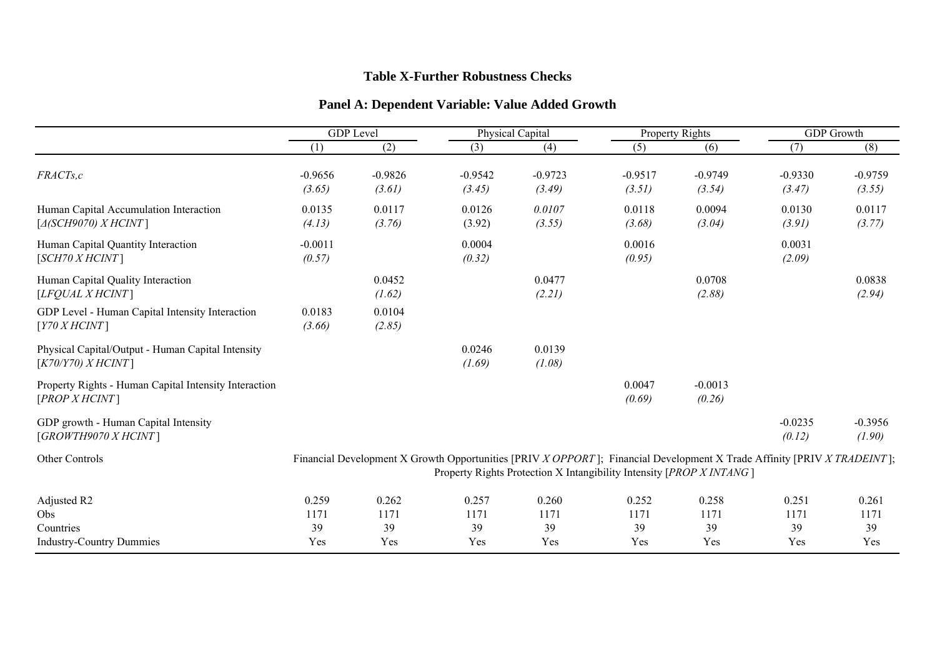#### **Table X-Further Robustness Checks**

| Panel A: Dependent Variable: Value Added Growth |  |  |
|-------------------------------------------------|--|--|
|                                                 |  |  |

|                                                                          | <b>GDP</b> Level                                                                                                                                                                                |                     | <b>Physical Capital</b> |                     | <b>Property Rights</b> |                     | <b>GDP</b> Growth   |                     |  |
|--------------------------------------------------------------------------|-------------------------------------------------------------------------------------------------------------------------------------------------------------------------------------------------|---------------------|-------------------------|---------------------|------------------------|---------------------|---------------------|---------------------|--|
|                                                                          | (1)                                                                                                                                                                                             | (2)                 | (3)                     | (4)                 | (5)                    | (6)                 | (7)                 | (8)                 |  |
| FRACTs,c                                                                 | $-0.9656$<br>(3.65)                                                                                                                                                                             | $-0.9826$<br>(3.61) | $-0.9542$<br>(3.45)     | $-0.9723$<br>(3.49) | $-0.9517$<br>(3.51)    | $-0.9749$<br>(3.54) | $-0.9330$<br>(3.47) | $-0.9759$<br>(3.55) |  |
| Human Capital Accumulation Interaction<br>[A(SCH9070) X HCINT]           | 0.0135<br>(4.13)                                                                                                                                                                                | 0.0117<br>(3.76)    | 0.0126<br>(3.92)        | 0.0107<br>(3.55)    | 0.0118<br>(3.68)       | 0.0094<br>(3.04)    | 0.0130<br>(3.91)    | 0.0117<br>(3.77)    |  |
| Human Capital Quantity Interaction<br>[SCH70 X HCINT]                    | $-0.0011$<br>(0.57)                                                                                                                                                                             |                     | 0.0004<br>(0.32)        |                     | 0.0016<br>(0.95)       |                     | 0.0031<br>(2.09)    |                     |  |
| Human Capital Quality Interaction<br>[LFOUAL X HCINT]                    |                                                                                                                                                                                                 | 0.0452<br>(1.62)    |                         | 0.0477<br>(2.21)    |                        | 0.0708<br>(2.88)    |                     | 0.0838<br>(2.94)    |  |
| GDP Level - Human Capital Intensity Interaction<br>[Y70 X HCINT]         | 0.0183<br>(3.66)                                                                                                                                                                                | 0.0104<br>(2.85)    |                         |                     |                        |                     |                     |                     |  |
| Physical Capital/Output - Human Capital Intensity<br>[K70/Y70) X HCINT]  |                                                                                                                                                                                                 |                     | 0.0246<br>(1.69)        | 0.0139<br>(1.08)    |                        |                     |                     |                     |  |
| Property Rights - Human Capital Intensity Interaction<br>[PROP X H CINT] |                                                                                                                                                                                                 |                     |                         |                     | 0.0047<br>(0.69)       | $-0.0013$<br>(0.26) |                     |                     |  |
| GDP growth - Human Capital Intensity<br>[GROWTH9070 X HCINT]             |                                                                                                                                                                                                 |                     |                         |                     |                        |                     | $-0.0235$<br>(0.12) | $-0.3956$<br>(1.90) |  |
| Other Controls                                                           | Financial Development X Growth Opportunities [PRIV X OPPORT]; Financial Development X Trade Affinity [PRIV X TRADEINT];<br>Property Rights Protection X Intangibility Intensity [PROP X INTANG] |                     |                         |                     |                        |                     |                     |                     |  |
| Adjusted R2                                                              | 0.259                                                                                                                                                                                           | 0.262               | 0.257                   | 0.260               | 0.252                  | 0.258               | 0.251               | 0.261               |  |
| Obs                                                                      | 1171                                                                                                                                                                                            | 1171                | 1171                    | 1171                | 1171                   | 1171                | 1171                | 1171                |  |
| Countries                                                                | 39                                                                                                                                                                                              | 39                  | 39                      | 39                  | 39                     | 39                  | 39                  | 39                  |  |
| <b>Industry-Country Dummies</b>                                          | Yes                                                                                                                                                                                             | Yes                 | Yes                     | Yes                 | Yes                    | Yes                 | Yes                 | Yes                 |  |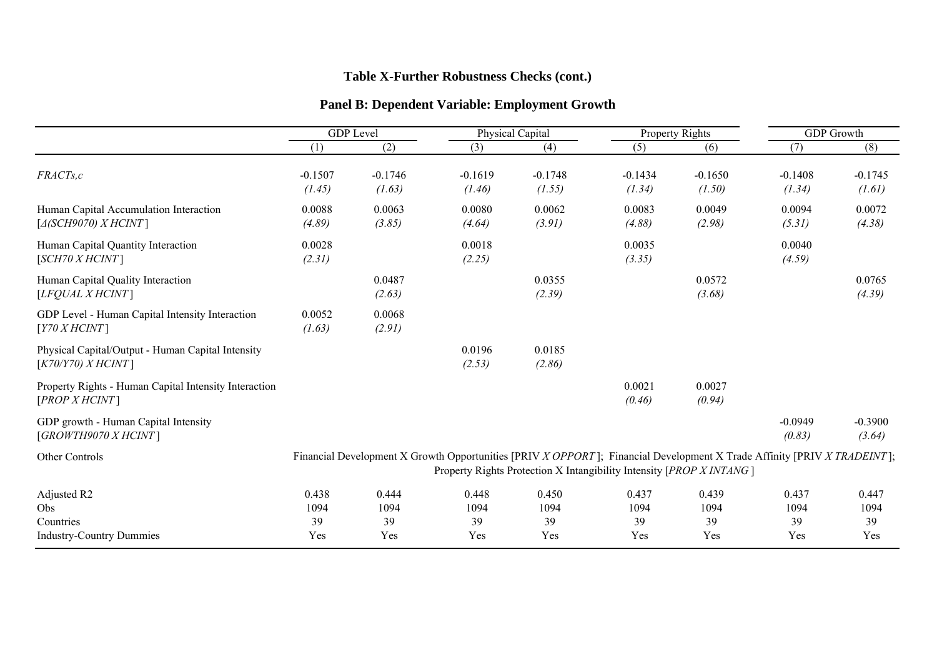## **Table X-Further Robustness Checks (cont.)**

|  |  | <b>Panel B: Dependent Variable: Employment Growth</b> |  |
|--|--|-------------------------------------------------------|--|
|  |  |                                                       |  |

|                                                                          | <b>GDP</b> Level                                                                                                                                                                                         |                     | Physical Capital    |                     | <b>Property Rights</b> |                     | <b>GDP</b> Growth   |                     |  |
|--------------------------------------------------------------------------|----------------------------------------------------------------------------------------------------------------------------------------------------------------------------------------------------------|---------------------|---------------------|---------------------|------------------------|---------------------|---------------------|---------------------|--|
|                                                                          | (1)                                                                                                                                                                                                      | (2)                 | (3)                 | (4)                 | (5)                    | (6)                 | (7)                 | (8)                 |  |
| $FRACTs$ , $c$                                                           | $-0.1507$<br>(1.45)                                                                                                                                                                                      | $-0.1746$<br>(1.63) | $-0.1619$<br>(1.46) | $-0.1748$<br>(1.55) | $-0.1434$<br>(1.34)    | $-0.1650$<br>(1.50) | $-0.1408$<br>(1.34) | $-0.1745$<br>(1.61) |  |
| Human Capital Accumulation Interaction<br>[A(SCH9070) X HCINT]           | 0.0088<br>(4.89)                                                                                                                                                                                         | 0.0063<br>(3.85)    | 0.0080<br>(4.64)    | 0.0062<br>(3.91)    | 0.0083<br>(4.88)       | 0.0049<br>(2.98)    | 0.0094<br>(5.31)    | 0.0072<br>(4.38)    |  |
| Human Capital Quantity Interaction<br>[SCH70 X HCINT]                    | 0.0028<br>(2.31)                                                                                                                                                                                         |                     | 0.0018<br>(2.25)    |                     | 0.0035<br>(3.35)       |                     | 0.0040<br>(4.59)    |                     |  |
| Human Capital Quality Interaction<br>[LFQUAL X HCINT]                    |                                                                                                                                                                                                          | 0.0487<br>(2.63)    |                     | 0.0355<br>(2.39)    |                        | 0.0572<br>(3.68)    |                     | 0.0765<br>(4.39)    |  |
| GDP Level - Human Capital Intensity Interaction<br>[Y70 X HCINT]         | 0.0052<br>(1.63)                                                                                                                                                                                         | 0.0068<br>(2.91)    |                     |                     |                        |                     |                     |                     |  |
| Physical Capital/Output - Human Capital Intensity<br>[K70/Y70) X HCINT]  |                                                                                                                                                                                                          |                     | 0.0196<br>(2.53)    | 0.0185<br>(2.86)    |                        |                     |                     |                     |  |
| Property Rights - Human Capital Intensity Interaction<br>[PROP X H CINT] |                                                                                                                                                                                                          |                     |                     |                     | 0.0021<br>(0.46)       | 0.0027<br>(0.94)    |                     |                     |  |
| GDP growth - Human Capital Intensity<br>[GROWTH9070 X HCINT]             |                                                                                                                                                                                                          |                     |                     |                     |                        |                     | $-0.0949$<br>(0.83) | $-0.3900$<br>(3.64) |  |
| Other Controls                                                           | Financial Development X Growth Opportunities [PRIV X OPPORT]; Financial Development X Trade Affinity [PRIV X TRADEINT];<br>Property Rights Protection X Intangibility Intensity [ <i>PROP X INTANG</i> ] |                     |                     |                     |                        |                     |                     |                     |  |
| Adjusted R2<br>Obs                                                       | 0.438<br>1094                                                                                                                                                                                            | 0.444<br>1094       | 0.448<br>1094       | 0.450<br>1094       | 0.437<br>1094          | 0.439<br>1094       | 0.437<br>1094       | 0.447<br>1094       |  |
| Countries<br><b>Industry-Country Dummies</b>                             | 39<br>Yes                                                                                                                                                                                                | 39<br>Yes           | 39<br>Yes           | 39<br>Yes           | 39<br>Yes              | 39<br>Yes           | 39<br>Yes           | 39<br>Yes           |  |